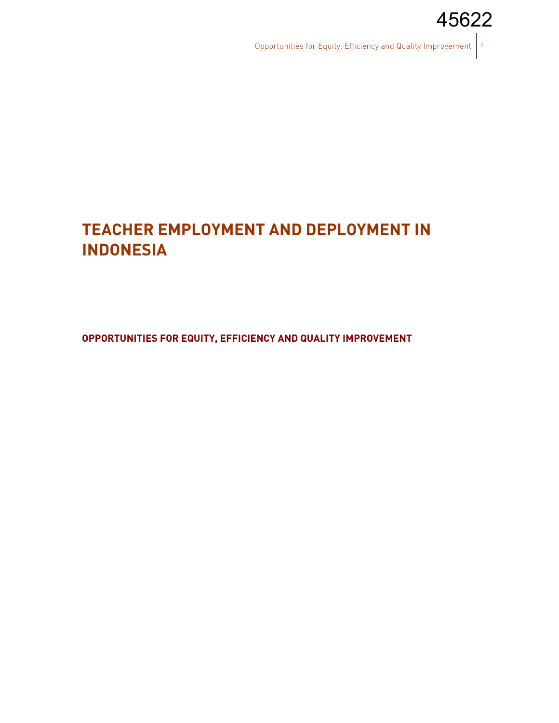# 45622

Opportunities for Equity, Efficiency and Quality Improvement i

# **TEACHER EMPLOYMENT AND DEPLOYMENT IN INDONESIA**

**OPPORTUNITIES FOR EQUITY, EFFICIENCY AND QUALITY IMPROVEMENT**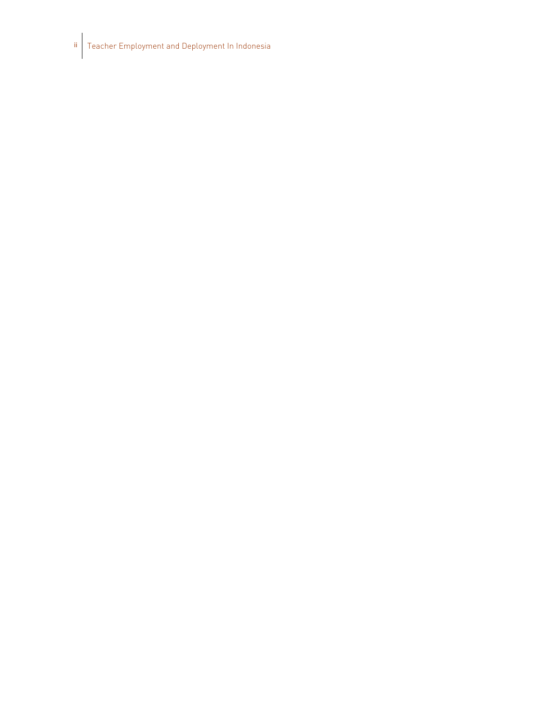ii Teacher Employment and Deployment In Indonesia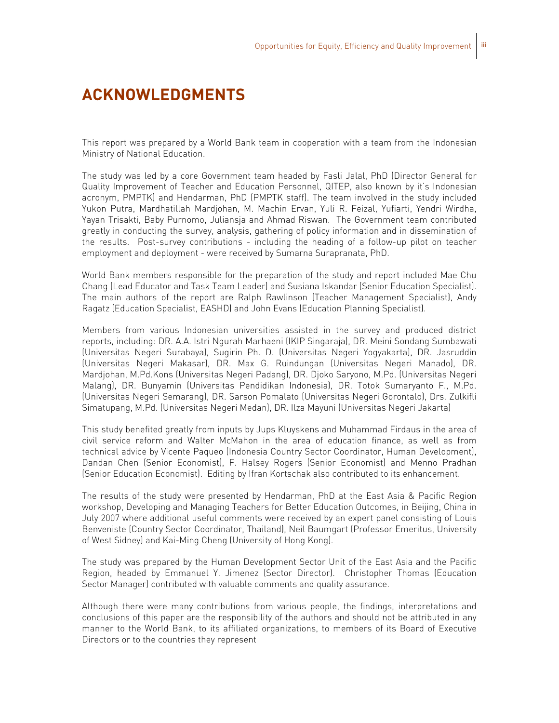# **ACKNOWLEDGMENTS**

This report was prepared by a World Bank team in cooperation with a team from the Indonesian Ministry of National Education.

The study was led by a core Government team headed by Fasli Jalal, PhD (Director General for Quality Improvement of Teacher and Education Personnel, QITEP, also known by it's Indonesian acronym, PMPTK) and Hendarman, PhD (PMPTK staff). The team involved in the study included Yukon Putra, Mardhatillah Mardjohan, M. Machin Ervan, Yuli R. Feizal, Yufiarti, Yendri Wirdha, Yayan Trisakti, Baby Purnomo, Juliansja and Ahmad Riswan. The Government team contributed greatly in conducting the survey, analysis, gathering of policy information and in dissemination of the results. Post-survey contributions - including the heading of a follow-up pilot on teacher employment and deployment - were received by Sumarna Surapranata, PhD.

World Bank members responsible for the preparation of the study and report included Mae Chu Chang (Lead Educator and Task Team Leader) and Susiana Iskandar (Senior Education Specialist). The main authors of the report are Ralph Rawlinson (Teacher Management Specialist), Andy Ragatz (Education Specialist, EASHD) and John Evans (Education Planning Specialist).

Members from various Indonesian universities assisted in the survey and produced district reports, including: DR. A.A. Istri Ngurah Marhaeni (IKIP Singaraja), DR. Meini Sondang Sumbawati (Universitas Negeri Surabaya), Sugirin Ph. D. (Universitas Negeri Yogyakarta), DR. Jasruddin (Universitas Negeri Makasar), DR. Max G. Ruindungan (Universitas Negeri Manado), DR. Mardjohan, M.Pd.Kons (Universitas Negeri Padang), DR. Djoko Saryono, M.Pd. (Universitas Negeri Malang), DR. Bunyamin (Universitas Pendidikan Indonesia), DR. Totok Sumaryanto F., M.Pd. (Universitas Negeri Semarang), DR. Sarson Pomalato (Universitas Negeri Gorontalo), Drs. Zulkifli Simatupang, M.Pd. (Universitas Negeri Medan), DR. Ilza Mayuni (Universitas Negeri Jakarta)

This study benefited greatly from inputs by Jups Kluyskens and Muhammad Firdaus in the area of civil service reform and Walter McMahon in the area of education finance, as well as from technical advice by Vicente Paqueo (Indonesia Country Sector Coordinator, Human Development), Dandan Chen (Senior Economist), F. Halsey Rogers (Senior Economist) and Menno Pradhan (Senior Education Economist). Editing by Ifran Kortschak also contributed to its enhancement.

The results of the study were presented by Hendarman, PhD at the East Asia & Pacific Region workshop, Developing and Managing Teachers for Better Education Outcomes, in Beijing, China in July 2007 where additional useful comments were received by an expert panel consisting of Louis Benveniste (Country Sector Coordinator, Thailand), Neil Baumgart (Professor Emeritus, University of West Sidney) and Kai-Ming Cheng (University of Hong Kong).

The study was prepared by the Human Development Sector Unit of the East Asia and the Pacific Region, headed by Emmanuel Y. Jimenez (Sector Director). Christopher Thomas (Education Sector Manager) contributed with valuable comments and quality assurance.

Although there were many contributions from various people, the findings, interpretations and conclusions of this paper are the responsibility of the authors and should not be attributed in any manner to the World Bank, to its affiliated organizations, to members of its Board of Executive Directors or to the countries they represent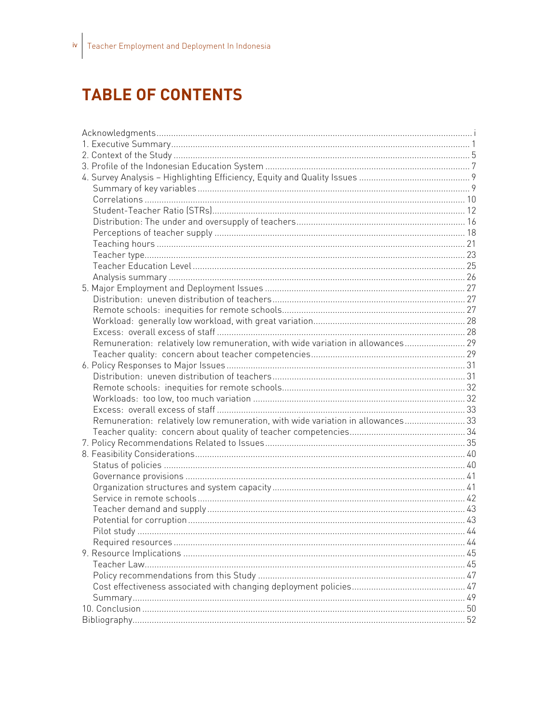# **TABLE OF CONTENTS**

| Remuneration: relatively low remuneration, with wide variation in allowances 29 |  |
|---------------------------------------------------------------------------------|--|
|                                                                                 |  |
|                                                                                 |  |
|                                                                                 |  |
|                                                                                 |  |
|                                                                                 |  |
|                                                                                 |  |
| Remuneration: relatively low remuneration, with wide variation in allowances 33 |  |
|                                                                                 |  |
|                                                                                 |  |
|                                                                                 |  |
|                                                                                 |  |
|                                                                                 |  |
|                                                                                 |  |
|                                                                                 |  |
|                                                                                 |  |
|                                                                                 |  |
|                                                                                 |  |
|                                                                                 |  |
|                                                                                 |  |
|                                                                                 |  |
|                                                                                 |  |
|                                                                                 |  |
|                                                                                 |  |
|                                                                                 |  |
|                                                                                 |  |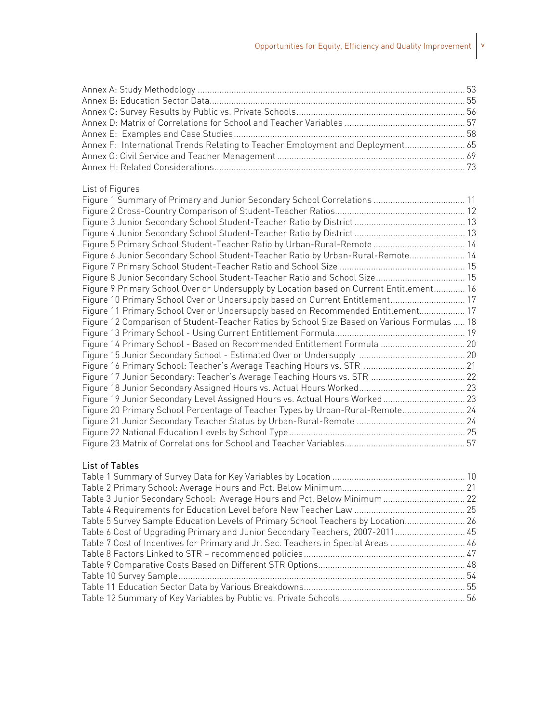| Annex F: International Trends Relating to Teacher Employment and Deployment 65 |  |
|--------------------------------------------------------------------------------|--|
|                                                                                |  |
|                                                                                |  |

List of Figures

| Figure 6 Junior Secondary School Student-Teacher Ratio by Urban-Rural-Remote 14             |  |
|---------------------------------------------------------------------------------------------|--|
|                                                                                             |  |
| Figure 8 Junior Secondary School Student-Teacher Ratio and School Size 15                   |  |
| Figure 9 Primary School Over or Undersupply by Location based on Current Entitlement 16     |  |
| Figure 10 Primary School Over or Undersupply based on Current Entitlement 17                |  |
| Figure 11 Primary School Over or Undersupply based on Recommended Entitlement 17            |  |
| Figure 12 Comparison of Student-Teacher Ratios by School Size Based on Various Formulas  18 |  |
|                                                                                             |  |
| Figure 14 Primary School - Based on Recommended Entitlement Formula  20                     |  |
|                                                                                             |  |
|                                                                                             |  |
|                                                                                             |  |
|                                                                                             |  |
| Figure 19 Junior Secondary Level Assigned Hours vs. Actual Hours Worked 23                  |  |
| Figure 20 Primary School Percentage of Teacher Types by Urban-Rural-Remote 24               |  |
|                                                                                             |  |
|                                                                                             |  |
|                                                                                             |  |

# List of Tables

| Table 3 Junior Secondary School: Average Hours and Pct. Below Minimum 22          |  |
|-----------------------------------------------------------------------------------|--|
|                                                                                   |  |
| Table 5 Survey Sample Education Levels of Primary School Teachers by Location 26  |  |
| Table 6 Cost of Upgrading Primary and Junior Secondary Teachers, 2007-2011 45     |  |
| Table 7 Cost of Incentives for Primary and Jr. Sec. Teachers in Special Areas  46 |  |
|                                                                                   |  |
|                                                                                   |  |
|                                                                                   |  |
|                                                                                   |  |
|                                                                                   |  |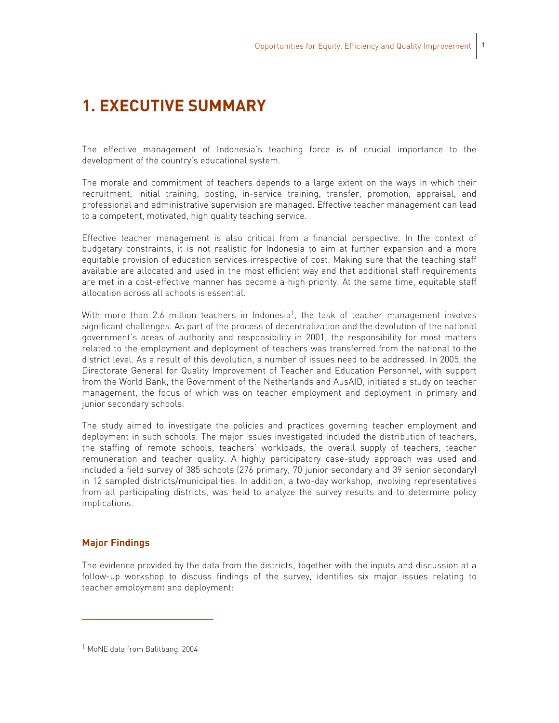# **1. EXECUTIVE SUMMARY**

The effective management of Indonesia's teaching force is of crucial importance to the development of the country's educational system.

The morale and commitment of teachers depends to a large extent on the ways in which their recruitment, initial training, posting, in-service training, transfer, promotion, appraisal, and professional and administrative supervision are managed. Effective teacher management can lead to a competent, motivated, high quality teaching service.

Effective teacher management is also critical from a financial perspective. In the context of budgetary constraints, it is not realistic for Indonesia to aim at further expansion and a more equitable provision of education services irrespective of cost. Making sure that the teaching staff available are allocated and used in the most efficient way and that additional staff requirements are met in a cost-effective manner has become a high priority. At the same time, equitable staff allocation across all schools is essential.

With more than 2.6 million teachers in Indonesia<sup>1</sup>, the task of teacher management involves significant challenges. As part of the process of decentralization and the devolution of the national government's areas of authority and responsibility in 2001, the responsibility for most matters related to the employment and deployment of teachers was transferred from the national to the district level. As a result of this devolution, a number of issues need to be addressed. In 2005, the Directorate General for Quality Improvement of Teacher and Education Personnel, with support from the World Bank, the Government of the Netherlands and AusAID, initiated a study on teacher management, the focus of which was on teacher employment and deployment in primary and junior secondary schools.

The study aimed to investigate the policies and practices governing teacher employment and deployment in such schools. The major issues investigated included the distribution of teachers, the staffing of remote schools, teachers' workloads, the overall supply of teachers, teacher remuneration and teacher quality. A highly participatory case-study approach was used and included a field survey of 385 schools (276 primary, 70 junior secondary and 39 senior secondary) in 12 sampled districts/municipalities. In addition, a two-day workshop, involving representatives from all participating districts, was held to analyze the survey results and to determine policy implications.

## **Major Findings**

The evidence provided by the data from the districts, together with the inputs and discussion at a follow-up workshop to discuss findings of the survey, identifies six major issues relating to teacher employment and deployment:

<sup>1</sup> MoNE data from Balitbang, 2004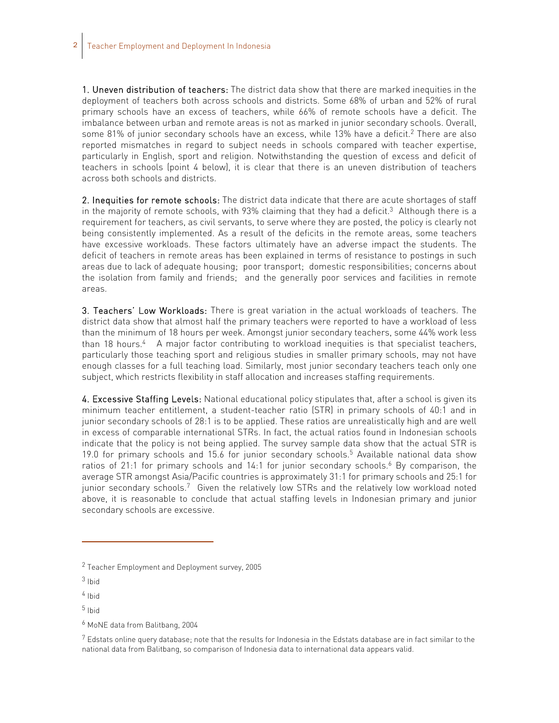1. Uneven distribution of teachers: The district data show that there are marked inequities in the deployment of teachers both across schools and districts. Some 68% of urban and 52% of rural primary schools have an excess of teachers, while 66% of remote schools have a deficit. The imbalance between urban and remote areas is not as marked in junior secondary schools. Overall, some 81% of junior secondary schools have an excess, while 13% have a deficit.<sup>2</sup> There are also reported mismatches in regard to subject needs in schools compared with teacher expertise, particularly in English, sport and religion. Notwithstanding the question of excess and deficit of teachers in schools (point 4 below), it is clear that there is an uneven distribution of teachers across both schools and districts.

2. Inequities for remote schools: The district data indicate that there are acute shortages of staff in the majority of remote schools, with 93% claiming that they had a deficit.<sup>3</sup> Although there is a requirement for teachers, as civil servants, to serve where they are posted, the policy is clearly not being consistently implemented. As a result of the deficits in the remote areas, some teachers have excessive workloads. These factors ultimately have an adverse impact the students. The deficit of teachers in remote areas has been explained in terms of resistance to postings in such areas due to lack of adequate housing; poor transport; domestic responsibilities; concerns about the isolation from family and friends; and the generally poor services and facilities in remote areas.

3. Teachers' Low Workloads: There is great variation in the actual workloads of teachers. The district data show that almost half the primary teachers were reported to have a workload of less than the minimum of 18 hours per week. Amongst junior secondary teachers, some 44% work less than 18 hours. $4\,\text{A}$  major factor contributing to workload inequities is that specialist teachers, particularly those teaching sport and religious studies in smaller primary schools, may not have enough classes for a full teaching load. Similarly, most junior secondary teachers teach only one subject, which restricts flexibility in staff allocation and increases staffing requirements.

4. Excessive Staffing Levels: National educational policy stipulates that, after a school is given its minimum teacher entitlement, a student-teacher ratio (STR) in primary schools of 40:1 and in junior secondary schools of 28:1 is to be applied. These ratios are unrealistically high and are well in excess of comparable international STRs. In fact, the actual ratios found in Indonesian schools indicate that the policy is not being applied. The survey sample data show that the actual STR is 19.0 for primary schools and 15.6 for junior secondary schools.<sup>5</sup> Available national data show ratios of 21:1 for primary schools and  $14:1$  for junior secondary schools.<sup>6</sup> By comparison, the average STR amongst Asia/Pacific countries is approximately 31:1 for primary schools and 25:1 for junior secondary schools.<sup>7</sup> Given the relatively low STRs and the relatively low workload noted above, it is reasonable to conclude that actual staffing levels in Indonesian primary and junior secondary schools are excessive.

<sup>2</sup> Teacher Employment and Deployment survey, 2005

 $3$  Ibid

 $4$  Ibid

 $5$  Ibid

<sup>6</sup> MoNE data from Balitbang, 2004

 $^7$  Edstats online query database; note that the results for Indonesia in the Edstats database are in fact similar to the national data from Balitbang, so comparison of Indonesia data to international data appears valid.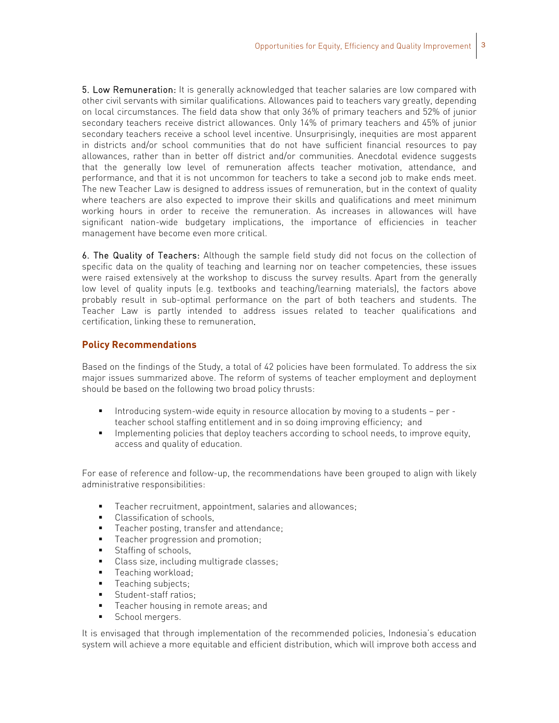5. Low Remuneration: It is generally acknowledged that teacher salaries are low compared with other civil servants with similar qualifications. Allowances paid to teachers vary greatly, depending on local circumstances. The field data show that only 36% of primary teachers and 52% of junior secondary teachers receive district allowances. Only 14% of primary teachers and 45% of junior secondary teachers receive a school level incentive. Unsurprisingly, inequities are most apparent in districts and/or school communities that do not have sufficient financial resources to pay allowances, rather than in better off district and/or communities. Anecdotal evidence suggests that the generally low level of remuneration affects teacher motivation, attendance, and performance, and that it is not uncommon for teachers to take a second job to make ends meet. The new Teacher Law is designed to address issues of remuneration, but in the context of quality where teachers are also expected to improve their skills and qualifications and meet minimum working hours in order to receive the remuneration. As increases in allowances will have significant nation-wide budgetary implications, the importance of efficiencies in teacher management have become even more critical.

6. The Quality of Teachers: Although the sample field study did not focus on the collection of specific data on the quality of teaching and learning nor on teacher competencies, these issues were raised extensively at the workshop to discuss the survey results. Apart from the generally low level of quality inputs (e.g. textbooks and teaching/learning materials), the factors above probably result in sub-optimal performance on the part of both teachers and students. The Teacher Law is partly intended to address issues related to teacher qualifications and certification, linking these to remuneration.

# **Policy Recommendations**

Based on the findings of the Study, a total of 42 policies have been formulated. To address the six major issues summarized above. The reform of systems of teacher employment and deployment should be based on the following two broad policy thrusts:

- Introducing system-wide equity in resource allocation by moving to a students per teacher school staffing entitlement and in so doing improving efficiency; and
- Implementing policies that deploy teachers according to school needs, to improve equity, access and quality of education.

For ease of reference and follow-up, the recommendations have been grouped to align with likely administrative responsibilities:

- **Teacher recruitment, appointment, salaries and allowances;**
- Classification of schools,
- Teacher posting, transfer and attendance;
- **Teacher progression and promotion;**
- **Staffing of schools,**
- Class size, including multigrade classes;
- **Teaching workload;**
- Teaching subjects;
- Student-staff ratios:
- Teacher housing in remote areas; and
- School mergers.

It is envisaged that through implementation of the recommended policies, Indonesia's education system will achieve a more equitable and efficient distribution, which will improve both access and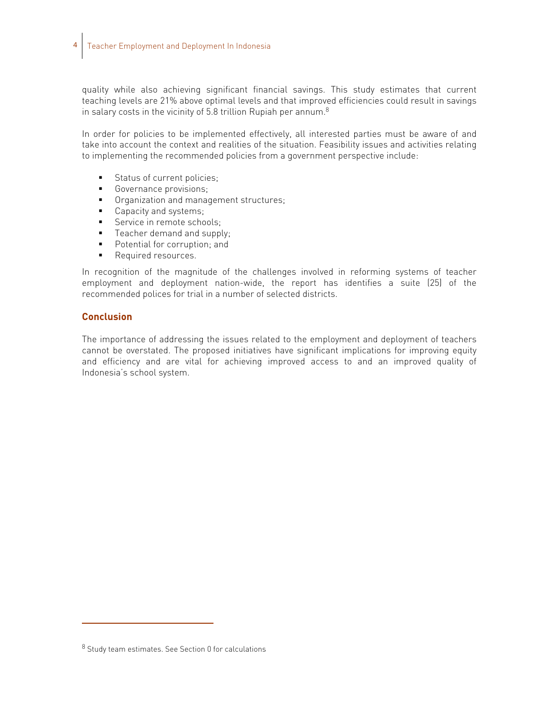quality while also achieving significant financial savings. This study estimates that current teaching levels are 21% above optimal levels and that improved efficiencies could result in savings in salary costs in the vicinity of 5.8 trillion Rupiah per annum. $8$ 

In order for policies to be implemented effectively, all interested parties must be aware of and take into account the context and realities of the situation. Feasibility issues and activities relating to implementing the recommended policies from a government perspective include:

- Status of current policies;
- Governance provisions;
- **Organization and management structures;**
- Capacity and systems;
- Service in remote schools;
- **Teacher demand and supply;**
- **Potential for corruption; and**
- **Required resources.**

In recognition of the magnitude of the challenges involved in reforming systems of teacher employment and deployment nation-wide, the report has identifies a suite (25) of the recommended polices for trial in a number of selected districts.

## **Conclusion**

The importance of addressing the issues related to the employment and deployment of teachers cannot be overstated. The proposed initiatives have significant implications for improving equity and efficiency and are vital for achieving improved access to and an improved quality of Indonesia's school system.

<sup>8</sup> Study team estimates. See Section 0 for calculations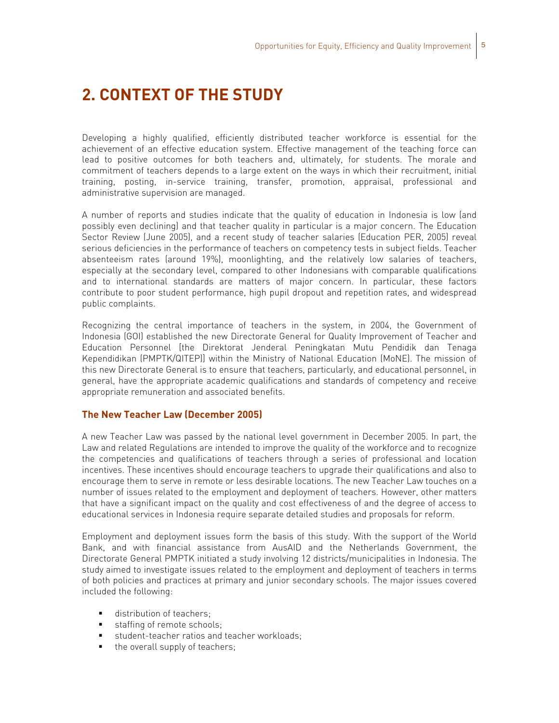# **2. CONTEXT OF THE STUDY**

Developing a highly qualified, efficiently distributed teacher workforce is essential for the achievement of an effective education system. Effective management of the teaching force can lead to positive outcomes for both teachers and, ultimately, for students. The morale and commitment of teachers depends to a large extent on the ways in which their recruitment, initial training, posting, in-service training, transfer, promotion, appraisal, professional and administrative supervision are managed.

A number of reports and studies indicate that the quality of education in Indonesia is low (and possibly even declining) and that teacher quality in particular is a major concern. The Education Sector Review (June 2005), and a recent study of teacher salaries (Education PER, 2005) reveal serious deficiencies in the performance of teachers on competency tests in subject fields. Teacher absenteeism rates (around 19%), moonlighting, and the relatively low salaries of teachers, especially at the secondary level, compared to other Indonesians with comparable qualifications and to international standards are matters of major concern. In particular, these factors contribute to poor student performance, high pupil dropout and repetition rates, and widespread public complaints.

Recognizing the central importance of teachers in the system, in 2004, the Government of Indonesia (GOI) established the new Directorate General for Quality Improvement of Teacher and Education Personnel [the Direktorat Jenderal Peningkatan Mutu Pendidik dan Tenaga Kependidikan (PMPTK/QITEP)] within the Ministry of National Education (MoNE). The mission of this new Directorate General is to ensure that teachers, particularly, and educational personnel, in general, have the appropriate academic qualifications and standards of competency and receive appropriate remuneration and associated benefits.

## **The New Teacher Law (December 2005)**

A new Teacher Law was passed by the national level government in December 2005. In part, the Law and related Regulations are intended to improve the quality of the workforce and to recognize the competencies and qualifications of teachers through a series of professional and location incentives. These incentives should encourage teachers to upgrade their qualifications and also to encourage them to serve in remote or less desirable locations. The new Teacher Law touches on a number of issues related to the employment and deployment of teachers. However, other matters that have a significant impact on the quality and cost effectiveness of and the degree of access to educational services in Indonesia require separate detailed studies and proposals for reform.

Employment and deployment issues form the basis of this study. With the support of the World Bank, and with financial assistance from AusAID and the Netherlands Government, the Directorate General PMPTK initiated a study involving 12 districts/municipalities in Indonesia. The study aimed to investigate issues related to the employment and deployment of teachers in terms of both policies and practices at primary and junior secondary schools. The major issues covered included the following:

- distribution of teachers;
- staffing of remote schools:
- student-teacher ratios and teacher workloads:
- the overall supply of teachers;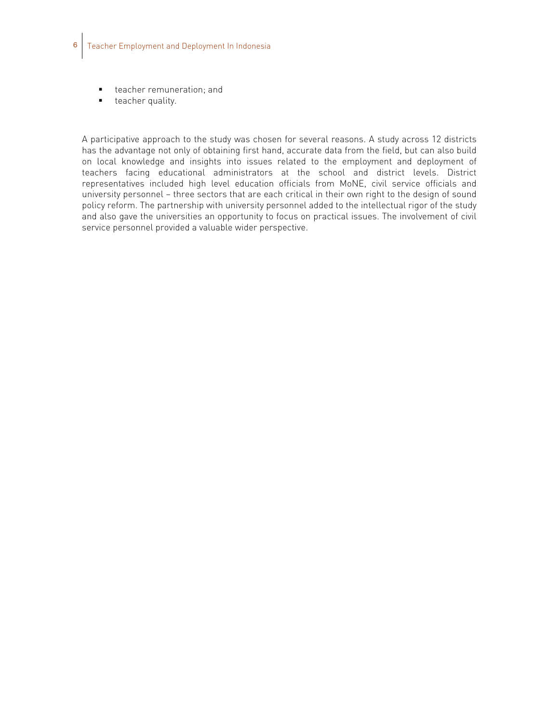- **teacher remuneration; and**
- **teacher quality.**

A participative approach to the study was chosen for several reasons. A study across 12 districts has the advantage not only of obtaining first hand, accurate data from the field, but can also build on local knowledge and insights into issues related to the employment and deployment of teachers facing educational administrators at the school and district levels. District representatives included high level education officials from MoNE, civil service officials and university personnel – three sectors that are each critical in their own right to the design of sound policy reform. The partnership with university personnel added to the intellectual rigor of the study and also gave the universities an opportunity to focus on practical issues. The involvement of civil service personnel provided a valuable wider perspective.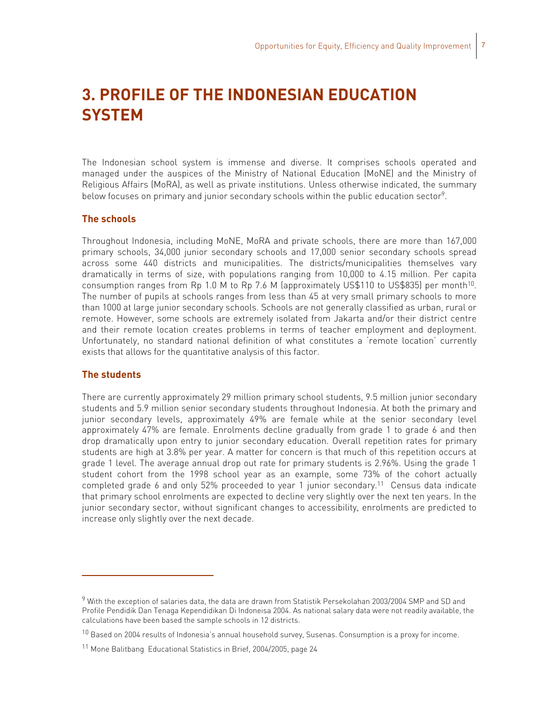**3. PROFILE OF THE INDONESIAN EDUCATION SYSTEM** 

The Indonesian school system is immense and diverse. It comprises schools operated and managed under the auspices of the Ministry of National Education (MoNE) and the Ministry of Religious Affairs (MoRA), as well as private institutions. Unless otherwise indicated, the summary below focuses on primary and junior secondary schools within the public education sector<sup>9</sup>.

### **The schools**

Throughout Indonesia, including MoNE, MoRA and private schools, there are more than 167,000 primary schools, 34,000 junior secondary schools and 17,000 senior secondary schools spread across some 440 districts and municipalities. The districts/municipalities themselves vary dramatically in terms of size, with populations ranging from 10,000 to 4.15 million. Per capita consumption ranges from Rp 1.0 M to Rp 7.6 M (approximately US\$110 to US\$835) per month<sup>10</sup>. The number of pupils at schools ranges from less than 45 at very small primary schools to more than 1000 at large junior secondary schools. Schools are not generally classified as urban, rural or remote. However, some schools are extremely isolated from Jakarta and/or their district centre and their remote location creates problems in terms of teacher employment and deployment. Unfortunately, no standard national definition of what constitutes a 'remote location' currently exists that allows for the quantitative analysis of this factor.

### **The students**

There are currently approximately 29 million primary school students, 9.5 million junior secondary students and 5.9 million senior secondary students throughout Indonesia. At both the primary and junior secondary levels, approximately 49% are female while at the senior secondary level approximately 47% are female. Enrolments decline gradually from grade 1 to grade 6 and then drop dramatically upon entry to junior secondary education. Overall repetition rates for primary students are high at 3.8% per year. A matter for concern is that much of this repetition occurs at grade 1 level. The average annual drop out rate for primary students is 2.96%. Using the grade 1 student cohort from the 1998 school year as an example, some 73% of the cohort actually completed grade 6 and only 52% proceeded to year 1 junior secondary.<sup>11</sup> Census data indicate that primary school enrolments are expected to decline very slightly over the next ten years. In the junior secondary sector, without significant changes to accessibility, enrolments are predicted to increase only slightly over the next decade.

 $9$  With the exception of salaries data, the data are drawn from Statistik Persekolahan 2003/2004 SMP and SD and Profile Pendidik Dan Tenaga Kependidikan Di Indoneisa 2004. As national salary data were not readily available, the calculations have been based the sample schools in 12 districts.

 $10$  Based on 2004 results of Indonesia's annual household survey, Susenas. Consumption is a proxy for income.

<sup>11</sup> Mone Balitbang Educational Statistics in Brief, 2004/2005, page 24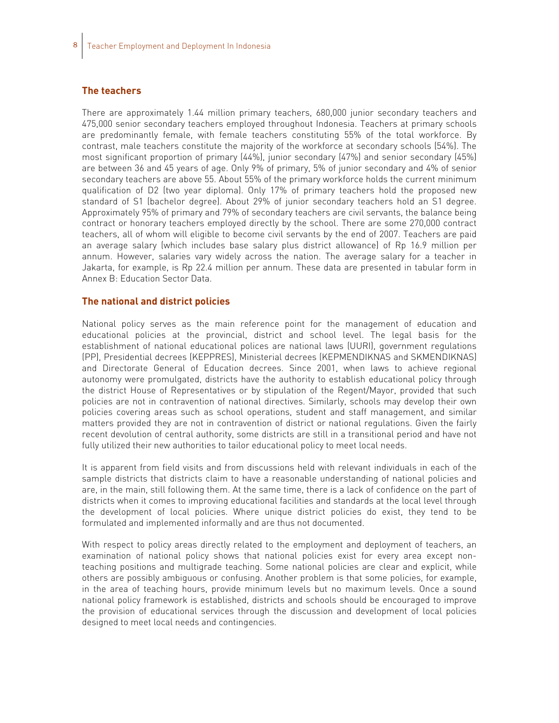## **The teachers**

There are approximately 1.44 million primary teachers, 680,000 junior secondary teachers and 475,000 senior secondary teachers employed throughout Indonesia. Teachers at primary schools are predominantly female, with female teachers constituting 55% of the total workforce. By contrast, male teachers constitute the majority of the workforce at secondary schools (54%). The most significant proportion of primary (44%), junior secondary (47%) and senior secondary (45%) are between 36 and 45 years of age. Only 9% of primary, 5% of junior secondary and 4% of senior secondary teachers are above 55. About 55% of the primary workforce holds the current minimum qualification of D2 (two year diploma). Only 17% of primary teachers hold the proposed new standard of S1 (bachelor degree). About 29% of junior secondary teachers hold an S1 degree. Approximately 95% of primary and 79% of secondary teachers are civil servants, the balance being contract or honorary teachers employed directly by the school. There are some 270,000 contract teachers, all of whom will eligible to become civil servants by the end of 2007. Teachers are paid an average salary (which includes base salary plus district allowance) of Rp 16.9 million per annum. However, salaries vary widely across the nation. The average salary for a teacher in Jakarta, for example, is Rp 22.4 million per annum. These data are presented in tabular form in Annex B: Education Sector Data.

## **The national and district policies**

National policy serves as the main reference point for the management of education and educational policies at the provincial, district and school level. The legal basis for the establishment of national educational polices are national laws (UURI), government regulations (PP), Presidential decrees (KEPPRES), Ministerial decrees (KEPMENDIKNAS and SKMENDIKNAS) and Directorate General of Education decrees. Since 2001, when laws to achieve regional autonomy were promulgated, districts have the authority to establish educational policy through the district House of Representatives or by stipulation of the Regent/Mayor, provided that such policies are not in contravention of national directives. Similarly, schools may develop their own policies covering areas such as school operations, student and staff management, and similar matters provided they are not in contravention of district or national regulations. Given the fairly recent devolution of central authority, some districts are still in a transitional period and have not fully utilized their new authorities to tailor educational policy to meet local needs.

It is apparent from field visits and from discussions held with relevant individuals in each of the sample districts that districts claim to have a reasonable understanding of national policies and are, in the main, still following them. At the same time, there is a lack of confidence on the part of districts when it comes to improving educational facilities and standards at the local level through the development of local policies. Where unique district policies do exist, they tend to be formulated and implemented informally and are thus not documented.

With respect to policy areas directly related to the employment and deployment of teachers, an examination of national policy shows that national policies exist for every area except nonteaching positions and multigrade teaching. Some national policies are clear and explicit, while others are possibly ambiguous or confusing. Another problem is that some policies, for example, in the area of teaching hours, provide minimum levels but no maximum levels. Once a sound national policy framework is established, districts and schools should be encouraged to improve the provision of educational services through the discussion and development of local policies designed to meet local needs and contingencies.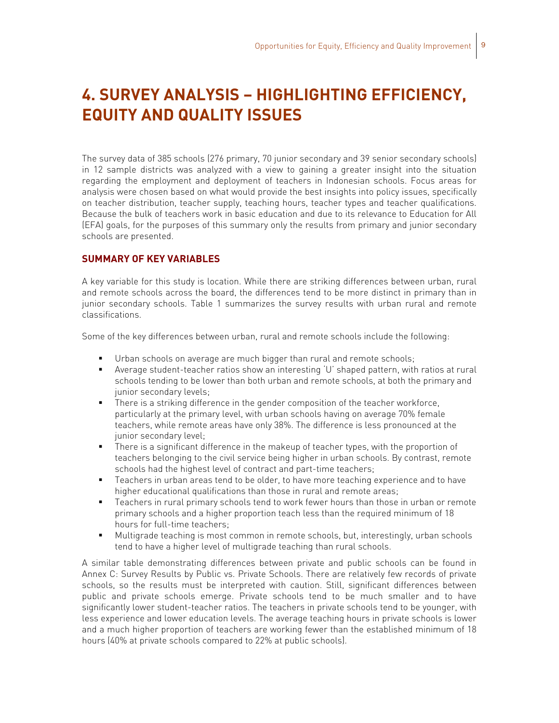# **4. SURVEY ANALYSIS – HIGHLIGHTING EFFICIENCY, EQUITY AND QUALITY ISSUES**

The survey data of 385 schools (276 primary, 70 junior secondary and 39 senior secondary schools) in 12 sample districts was analyzed with a view to gaining a greater insight into the situation regarding the employment and deployment of teachers in Indonesian schools. Focus areas for analysis were chosen based on what would provide the best insights into policy issues, specifically on teacher distribution, teacher supply, teaching hours, teacher types and teacher qualifications. Because the bulk of teachers work in basic education and due to its relevance to Education for All (EFA) goals, for the purposes of this summary only the results from primary and junior secondary schools are presented.

# **SUMMARY OF KEY VARIABLES**

A key variable for this study is location. While there are striking differences between urban, rural and remote schools across the board, the differences tend to be more distinct in primary than in junior secondary schools. Table 1 summarizes the survey results with urban rural and remote classifications.

Some of the key differences between urban, rural and remote schools include the following:

- Urban schools on average are much bigger than rural and remote schools;
- Average student-teacher ratios show an interesting 'U' shaped pattern, with ratios at rural schools tending to be lower than both urban and remote schools, at both the primary and junior secondary levels;
- There is a striking difference in the gender composition of the teacher workforce, particularly at the primary level, with urban schools having on average 70% female teachers, while remote areas have only 38%. The difference is less pronounced at the junior secondary level;
- There is a significant difference in the makeup of teacher types, with the proportion of teachers belonging to the civil service being higher in urban schools. By contrast, remote schools had the highest level of contract and part-time teachers;
- Teachers in urban areas tend to be older, to have more teaching experience and to have higher educational qualifications than those in rural and remote areas;
- **Teachers in rural primary schools tend to work fewer hours than those in urban or remote** primary schools and a higher proportion teach less than the required minimum of 18 hours for full-time teachers;
- Multigrade teaching is most common in remote schools, but, interestingly, urban schools tend to have a higher level of multigrade teaching than rural schools.

A similar table demonstrating differences between private and public schools can be found in Annex C: Survey Results by Public vs. Private Schools. There are relatively few records of private schools, so the results must be interpreted with caution. Still, significant differences between public and private schools emerge. Private schools tend to be much smaller and to have significantly lower student-teacher ratios. The teachers in private schools tend to be younger, with less experience and lower education levels. The average teaching hours in private schools is lower and a much higher proportion of teachers are working fewer than the established minimum of 18 hours (40% at private schools compared to 22% at public schools).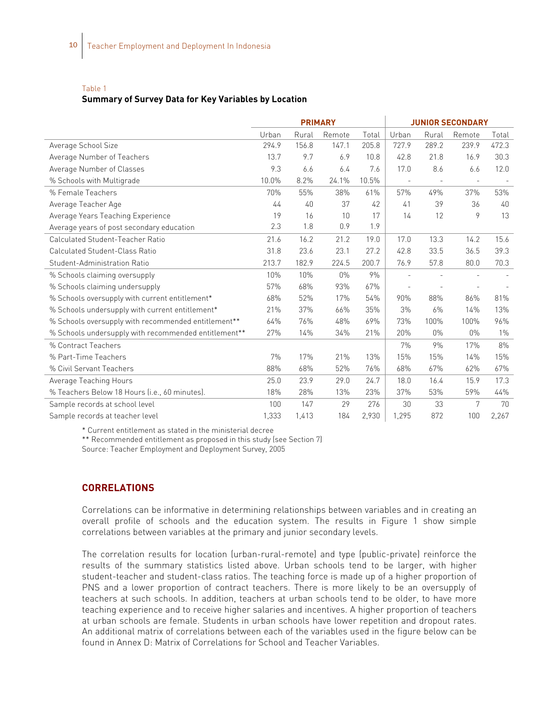#### Table 1

#### **Summary of Survey Data for Key Variables by Location**

|                                                      | <b>PRIMARY</b> |       |        | <b>JUNIOR SECONDARY</b> |                          |        |                          |       |
|------------------------------------------------------|----------------|-------|--------|-------------------------|--------------------------|--------|--------------------------|-------|
|                                                      | Urban          | Rural | Remote | Total                   | Urban                    | Rural  | Remote                   | Total |
| Average School Size                                  | 294.9          | 156.8 | 147.1  | 205.8                   | 727.9                    | 289.2  | 239.9                    | 472.3 |
| Average Number of Teachers                           | 13.7           | 9.7   | 6.9    | 10.8                    | 42.8                     | 21.8   | 16.9                     | 30.3  |
| Average Number of Classes                            | 9.3            | 6.6   | 6.4    | 7.6                     | 17.0                     | 8.6    | 6.6                      | 12.0  |
| % Schools with Multigrade                            | 10.0%          | 8.2%  | 24.1%  | 10.5%                   | $\overline{\phantom{a}}$ | $\sim$ | $\overline{\phantom{a}}$ |       |
| % Female Teachers                                    | 70%            | 55%   | 38%    | 61%                     | 57%                      | 49%    | 37%                      | 53%   |
| Average Teacher Age                                  | 44             | 40    | 37     | 42                      | 41                       | 39     | 36                       | 40    |
| Average Years Teaching Experience                    | 19             | 16    | 10     | 17                      | 14                       | 12     | 9                        | 13    |
| Average years of post secondary education            | 2.3            | 1.8   | 0.9    | 1.9                     |                          |        |                          |       |
| Calculated Student-Teacher Ratio                     | 21.6           | 16.2  | 21.2   | 19.0                    | 17.0                     | 13.3   | 14.2                     | 15.6  |
| <b>Calculated Student-Class Ratio</b>                | 31.8           | 23.6  | 23.1   | 27.2                    | 42.8                     | 33.5   | 36.5                     | 39.3  |
| Student-Administration Ratio                         | 213.7          | 182.9 | 224.5  | 200.7                   | 76.9                     | 57.8   | 80.0                     | 70.3  |
| % Schools claiming oversupply                        | 10%            | 10%   | $0\%$  | 9%                      |                          |        |                          |       |
| % Schools claiming undersupply                       | 57%            | 68%   | 93%    | 67%                     |                          |        |                          |       |
| % Schools oversupply with current entitlement*       | 68%            | 52%   | 17%    | 54%                     | 90%                      | 88%    | 86%                      | 81%   |
| % Schools undersupply with current entitlement*      | 21%            | 37%   | 66%    | 35%                     | 3%                       | 6%     | 14%                      | 13%   |
| % Schools oversupply with recommended entitlement**  | 64%            | 76%   | 48%    | 69%                     | 73%                      | 100%   | 100%                     | 96%   |
| % Schools undersupply with recommended entitlement** | 27%            | 14%   | 34%    | 21%                     | 20%                      | $0\%$  | $0\%$                    | $1\%$ |
| % Contract Teachers                                  |                |       |        |                         | 7%                       | 9%     | 17%                      | 8%    |
| % Part-Time Teachers                                 | 7%             | 17%   | 21%    | 13%                     | 15%                      | 15%    | 14%                      | 15%   |
| % Civil Servant Teachers                             | 88%            | 68%   | 52%    | 76%                     | 68%                      | 67%    | 62%                      | 67%   |
| Average Teaching Hours                               | 25.0           | 23.9  | 29.0   | 24.7                    | 18.0                     | 16.4   | 15.9                     | 17.3  |
| % Teachers Below 18 Hours (i.e., 60 minutes).        | 18%            | 28%   | 13%    | 23%                     | 37%                      | 53%    | 59%                      | 44%   |
| Sample records at school level                       | 100            | 147   | 29     | 276                     | 30                       | 33     | 7                        | 70    |
| Sample records at teacher level                      | 1,333          | 1,413 | 184    | 2,930                   | 1,295                    | 872    | 100                      | 2,267 |

\* Current entitlement as stated in the ministerial decree

\*\* Recommended entitlement as proposed in this study (see Section 7)

Source: Teacher Employment and Deployment Survey, 2005

## **CORRELATIONS**

Correlations can be informative in determining relationships between variables and in creating an overall profile of schools and the education system. The results in Figure 1 show simple correlations between variables at the primary and junior secondary levels.

The correlation results for location (urban-rural-remote) and type (public-private) reinforce the results of the summary statistics listed above. Urban schools tend to be larger, with higher student-teacher and student-class ratios. The teaching force is made up of a higher proportion of PNS and a lower proportion of contract teachers. There is more likely to be an oversupply of teachers at such schools. In addition, teachers at urban schools tend to be older, to have more teaching experience and to receive higher salaries and incentives. A higher proportion of teachers at urban schools are female. Students in urban schools have lower repetition and dropout rates. An additional matrix of correlations between each of the variables used in the figure below can be found in Annex D: Matrix of Correlations for School and Teacher Variables.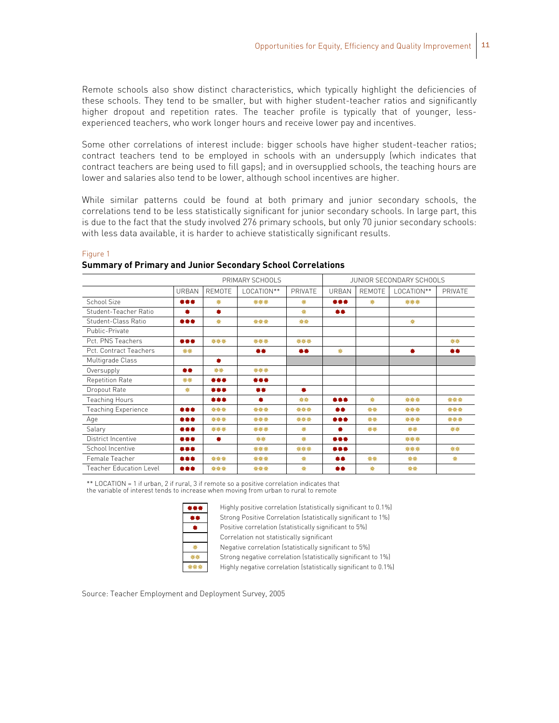Remote schools also show distinct characteristics, which typically highlight the deficiencies of these schools. They tend to be smaller, but with higher student-teacher ratios and significantly higher dropout and repetition rates. The teacher profile is typically that of younger, lessexperienced teachers, who work longer hours and receive lower pay and incentives.

Some other correlations of interest include: bigger schools have higher student-teacher ratios; contract teachers tend to be employed in schools with an undersupply (which indicates that contract teachers are being used to fill gaps); and in oversupplied schools, the teaching hours are lower and salaries also tend to be lower, although school incentives are higher.

While similar patterns could be found at both primary and junior secondary schools, the correlations tend to be less statistically significant for junior secondary schools. In large part, this is due to the fact that the study involved 276 primary schools, but only 70 junior secondary schools: with less data available, it is harder to achieve statistically significant results.

| PRIMARY SCHOOLS                |              |               |            | JUNIOR SECONDARY SCHOOLS |              |               |            |                |
|--------------------------------|--------------|---------------|------------|--------------------------|--------------|---------------|------------|----------------|
|                                | <b>URBAN</b> | <b>RFMOTF</b> | LOCATION** | PRIVATE                  | <b>URBAN</b> | <b>REMOTE</b> | LOCATION** | <b>PRIVATE</b> |
| School Size                    | ***          | ₩             | ***        | ₩                        | ***          | ₩             | ***        |                |
| Student-Teacher Ratio          | 金            | 8             |            | 米                        | 88           |               |            |                |
| Student-Class Ratio            | ***          | ₩             | ***        | **                       |              |               | 来          |                |
| Public-Private                 |              |               |            |                          |              |               |            |                |
| Pct. PNS Teachers              | 春春春          | ***           | ***        | ***                      |              |               |            | **             |
| Pct. Contract Teachers         | **           |               | 春春         | 春春                       | ₩            |               |            | 88             |
| Multigrade Class               |              | 8             |            |                          |              |               |            |                |
| Oversupply                     | 春春           | **            | ***        |                          |              |               |            |                |
| <b>Repetition Rate</b>         | **           | ***           | ***        |                          |              |               |            |                |
| Dropout Rate                   | ₩            | ***           | 事事         |                          |              |               |            |                |
| <b>Teaching Hours</b>          |              | ***           | 4          | **                       | ***          | 米             | ***        | ***            |
| <b>Teaching Experience</b>     | 春春春          | ***           | ***        | ***                      | **           | **            | ***        | ***            |
| Age                            | ***          | ***           | ***        | ***                      | ***          | **            | ***        | ***            |
| Salary                         | ***          | ***           | ***        | ⋇                        |              | **            | **         | **             |
| District Incentive             | ***          | 8             | **         | ₩                        | ***          |               | ***        |                |
| School Incentive               | 春春春          |               | ***        | ***                      | ***          |               | ***        | **             |
| Female Teacher                 | ***          | ***           | ***        | ₩                        | **           | **            | **         | ₩              |
| <b>Teacher Education Level</b> | 春春春          | ***           | ***        | ₩                        | 春春           | ⋇             | **         |                |

#### Figure 1

# **Summary of Primary and Junior Secondary School Correlations**

\*\* LOCATION = 1 if urban, 2 if rural, 3 if remote so a positive correlation indicates that the variable of interest tends to increase when moving from urban to rural to remote



Highly positive correlation (statistically significant to 0.1%) Strong Positive Correlation (statistically significant to 1%) Positive correlation (statistically significant to 5%) Correlation not statistically significant Negative correlation (statistically significant to 5%) Strong negative correlation (statistically significant to 1%) Highly negative correlation (statistically significant to 0.1%)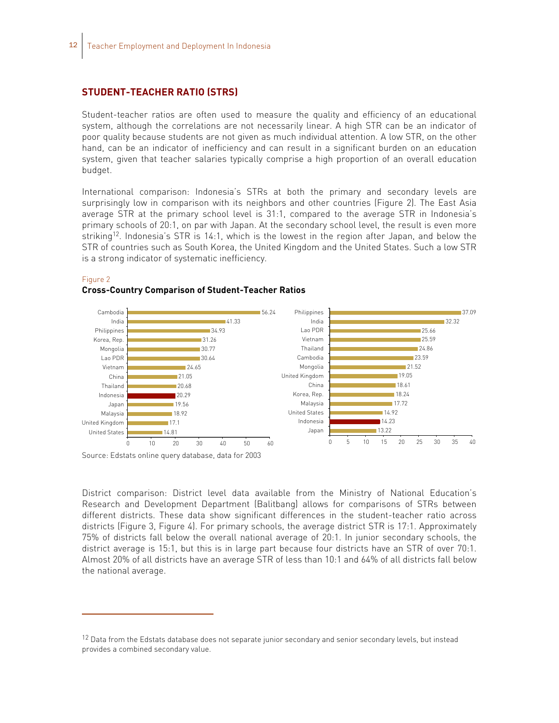### **STUDENT-TEACHER RATIO (STRS)**

Student-teacher ratios are often used to measure the quality and efficiency of an educational system, although the correlations are not necessarily linear. A high STR can be an indicator of poor quality because students are not given as much individual attention. A low STR, on the other hand, can be an indicator of inefficiency and can result in a significant burden on an education system, given that teacher salaries typically comprise a high proportion of an overall education budget.

International comparison: Indonesia's STRs at both the primary and secondary levels are surprisingly low in comparison with its neighbors and other countries (Figure 2). The East Asia average STR at the primary school level is 31:1, compared to the average STR in Indonesia's primary schools of 20:1, on par with Japan. At the secondary school level, the result is even more striking<sup>12</sup>. Indonesia's STR is 14:1, which is the lowest in the region after Japan, and below the STR of countries such as South Korea, the United Kingdom and the United States. Such a low STR is a strong indicator of systematic inefficiency.

#### Figure 2 **Cross-Country Comparison of Student-Teacher Ratios**



Source: Edstats online query database, data for 2003

District comparison: District level data available from the Ministry of National Education's Research and Development Department (Balitbang) allows for comparisons of STRs between different districts. These data show significant differences in the student-teacher ratio across districts (Figure 3, Figure 4). For primary schools, the average district STR is 17:1. Approximately 75% of districts fall below the overall national average of 20:1. In junior secondary schools, the district average is 15:1, but this is in large part because four districts have an STR of over 70:1. Almost 20% of all districts have an average STR of less than 10:1 and 64% of all districts fall below the national average.

<sup>&</sup>lt;sup>12</sup> Data from the Edstats database does not separate junior secondary and senior secondary levels, but instead provides a combined secondary value.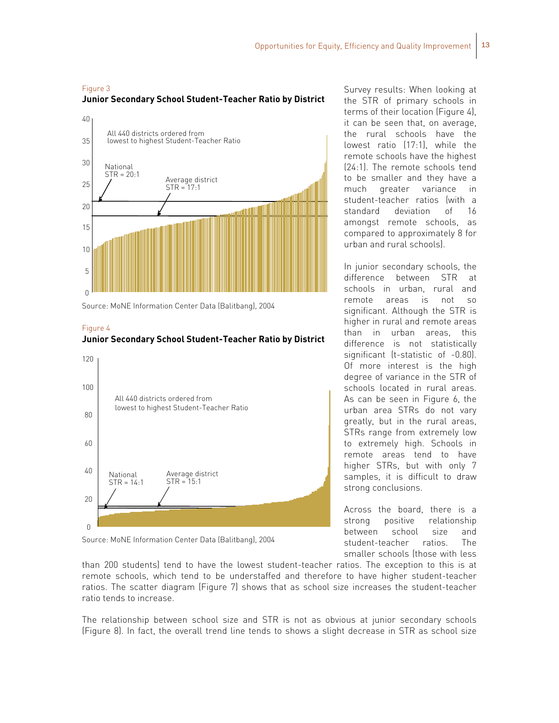### Figure 3 **Junior Secondary School Student-Teacher Ratio by District**



Source: MoNE Information Center Data (Balitbang), 2004

#### Figure 4

#### **Junior Secondary School Student-Teacher Ratio by District**



Source: MoNE Information Center Data (Balitbang), 2004

Survey results: When looking at the STR of primary schools in terms of their location (Figure 4), it can be seen that, on average, the rural schools have the lowest ratio (17:1), while the remote schools have the highest (24:1). The remote schools tend to be smaller and they have a much greater variance in student-teacher ratios (with a standard deviation of 16 amongst remote schools, as compared to approximately 8 for urban and rural schools).

In junior secondary schools, the difference between STR at schools in urban, rural and remote areas is not so significant. Although the STR is higher in rural and remote areas than in urban areas, this difference is not statistically significant (t-statistic of -0.80). Of more interest is the high degree of variance in the STR of schools located in rural areas. As can be seen in Figure 6, the urban area STRs do not vary greatly, but in the rural areas, STRs range from extremely low to extremely high. Schools in remote areas tend to have higher STRs, but with only 7 samples, it is difficult to draw strong conclusions.

Across the board, there is a strong positive relationship between school size and student-teacher ratios. The smaller schools (those with less

than 200 students) tend to have the lowest student-teacher ratios. The exception to this is at remote schools, which tend to be understaffed and therefore to have higher student-teacher ratios. The scatter diagram (Figure 7) shows that as school size increases the student-teacher ratio tends to increase.

The relationship between school size and STR is not as obvious at junior secondary schools (Figure 8). In fact, the overall trend line tends to shows a slight decrease in STR as school size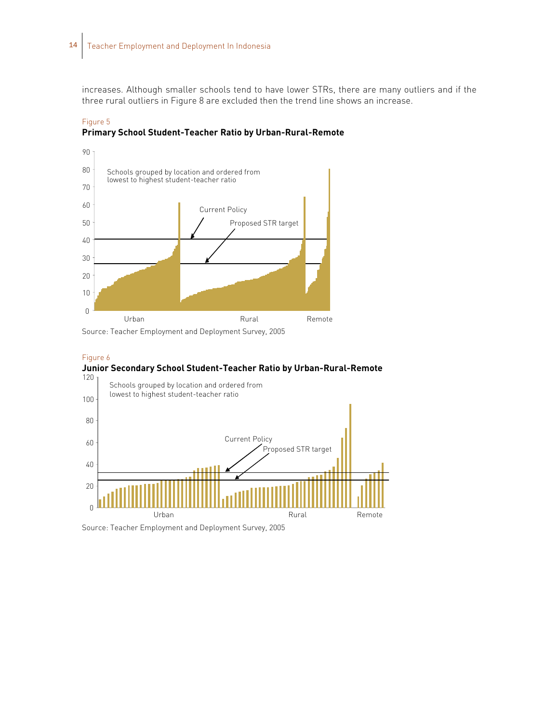increases. Although smaller schools tend to have lower STRs, there are many outliers and if the three rural outliers in Figure 8 are excluded then the trend line shows an increase.



Figure 5 **Primary School Student-Teacher Ratio by Urban-Rural-Remote** 

Source: Teacher Employment and Deployment Survey, 2005

## Figure 6

## **Junior Secondary School Student-Teacher Ratio by Urban-Rural-Remote**  120

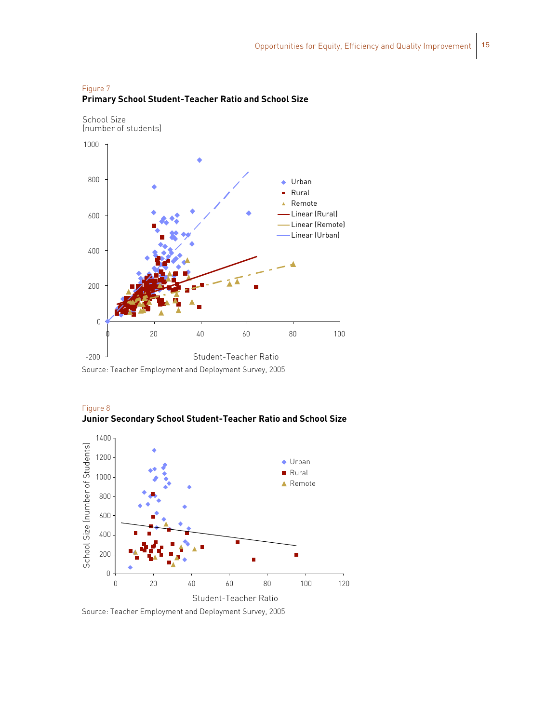

## Figure 7 **Primary School Student-Teacher Ratio and School Size**



Source: Teacher Employment and Deployment Survey, 2005

Figure 8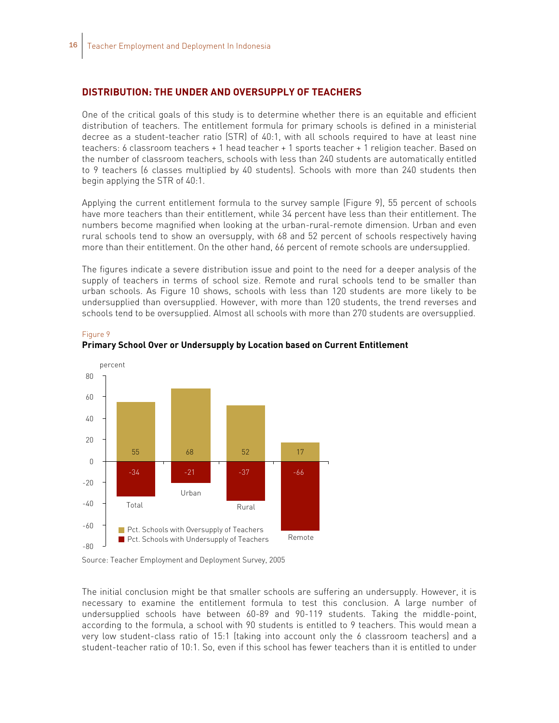## **DISTRIBUTION: THE UNDER AND OVERSUPPLY OF TEACHERS**

One of the critical goals of this study is to determine whether there is an equitable and efficient distribution of teachers. The entitlement formula for primary schools is defined in a ministerial decree as a student-teacher ratio (STR) of 40:1, with all schools required to have at least nine teachers: 6 classroom teachers + 1 head teacher + 1 sports teacher + 1 religion teacher. Based on the number of classroom teachers, schools with less than 240 students are automatically entitled to 9 teachers (6 classes multiplied by 40 students). Schools with more than 240 students then begin applying the STR of 40:1.

Applying the current entitlement formula to the survey sample (Figure 9), 55 percent of schools have more teachers than their entitlement, while 34 percent have less than their entitlement. The numbers become magnified when looking at the urban-rural-remote dimension. Urban and even rural schools tend to show an oversupply, with 68 and 52 percent of schools respectively having more than their entitlement. On the other hand, 66 percent of remote schools are undersupplied.

The figures indicate a severe distribution issue and point to the need for a deeper analysis of the supply of teachers in terms of school size. Remote and rural schools tend to be smaller than urban schools. As Figure 10 shows, schools with less than 120 students are more likely to be undersupplied than oversupplied. However, with more than 120 students, the trend reverses and schools tend to be oversupplied. Almost all schools with more than 270 students are oversupplied.



# Figure 9 **Primary School Over or Undersupply by Location based on Current Entitlement**

Source: Teacher Employment and Deployment Survey, 2005

The initial conclusion might be that smaller schools are suffering an undersupply. However, it is necessary to examine the entitlement formula to test this conclusion. A large number of undersupplied schools have between 60-89 and 90-119 students. Taking the middle-point, according to the formula, a school with 90 students is entitled to 9 teachers. This would mean a very low student-class ratio of 15:1 (taking into account only the 6 classroom teachers) and a student-teacher ratio of 10:1. So, even if this school has fewer teachers than it is entitled to under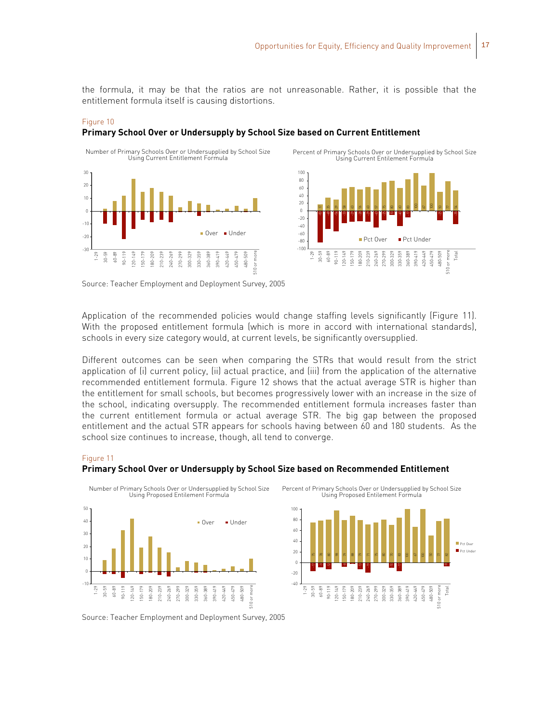the formula, it may be that the ratios are not unreasonable. Rather, it is possible that the entitlement formula itself is causing distortions.



# **Primary School Over or Undersupply by School Size based on Current Entitlement**

Source: Teacher Employment and Deployment Survey, 2005

Application of the recommended policies would change staffing levels significantly (Figure 11). With the proposed entitlement formula (which is more in accord with international standards), schools in every size category would, at current levels, be significantly oversupplied.

Different outcomes can be seen when comparing the STRs that would result from the strict application of (i) current policy, (ii) actual practice, and (iii) from the application of the alternative recommended entitlement formula. Figure 12 shows that the actual average STR is higher than the entitlement for small schools, but becomes progressively lower with an increase in the size of the school, indicating oversupply. The recommended entitlement formula increases faster than the current entitlement formula or actual average STR. The big gap between the proposed entitlement and the actual STR appears for schools having between 60 and 180 students. As the school size continues to increase, though, all tend to converge.

#### Figure 11

Figure 10





Percent of Primary Schools Over or Undersupplied by School Size Using Proposed Entilement Formula

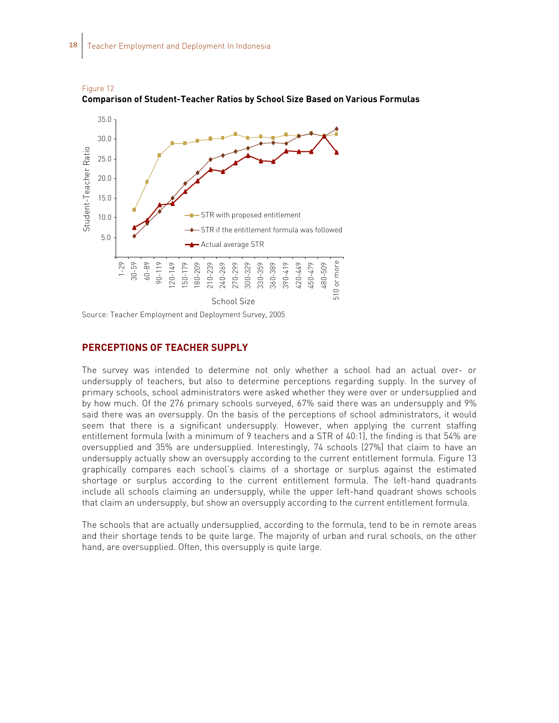

Figure 12 **Comparison of Student-Teacher Ratios by School Size Based on Various Formulas** 

Source: Teacher Employment and Deployment Survey, 2005

## **PERCEPTIONS OF TEACHER SUPPLY**

The survey was intended to determine not only whether a school had an actual over- or undersupply of teachers, but also to determine perceptions regarding supply. In the survey of primary schools, school administrators were asked whether they were over or undersupplied and by how much. Of the 276 primary schools surveyed, 67% said there was an undersupply and 9% said there was an oversupply. On the basis of the perceptions of school administrators, it would seem that there is a significant undersupply. However, when applying the current staffing entitlement formula (with a minimum of 9 teachers and a STR of 40:1), the finding is that 54% are oversupplied and 35% are undersupplied. Interestingly, 74 schools (27%) that claim to have an undersupply actually show an oversupply according to the current entitlement formula. Figure 13 graphically compares each school's claims of a shortage or surplus against the estimated shortage or surplus according to the current entitlement formula. The left-hand quadrants include all schools claiming an undersupply, while the upper left-hand quadrant shows schools that claim an undersupply, but show an oversupply according to the current entitlement formula.

The schools that are actually undersupplied, according to the formula, tend to be in remote areas and their shortage tends to be quite large. The majority of urban and rural schools, on the other hand, are oversupplied. Often, this oversupply is quite large.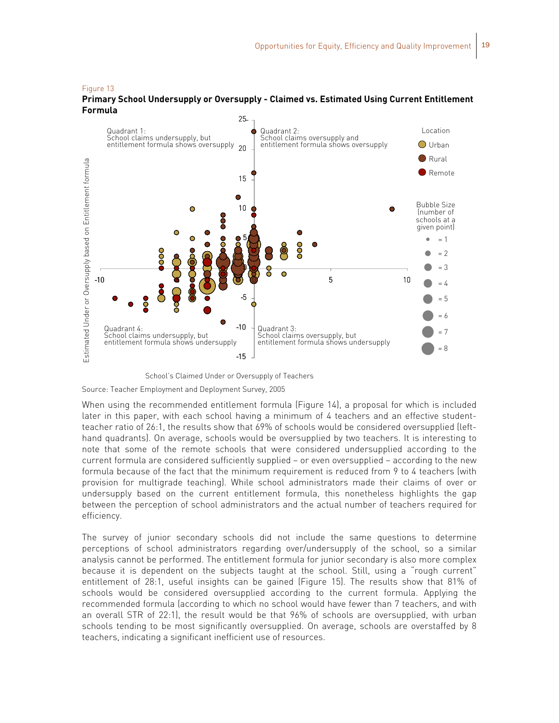

#### Figure 13 **Primary School Undersupply or Oversupply - Claimed vs. Estimated Using Current Entitlement Formula**

When using the recommended entitlement formula (Figure 14), a proposal for which is included later in this paper, with each school having a minimum of 4 teachers and an effective studentteacher ratio of 26:1, the results show that 69% of schools would be considered oversupplied (lefthand quadrants). On average, schools would be oversupplied by two teachers. It is interesting to note that some of the remote schools that were considered undersupplied according to the current formula are considered sufficiently supplied – or even oversupplied – according to the new formula because of the fact that the minimum requirement is reduced from 9 to 4 teachers (with provision for multigrade teaching). While school administrators made their claims of over or undersupply based on the current entitlement formula, this nonetheless highlights the gap between the perception of school administrators and the actual number of teachers required for efficiency.

The survey of junior secondary schools did not include the same questions to determine perceptions of school administrators regarding over/undersupply of the school, so a similar analysis cannot be performed. The entitlement formula for junior secondary is also more complex because it is dependent on the subjects taught at the school. Still, using a "rough current" entitlement of 28:1, useful insights can be gained (Figure 15). The results show that 81% of schools would be considered oversupplied according to the current formula. Applying the recommended formula (according to which no school would have fewer than 7 teachers, and with an overall STR of 22:1), the result would be that 96% of schools are oversupplied, with urban schools tending to be most significantly oversupplied. On average, schools are overstaffed by 8 teachers, indicating a significant inefficient use of resources.

School's Claimed Under or Oversupply of Teachers

Source: Teacher Employment and Deployment Survey, 2005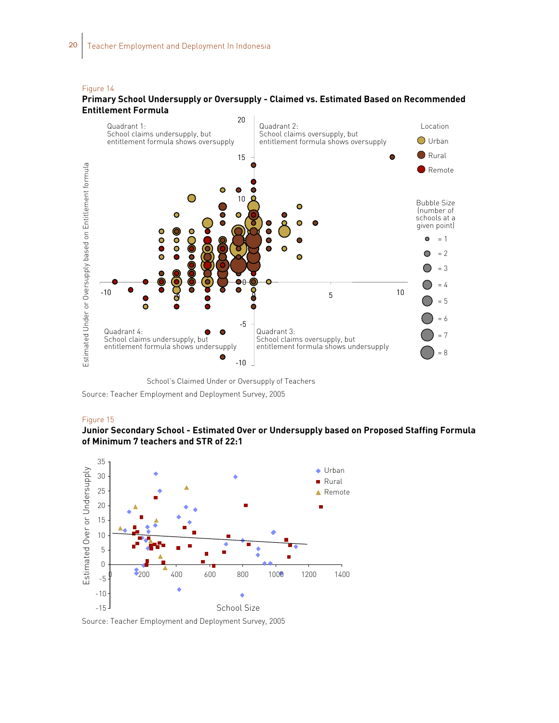#### Figure 14

#### **Primary School Undersupply or Oversupply - Claimed vs. Estimated Based on Recommended Entitlement Formula**



School's Claimed Under or Oversupply of Teachers

Source: Teacher Employment and Deployment Survey, 2005

#### Figure 15

### **Junior Secondary School - Estimated Over or Undersupply based on Proposed Staffing Formula of Minimum 7 teachers and STR of 22:1**

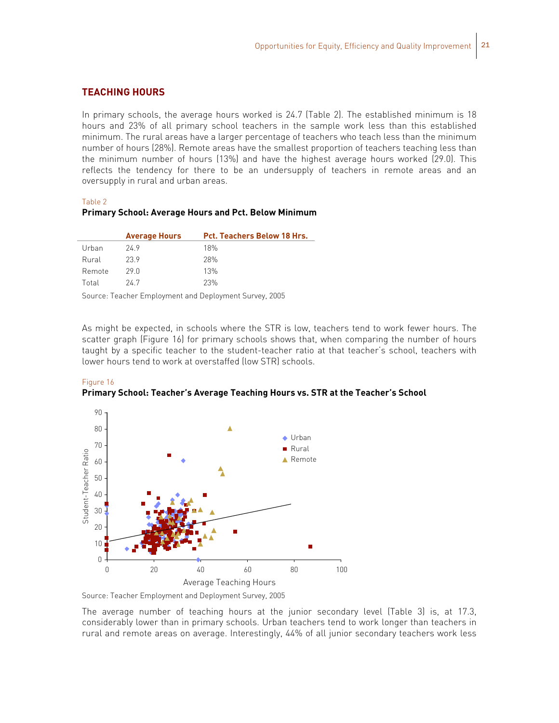# **TEACHING HOURS**

In primary schools, the average hours worked is 24.7 (Table 2). The established minimum is 18 hours and 23% of all primary school teachers in the sample work less than this established minimum. The rural areas have a larger percentage of teachers who teach less than the minimum number of hours (28%). Remote areas have the smallest proportion of teachers teaching less than the minimum number of hours (13%) and have the highest average hours worked (29.0). This reflects the tendency for there to be an undersupply of teachers in remote areas and an oversupply in rural and urban areas.

#### Table 2

#### **Primary School: Average Hours and Pct. Below Minimum**

|        | <b>Average Hours</b> | <b>Pct. Teachers Below 18 Hrs.</b> |
|--------|----------------------|------------------------------------|
| Urban  | 249                  | 18%                                |
| Rural  | 239                  | 28%                                |
| Remote | 29 N                 | 13%                                |
| Total  | 24 7                 | 23%                                |

Source: Teacher Employment and Deployment Survey, 2005

As might be expected, in schools where the STR is low, teachers tend to work fewer hours. The scatter graph (Figure 16) for primary schools shows that, when comparing the number of hours taught by a specific teacher to the student-teacher ratio at that teacher's school, teachers with lower hours tend to work at overstaffed (low STR) schools.





Source: Teacher Employment and Deployment Survey, 2005

The average number of teaching hours at the junior secondary level (Table 3) is, at 17.3, considerably lower than in primary schools. Urban teachers tend to work longer than teachers in rural and remote areas on average. Interestingly, 44% of all junior secondary teachers work less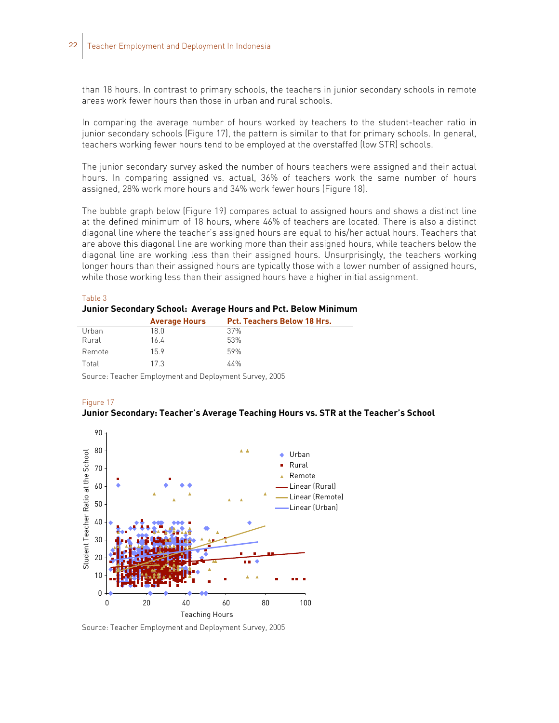than 18 hours. In contrast to primary schools, the teachers in junior secondary schools in remote areas work fewer hours than those in urban and rural schools.

In comparing the average number of hours worked by teachers to the student-teacher ratio in junior secondary schools (Figure 17), the pattern is similar to that for primary schools. In general, teachers working fewer hours tend to be employed at the overstaffed (low STR) schools.

The junior secondary survey asked the number of hours teachers were assigned and their actual hours. In comparing assigned vs. actual, 36% of teachers work the same number of hours assigned, 28% work more hours and 34% work fewer hours (Figure 18).

The bubble graph below (Figure 19) compares actual to assigned hours and shows a distinct line at the defined minimum of 18 hours, where 46% of teachers are located. There is also a distinct diagonal line where the teacher's assigned hours are equal to his/her actual hours. Teachers that are above this diagonal line are working more than their assigned hours, while teachers below the diagonal line are working less than their assigned hours. Unsurprisingly, the teachers working longer hours than their assigned hours are typically those with a lower number of assigned hours, while those working less than their assigned hours have a higher initial assignment.

| Table 3              |                                                               |
|----------------------|---------------------------------------------------------------|
|                      | Junior Secondary School: Average Hours and Pct. Below Minimum |
| <b>Average Hours</b> | <b>Prt Teachers Relow 18 Hrs</b>                              |

| <b>Pct. Teachers Below 18 Hrs.</b> |
|------------------------------------|
|                                    |
|                                    |
|                                    |
|                                    |
|                                    |





Source: Teacher Employment and Deployment Survey, 2005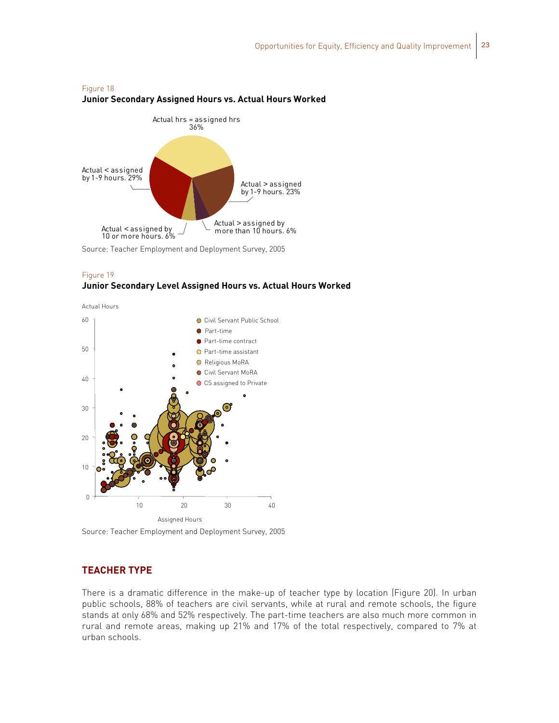

#### Figure 18 **Junior Secondary Assigned Hours vs. Actual Hours Worked**





Source: Teacher Employment and Deployment Survey, 2005

# **TEACHER TYPE**

There is a dramatic difference in the make-up of teacher type by location (Figure 20). In urban public schools, 88% of teachers are civil servants, while at rural and remote schools, the figure stands at only 68% and 52% respectively. The part-time teachers are also much more common in rural and remote areas, making up 21% and 17% of the total respectively, compared to 7% at urban schools.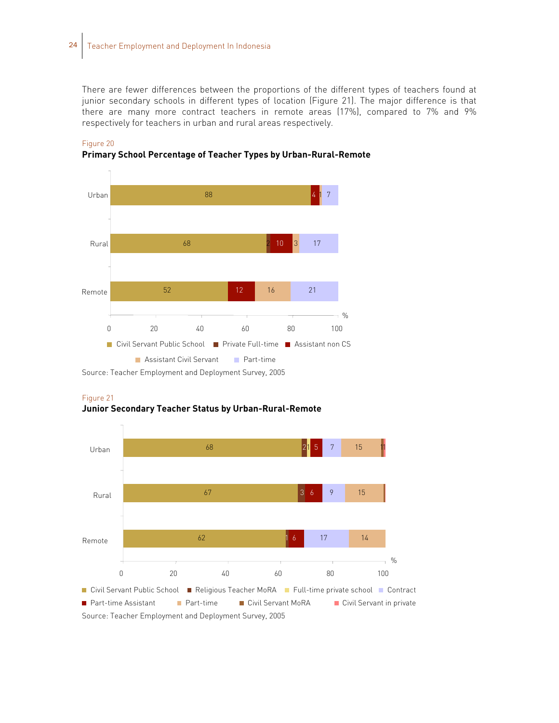Figure 20

There are fewer differences between the proportions of the different types of teachers found at junior secondary schools in different types of location (Figure 21). The major difference is that there are many more contract teachers in remote areas (17%), compared to 7% and 9% respectively for teachers in urban and rural areas respectively.



**Primary School Percentage of Teacher Types by Urban-Rural-Remote** 



Figure 21 **Junior Secondary Teacher Status by Urban-Rural-Remote**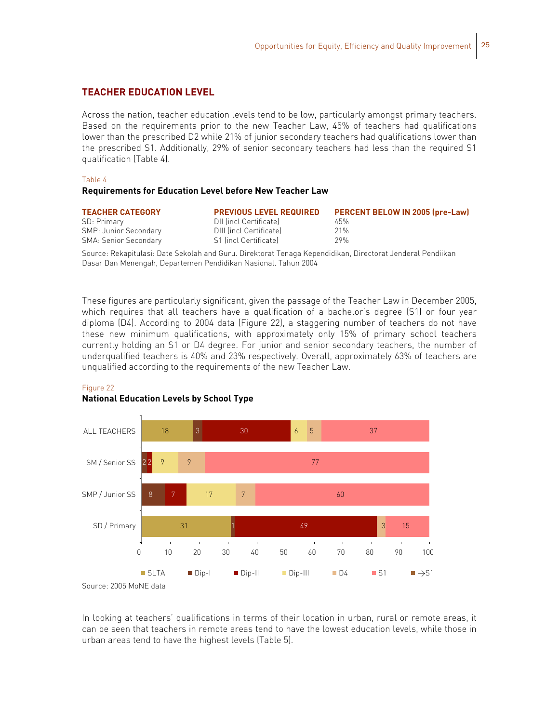## **TEACHER EDUCATION LEVEL**

Across the nation, teacher education levels tend to be low, particularly amongst primary teachers. Based on the requirements prior to the new Teacher Law, 45% of teachers had qualifications lower than the prescribed D2 while 21% of junior secondary teachers had qualifications lower than the prescribed S1. Additionally, 29% of senior secondary teachers had less than the required S1 qualification (Table 4).

#### Table 4

Figure 22

#### **Requirements for Education Level before New Teacher Law**

| <b>TEACHER CATEGORY</b>      | <b>PREVIOUS LEVEL REQUIRED</b> | <b>PERCENT BELOW IN 2005 (pre-Law)</b> |
|------------------------------|--------------------------------|----------------------------------------|
| SD: Primary                  | DII lincl Certificatel         | 45%                                    |
| <b>SMP: Junior Secondary</b> | <b>DIII (incl Certificate)</b> | 21%                                    |
| <b>SMA: Senior Secondary</b> | S1 (incl Certificate)          | 29%                                    |

Source: Rekapitulasi: Date Sekolah and Guru. Direktorat Tenaga Kependidikan, Directorat Jenderal Pendiikan Dasar Dan Menengah, Departemen Pendidikan Nasional. Tahun 2004

These figures are particularly significant, given the passage of the Teacher Law in December 2005, which requires that all teachers have a qualification of a bachelor's degree (S1) or four year diploma (D4). According to 2004 data (Figure 22), a staggering number of teachers do not have these new minimum qualifications, with approximately only 15% of primary school teachers currently holding an S1 or D4 degree. For junior and senior secondary teachers, the number of underqualified teachers is 40% and 23% respectively. Overall, approximately 63% of teachers are unqualified according to the requirements of the new Teacher Law.



## **National Education Levels by School Type**

In looking at teachers' qualifications in terms of their location in urban, rural or remote areas, it can be seen that teachers in remote areas tend to have the lowest education levels, while those in urban areas tend to have the highest levels (Table 5).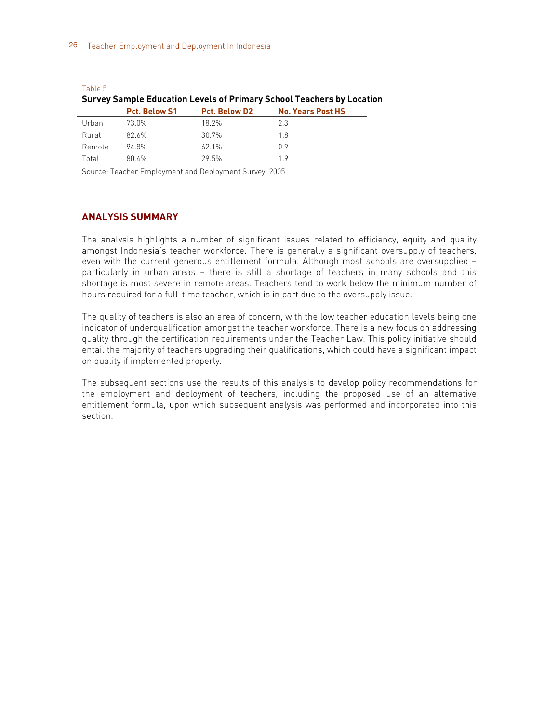| Survey Sample Education Levels of Primary School Teachers by Locatio |                      |                      |                          |  |  |
|----------------------------------------------------------------------|----------------------|----------------------|--------------------------|--|--|
|                                                                      | <b>Pct. Below S1</b> | <b>Pct. Below D2</b> | <b>No. Years Post HS</b> |  |  |
| Urban                                                                | 73 በ%                | $18.2\%$             | 2.3                      |  |  |
| Rural                                                                | 82.6%                | 30.7%                | 1.8                      |  |  |
| Remote                                                               | 94.8%                | 62.1%                | n 9                      |  |  |
| Total                                                                | 80.4%                | 29.5%                | 19                       |  |  |
|                                                                      | T I F I I I IN I IC  |                      | $\cap \cap \cap \Gamma$  |  |  |

# Table 5 **Survey Sample Education Levels of Primary School Teachers by Location**

Source: Teacher Employment and Deployment Survey, 2005

# **ANALYSIS SUMMARY**

The analysis highlights a number of significant issues related to efficiency, equity and quality amongst Indonesia's teacher workforce. There is generally a significant oversupply of teachers, even with the current generous entitlement formula. Although most schools are oversupplied – particularly in urban areas – there is still a shortage of teachers in many schools and this shortage is most severe in remote areas. Teachers tend to work below the minimum number of hours required for a full-time teacher, which is in part due to the oversupply issue.

The quality of teachers is also an area of concern, with the low teacher education levels being one indicator of underqualification amongst the teacher workforce. There is a new focus on addressing quality through the certification requirements under the Teacher Law. This policy initiative should entail the majority of teachers upgrading their qualifications, which could have a significant impact on quality if implemented properly.

The subsequent sections use the results of this analysis to develop policy recommendations for the employment and deployment of teachers, including the proposed use of an alternative entitlement formula, upon which subsequent analysis was performed and incorporated into this section.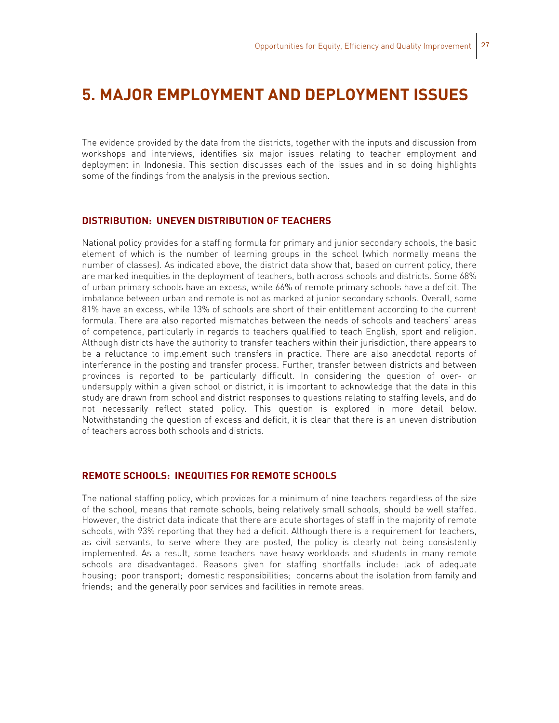# **5. MAJOR EMPLOYMENT AND DEPLOYMENT ISSUES**

The evidence provided by the data from the districts, together with the inputs and discussion from workshops and interviews, identifies six major issues relating to teacher employment and deployment in Indonesia. This section discusses each of the issues and in so doing highlights some of the findings from the analysis in the previous section.

## **DISTRIBUTION: UNEVEN DISTRIBUTION OF TEACHERS**

National policy provides for a staffing formula for primary and junior secondary schools, the basic element of which is the number of learning groups in the school (which normally means the number of classes). As indicated above, the district data show that, based on current policy, there are marked inequities in the deployment of teachers, both across schools and districts. Some 68% of urban primary schools have an excess, while 66% of remote primary schools have a deficit. The imbalance between urban and remote is not as marked at junior secondary schools. Overall, some 81% have an excess, while 13% of schools are short of their entitlement according to the current formula. There are also reported mismatches between the needs of schools and teachers' areas of competence, particularly in regards to teachers qualified to teach English, sport and religion. Although districts have the authority to transfer teachers within their jurisdiction, there appears to be a reluctance to implement such transfers in practice. There are also anecdotal reports of interference in the posting and transfer process. Further, transfer between districts and between provinces is reported to be particularly difficult. In considering the question of over- or undersupply within a given school or district, it is important to acknowledge that the data in this study are drawn from school and district responses to questions relating to staffing levels, and do not necessarily reflect stated policy. This question is explored in more detail below. Notwithstanding the question of excess and deficit, it is clear that there is an uneven distribution of teachers across both schools and districts.

### **REMOTE SCHOOLS: INEQUITIES FOR REMOTE SCHOOLS**

The national staffing policy, which provides for a minimum of nine teachers regardless of the size of the school, means that remote schools, being relatively small schools, should be well staffed. However, the district data indicate that there are acute shortages of staff in the majority of remote schools, with 93% reporting that they had a deficit. Although there is a requirement for teachers, as civil servants, to serve where they are posted, the policy is clearly not being consistently implemented. As a result, some teachers have heavy workloads and students in many remote schools are disadvantaged. Reasons given for staffing shortfalls include: lack of adequate housing; poor transport; domestic responsibilities; concerns about the isolation from family and friends; and the generally poor services and facilities in remote areas.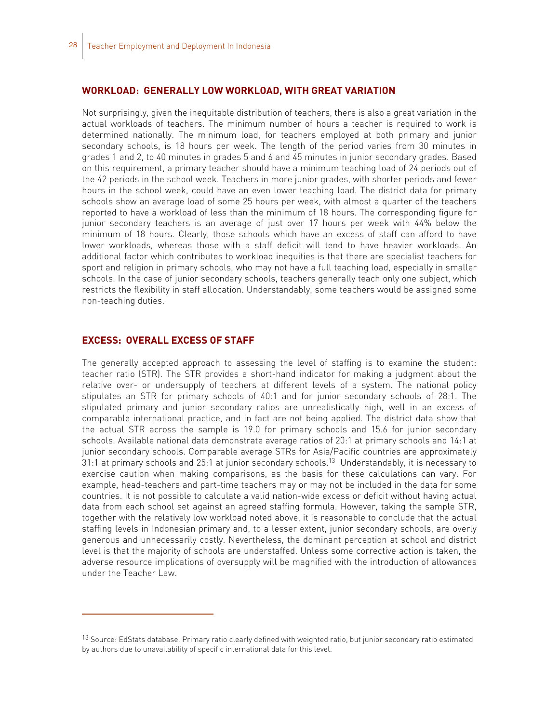## **WORKLOAD: GENERALLY LOW WORKLOAD, WITH GREAT VARIATION**

Not surprisingly, given the inequitable distribution of teachers, there is also a great variation in the actual workloads of teachers. The minimum number of hours a teacher is required to work is determined nationally. The minimum load, for teachers employed at both primary and junior secondary schools, is 18 hours per week. The length of the period varies from 30 minutes in grades 1 and 2, to 40 minutes in grades 5 and 6 and 45 minutes in junior secondary grades. Based on this requirement, a primary teacher should have a minimum teaching load of 24 periods out of the 42 periods in the school week. Teachers in more junior grades, with shorter periods and fewer hours in the school week, could have an even lower teaching load. The district data for primary schools show an average load of some 25 hours per week, with almost a quarter of the teachers reported to have a workload of less than the minimum of 18 hours. The corresponding figure for junior secondary teachers is an average of just over 17 hours per week with 44% below the minimum of 18 hours. Clearly, those schools which have an excess of staff can afford to have lower workloads, whereas those with a staff deficit will tend to have heavier workloads. An additional factor which contributes to workload inequities is that there are specialist teachers for sport and religion in primary schools, who may not have a full teaching load, especially in smaller schools. In the case of junior secondary schools, teachers generally teach only one subject, which restricts the flexibility in staff allocation. Understandably, some teachers would be assigned some non-teaching duties.

## **EXCESS: OVERALL EXCESS OF STAFF**

The generally accepted approach to assessing the level of staffing is to examine the student: teacher ratio (STR). The STR provides a short-hand indicator for making a judgment about the relative over- or undersupply of teachers at different levels of a system. The national policy stipulates an STR for primary schools of 40:1 and for junior secondary schools of 28:1. The stipulated primary and junior secondary ratios are unrealistically high, well in an excess of comparable international practice, and in fact are not being applied. The district data show that the actual STR across the sample is 19.0 for primary schools and 15.6 for junior secondary schools. Available national data demonstrate average ratios of 20:1 at primary schools and 14:1 at junior secondary schools. Comparable average STRs for Asia/Pacific countries are approximately 31:1 at primary schools and 25:1 at junior secondary schools.<sup>13</sup> Understandably, it is necessary to exercise caution when making comparisons, as the basis for these calculations can vary. For example, head-teachers and part-time teachers may or may not be included in the data for some countries. It is not possible to calculate a valid nation-wide excess or deficit without having actual data from each school set against an agreed staffing formula. However, taking the sample STR, together with the relatively low workload noted above, it is reasonable to conclude that the actual staffing levels in Indonesian primary and, to a lesser extent, junior secondary schools, are overly generous and unnecessarily costly. Nevertheless, the dominant perception at school and district level is that the majority of schools are understaffed. Unless some corrective action is taken, the adverse resource implications of oversupply will be magnified with the introduction of allowances under the Teacher Law.

<sup>13</sup> Source: EdStats database. Primary ratio clearly defined with weighted ratio, but junior secondary ratio estimated by authors due to unavailability of specific international data for this level.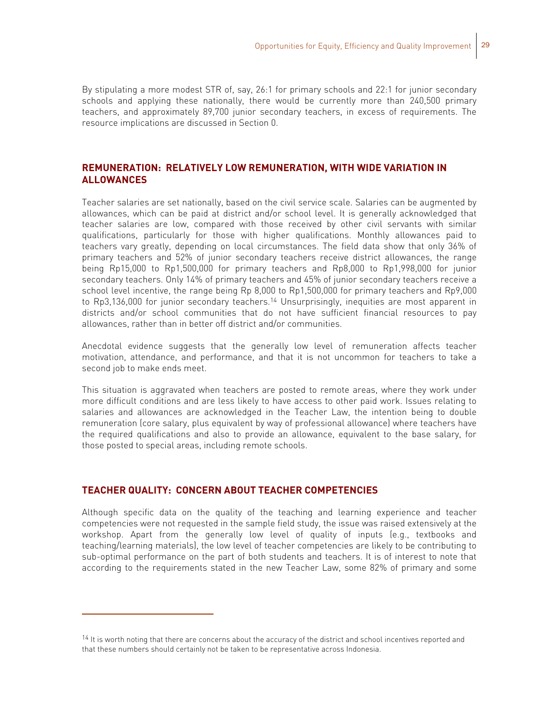By stipulating a more modest STR of, say, 26:1 for primary schools and 22:1 for junior secondary schools and applying these nationally, there would be currently more than 240,500 primary teachers, and approximately 89,700 junior secondary teachers, in excess of requirements. The resource implications are discussed in Section 0.

# **REMUNERATION: RELATIVELY LOW REMUNERATION, WITH WIDE VARIATION IN ALLOWANCES**

Teacher salaries are set nationally, based on the civil service scale. Salaries can be augmented by allowances, which can be paid at district and/or school level. It is generally acknowledged that teacher salaries are low, compared with those received by other civil servants with similar qualifications, particularly for those with higher qualifications. Monthly allowances paid to teachers vary greatly, depending on local circumstances. The field data show that only 36% of primary teachers and 52% of junior secondary teachers receive district allowances, the range being Rp15,000 to Rp1,500,000 for primary teachers and Rp8,000 to Rp1,998,000 for junior secondary teachers. Only 14% of primary teachers and 45% of junior secondary teachers receive a school level incentive, the range being Rp 8,000 to Rp1,500,000 for primary teachers and Rp9,000 to Rp3,136,000 for junior secondary teachers.<sup>14</sup> Unsurprisingly, inequities are most apparent in districts and/or school communities that do not have sufficient financial resources to pay allowances, rather than in better off district and/or communities.

Anecdotal evidence suggests that the generally low level of remuneration affects teacher motivation, attendance, and performance, and that it is not uncommon for teachers to take a second job to make ends meet.

This situation is aggravated when teachers are posted to remote areas, where they work under more difficult conditions and are less likely to have access to other paid work. Issues relating to salaries and allowances are acknowledged in the Teacher Law, the intention being to double remuneration (core salary, plus equivalent by way of professional allowance) where teachers have the required qualifications and also to provide an allowance, equivalent to the base salary, for those posted to special areas, including remote schools.

### **TEACHER QUALITY: CONCERN ABOUT TEACHER COMPETENCIES**

Although specific data on the quality of the teaching and learning experience and teacher competencies were not requested in the sample field study, the issue was raised extensively at the workshop. Apart from the generally low level of quality of inputs (e.g., textbooks and teaching/learning materials), the low level of teacher competencies are likely to be contributing to sub-optimal performance on the part of both students and teachers. It is of interest to note that according to the requirements stated in the new Teacher Law, some 82% of primary and some

 $14$  It is worth noting that there are concerns about the accuracy of the district and school incentives reported and that these numbers should certainly not be taken to be representative across Indonesia.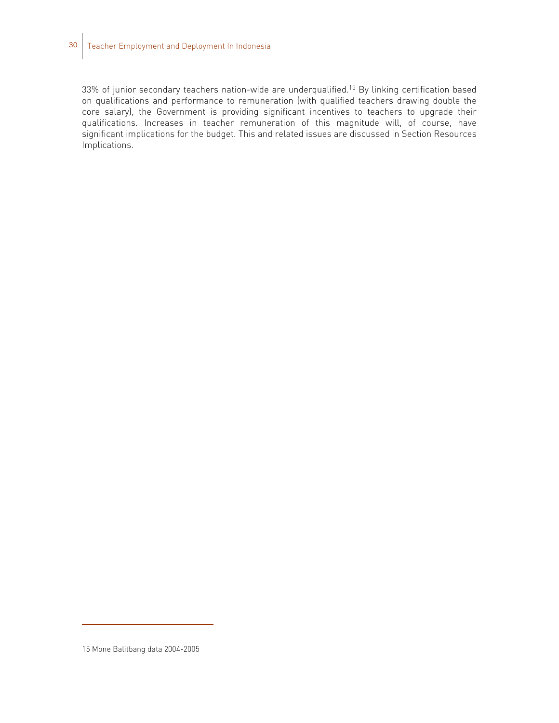# 30 Teacher Employment and Deployment In Indonesia

33% of junior secondary teachers nation-wide are underqualified.15 By linking certification based on qualifications and performance to remuneration (with qualified teachers drawing double the core salary), the Government is providing significant incentives to teachers to upgrade their qualifications. Increases in teacher remuneration of this magnitude will, of course, have significant implications for the budget. This and related issues are discussed in Section Resources Implications.

<sup>15</sup> Mone Balitbang data 2004-2005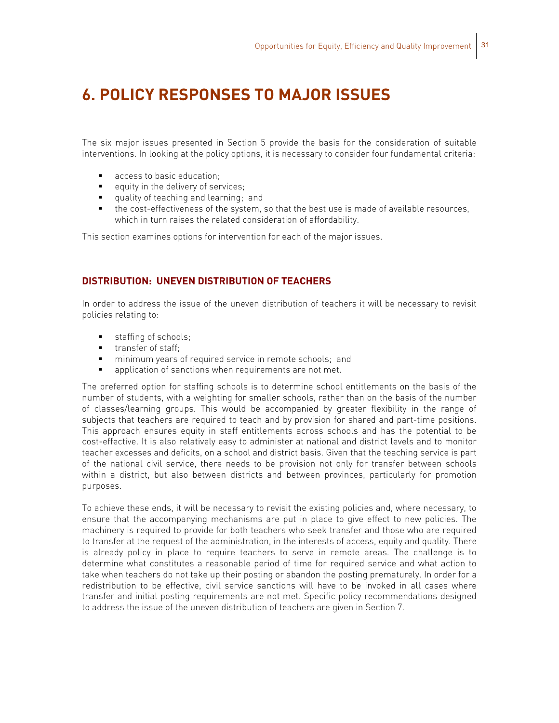## **6. POLICY RESPONSES TO MAJOR ISSUES**

The six major issues presented in Section 5 provide the basis for the consideration of suitable interventions. In looking at the policy options, it is necessary to consider four fundamental criteria:

- **access to basic education;**
- $\blacksquare$  equity in the delivery of services;
- quality of teaching and learning; and
- **the cost-effectiveness of the system, so that the best use is made of available resources,** which in turn raises the related consideration of affordability.

This section examines options for intervention for each of the major issues.

## **DISTRIBUTION: UNEVEN DISTRIBUTION OF TEACHERS**

In order to address the issue of the uneven distribution of teachers it will be necessary to revisit policies relating to:

- staffing of schools;
- **transfer of staff:**
- **n** minimum years of required service in remote schools; and
- **•** application of sanctions when requirements are not met.

The preferred option for staffing schools is to determine school entitlements on the basis of the number of students, with a weighting for smaller schools, rather than on the basis of the number of classes/learning groups. This would be accompanied by greater flexibility in the range of subjects that teachers are required to teach and by provision for shared and part-time positions. This approach ensures equity in staff entitlements across schools and has the potential to be cost-effective. It is also relatively easy to administer at national and district levels and to monitor teacher excesses and deficits, on a school and district basis. Given that the teaching service is part of the national civil service, there needs to be provision not only for transfer between schools within a district, but also between districts and between provinces, particularly for promotion purposes.

To achieve these ends, it will be necessary to revisit the existing policies and, where necessary, to ensure that the accompanying mechanisms are put in place to give effect to new policies. The machinery is required to provide for both teachers who seek transfer and those who are required to transfer at the request of the administration, in the interests of access, equity and quality. There is already policy in place to require teachers to serve in remote areas. The challenge is to determine what constitutes a reasonable period of time for required service and what action to take when teachers do not take up their posting or abandon the posting prematurely. In order for a redistribution to be effective, civil service sanctions will have to be invoked in all cases where transfer and initial posting requirements are not met. Specific policy recommendations designed to address the issue of the uneven distribution of teachers are given in Section 7.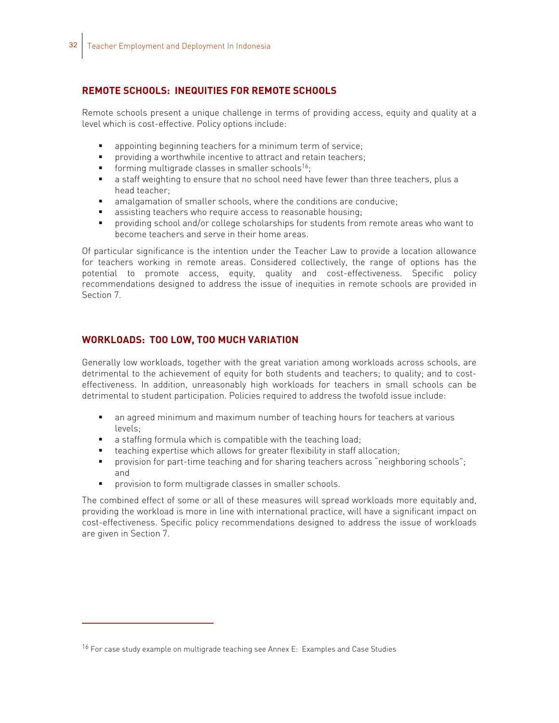### **REMOTE SCHOOLS: INEQUITIES FOR REMOTE SCHOOLS**

Remote schools present a unique challenge in terms of providing access, equity and quality at a level which is cost-effective. Policy options include:

- **•** appointing beginning teachers for a minimum term of service;
- **P** providing a worthwhile incentive to attract and retain teachers:
- forming multigrade classes in smaller schools<sup>16</sup>;
- a staff weighting to ensure that no school need have fewer than three teachers, plus a head teacher;
- amalgamation of smaller schools, where the conditions are conducive;
- **EXEC** assisting teachers who require access to reasonable housing;
- providing school and/or college scholarships for students from remote areas who want to become teachers and serve in their home areas.

Of particular significance is the intention under the Teacher Law to provide a location allowance for teachers working in remote areas. Considered collectively, the range of options has the potential to promote access, equity, quality and cost-effectiveness. Specific policy recommendations designed to address the issue of inequities in remote schools are provided in Section 7.

### **WORKLOADS: TOO LOW, TOO MUCH VARIATION**

Generally low workloads, together with the great variation among workloads across schools, are detrimental to the achievement of equity for both students and teachers; to quality; and to costeffectiveness. In addition, unreasonably high workloads for teachers in small schools can be detrimental to student participation. Policies required to address the twofold issue include:

- an agreed minimum and maximum number of teaching hours for teachers at various levels;
- **a** a staffing formula which is compatible with the teaching load;
- teaching expertise which allows for greater flexibility in staff allocation;
- provision for part-time teaching and for sharing teachers across "neighboring schools"; and
- **Philter-** provision to form multigrade classes in smaller schools.

The combined effect of some or all of these measures will spread workloads more equitably and, providing the workload is more in line with international practice, will have a significant impact on cost-effectiveness. Specific policy recommendations designed to address the issue of workloads are given in Section 7.

 $16$  For case study example on multigrade teaching see Annex E: Examples and Case Studies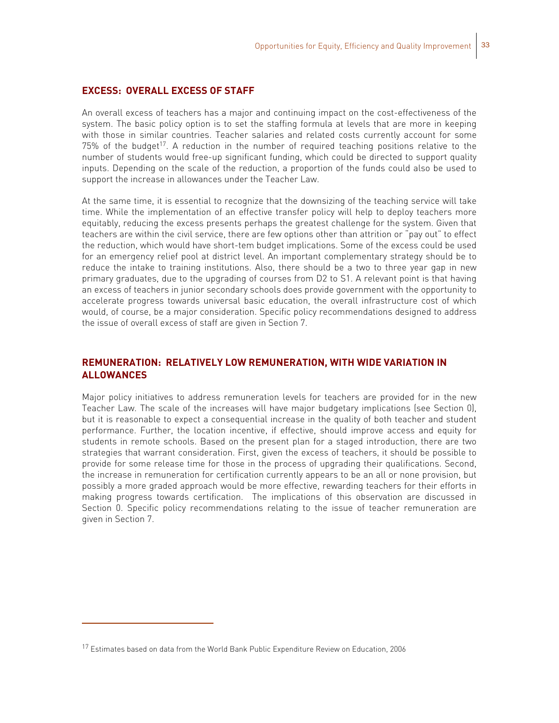### **EXCESS: OVERALL EXCESS OF STAFF**

An overall excess of teachers has a major and continuing impact on the cost-effectiveness of the system. The basic policy option is to set the staffing formula at levels that are more in keeping with those in similar countries. Teacher salaries and related costs currently account for some 75% of the budget<sup>17</sup>. A reduction in the number of required teaching positions relative to the number of students would free-up significant funding, which could be directed to support quality inputs. Depending on the scale of the reduction, a proportion of the funds could also be used to support the increase in allowances under the Teacher Law.

At the same time, it is essential to recognize that the downsizing of the teaching service will take time. While the implementation of an effective transfer policy will help to deploy teachers more equitably, reducing the excess presents perhaps the greatest challenge for the system. Given that teachers are within the civil service, there are few options other than attrition or "pay out" to effect the reduction, which would have short-tem budget implications. Some of the excess could be used for an emergency relief pool at district level. An important complementary strategy should be to reduce the intake to training institutions. Also, there should be a two to three year gap in new primary graduates, due to the upgrading of courses from D2 to S1. A relevant point is that having an excess of teachers in junior secondary schools does provide government with the opportunity to accelerate progress towards universal basic education, the overall infrastructure cost of which would, of course, be a major consideration. Specific policy recommendations designed to address the issue of overall excess of staff are given in Section 7.

### **REMUNERATION: RELATIVELY LOW REMUNERATION, WITH WIDE VARIATION IN ALLOWANCES**

Major policy initiatives to address remuneration levels for teachers are provided for in the new Teacher Law. The scale of the increases will have major budgetary implications (see Section 0), but it is reasonable to expect a consequential increase in the quality of both teacher and student performance. Further, the location incentive, if effective, should improve access and equity for students in remote schools. Based on the present plan for a staged introduction, there are two strategies that warrant consideration. First, given the excess of teachers, it should be possible to provide for some release time for those in the process of upgrading their qualifications. Second, the increase in remuneration for certification currently appears to be an all or none provision, but possibly a more graded approach would be more effective, rewarding teachers for their efforts in making progress towards certification. The implications of this observation are discussed in Section 0. Specific policy recommendations relating to the issue of teacher remuneration are given in Section 7.

<sup>&</sup>lt;sup>17</sup> Estimates based on data from the World Bank Public Expenditure Review on Education, 2006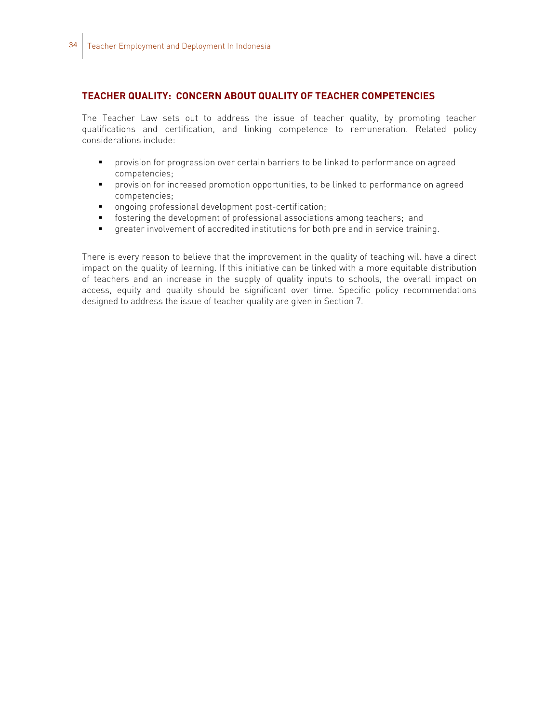#### **TEACHER QUALITY: CONCERN ABOUT QUALITY OF TEACHER COMPETENCIES**

The Teacher Law sets out to address the issue of teacher quality, by promoting teacher qualifications and certification, and linking competence to remuneration. Related policy considerations include:

- provision for progression over certain barriers to be linked to performance on agreed competencies;
- provision for increased promotion opportunities, to be linked to performance on agreed competencies;
- ongoing professional development post-certification;
- fostering the development of professional associations among teachers; and
- **The action involvement of accredited institutions for both pre and in service training.**

There is every reason to believe that the improvement in the quality of teaching will have a direct impact on the quality of learning. If this initiative can be linked with a more equitable distribution of teachers and an increase in the supply of quality inputs to schools, the overall impact on access, equity and quality should be significant over time. Specific policy recommendations designed to address the issue of teacher quality are given in Section 7.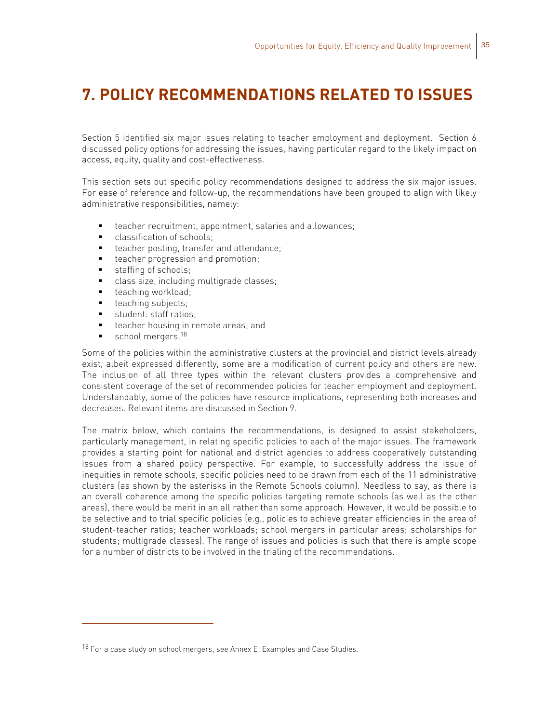## **7. POLICY RECOMMENDATIONS RELATED TO ISSUES**

Section 5 identified six major issues relating to teacher employment and deployment. Section 6 discussed policy options for addressing the issues, having particular regard to the likely impact on access, equity, quality and cost-effectiveness.

This section sets out specific policy recommendations designed to address the six major issues. For ease of reference and follow-up, the recommendations have been grouped to align with likely administrative responsibilities, namely:

- teacher recruitment, appointment, salaries and allowances;
- classification of schools;
- $\blacksquare$  teacher posting, transfer and attendance:
- teacher progression and promotion;
- staffing of schools;
- class size, including multigrade classes;
- teaching workload;
- **teaching subjects;**
- student: staff ratios;
- teacher housing in remote areas; and
- $\blacksquare$  school mergers.<sup>18</sup>

Some of the policies within the administrative clusters at the provincial and district levels already exist, albeit expressed differently, some are a modification of current policy and others are new. The inclusion of all three types within the relevant clusters provides a comprehensive and consistent coverage of the set of recommended policies for teacher employment and deployment. Understandably, some of the policies have resource implications, representing both increases and decreases. Relevant items are discussed in Section 9.

The matrix below, which contains the recommendations, is designed to assist stakeholders, particularly management, in relating specific policies to each of the major issues. The framework provides a starting point for national and district agencies to address cooperatively outstanding issues from a shared policy perspective. For example, to successfully address the issue of inequities in remote schools, specific policies need to be drawn from each of the 11 administrative clusters (as shown by the asterisks in the Remote Schools column). Needless to say, as there is an overall coherence among the specific policies targeting remote schools (as well as the other areas), there would be merit in an all rather than some approach. However, it would be possible to be selective and to trial specific policies (e.g., policies to achieve greater efficiencies in the area of student-teacher ratios; teacher workloads; school mergers in particular areas; scholarships for students; multigrade classes). The range of issues and policies is such that there is ample scope for a number of districts to be involved in the trialing of the recommendations.

<sup>&</sup>lt;sup>18</sup> For a case study on school mergers, see Annex E: Examples and Case Studies.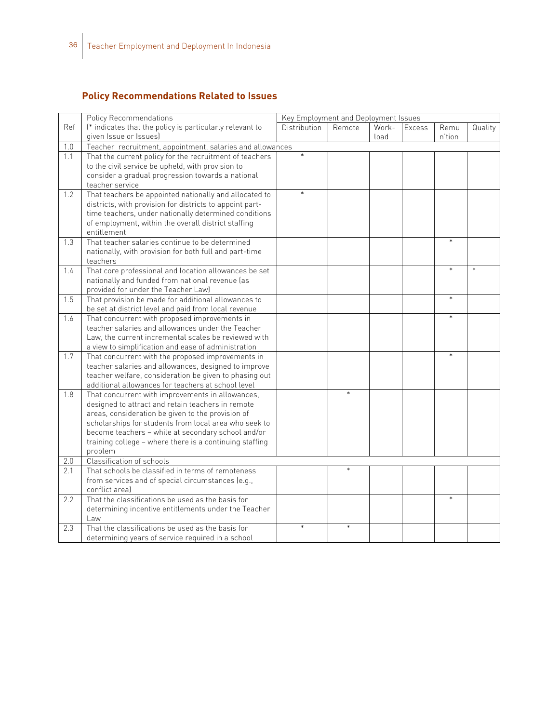## **Policy Recommendations Related to Issues**

|       | <b>Policy Recommendations</b>                                       | Key Employment and Deployment Issues |        |       |               |        |         |
|-------|---------------------------------------------------------------------|--------------------------------------|--------|-------|---------------|--------|---------|
| Ref   | (* indicates that the policy is particularly relevant to            | Distribution                         | Remote | Work- | <b>Excess</b> | Remu   | Quality |
|       | given Issue or Issues)                                              |                                      |        | load  |               | n'tion |         |
| 1.0   | Teacher recruitment, appointment, salaries and allowances           |                                      |        |       |               |        |         |
| 1.1   | That the current policy for the recruitment of teachers             | $\ast$                               |        |       |               |        |         |
|       | to the civil service be upheld, with provision to                   |                                      |        |       |               |        |         |
|       | consider a gradual progression towards a national                   |                                      |        |       |               |        |         |
|       | teacher service                                                     |                                      |        |       |               |        |         |
| 1.2   | That teachers be appointed nationally and allocated to              | $\ast$                               |        |       |               |        |         |
|       | districts, with provision for districts to appoint part-            |                                      |        |       |               |        |         |
|       | time teachers, under nationally determined conditions               |                                      |        |       |               |        |         |
|       | of employment, within the overall district staffing                 |                                      |        |       |               |        |         |
| 1.3   | entitlement<br>That teacher salaries continue to be determined      |                                      |        |       |               | $\ast$ |         |
|       |                                                                     |                                      |        |       |               |        |         |
|       | nationally, with provision for both full and part-time<br>teachers  |                                      |        |       |               |        |         |
| 1.4   | That core professional and location allowances be set               |                                      |        |       |               | $\ast$ | $\ast$  |
|       | nationally and funded from national revenue (as                     |                                      |        |       |               |        |         |
|       | provided for under the Teacher Law)                                 |                                      |        |       |               |        |         |
| 1.5   | That provision be made for additional allowances to                 |                                      |        |       |               | $\ast$ |         |
|       | be set at district level and paid from local revenue                |                                      |        |       |               |        |         |
| 1.6   | That concurrent with proposed improvements in                       |                                      |        |       |               | $\ast$ |         |
|       | teacher salaries and allowances under the Teacher                   |                                      |        |       |               |        |         |
|       | Law, the current incremental scales be reviewed with                |                                      |        |       |               |        |         |
|       | a view to simplification and ease of administration                 |                                      |        |       |               |        |         |
| 1.7   | That concurrent with the proposed improvements in                   |                                      |        |       |               | $\ast$ |         |
|       | teacher salaries and allowances, designed to improve                |                                      |        |       |               |        |         |
|       | teacher welfare, consideration be given to phasing out              |                                      |        |       |               |        |         |
|       | additional allowances for teachers at school level                  |                                      |        |       |               |        |         |
| 1.8   | That concurrent with improvements in allowances,                    |                                      |        |       |               |        |         |
|       | designed to attract and retain teachers in remote                   |                                      |        |       |               |        |         |
|       | areas, consideration be given to the provision of                   |                                      |        |       |               |        |         |
|       | scholarships for students from local area who seek to               |                                      |        |       |               |        |         |
|       | become teachers - while at secondary school and/or                  |                                      |        |       |               |        |         |
|       | training college - where there is a continuing staffing             |                                      |        |       |               |        |         |
|       | problem                                                             |                                      |        |       |               |        |         |
| $2.0$ | Classification of schools                                           |                                      | $\ast$ |       |               |        |         |
| 2.1   | That schools be classified in terms of remoteness                   |                                      |        |       |               |        |         |
|       | from services and of special circumstances (e.g.,                   |                                      |        |       |               |        |         |
|       | conflict area)<br>That the classifications be used as the basis for |                                      |        |       |               | $\ast$ |         |
| 2.2   |                                                                     |                                      |        |       |               |        |         |
|       | determining incentive entitlements under the Teacher<br>Law         |                                      |        |       |               |        |         |
| 2.3   | That the classifications be used as the basis for                   | $\ast$                               | $\ast$ |       |               |        |         |
|       | determining years of service required in a school                   |                                      |        |       |               |        |         |
|       |                                                                     |                                      |        |       |               |        |         |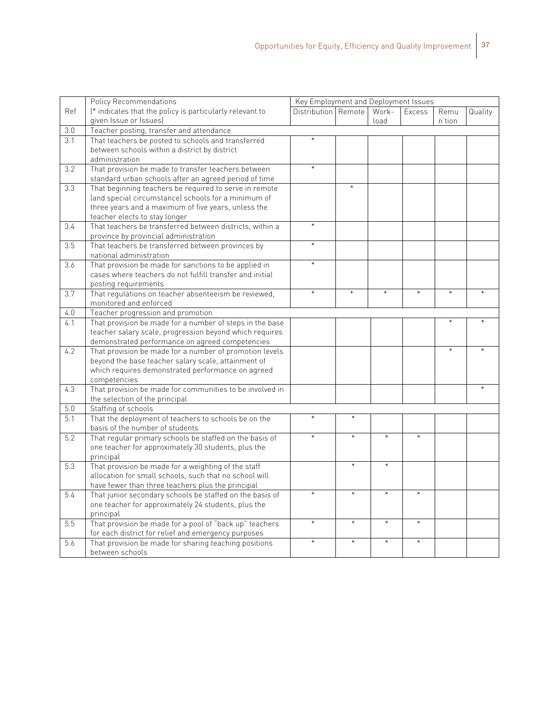|                  | Policy Recommendations                                   | Key Employment and Deployment Issues |        |        |        |        |         |
|------------------|----------------------------------------------------------|--------------------------------------|--------|--------|--------|--------|---------|
| Ref              | (* indicates that the policy is particularly relevant to | Distribution Remote                  |        | Work-  | Excess | Remu   | Quality |
|                  | given Issue or Issues)                                   |                                      |        | load   |        | n'tion |         |
| 3.0              | Teacher posting, transfer and attendance                 |                                      |        |        |        |        |         |
| 3.1              | That teachers be posted to schools and transferred       |                                      |        |        |        |        |         |
|                  | between schools within a district by district            |                                      |        |        |        |        |         |
|                  | administration                                           |                                      |        |        |        |        |         |
| 3.2              | That provision be made to transfer teachers between      |                                      |        |        |        |        |         |
|                  | standard urban schools after an agreed period of time    |                                      |        |        |        |        |         |
| 3.3              | That beginning teachers be required to serve in remote   |                                      |        |        |        |        |         |
|                  | (and special circumstance) schools for a minimum of      |                                      |        |        |        |        |         |
|                  | three years and a maximum of five years, unless the      |                                      |        |        |        |        |         |
|                  | teacher elects to stay longer                            |                                      |        |        |        |        |         |
| 3.4              | That teachers be transferred between districts, within a | $\ast$                               |        |        |        |        |         |
|                  |                                                          |                                      |        |        |        |        |         |
|                  | province by provincial administration                    | $\ast$                               |        |        |        |        |         |
| $\overline{3.5}$ | That teachers be transferred between provinces by        |                                      |        |        |        |        |         |
|                  | national administration                                  | $\ast$                               |        |        |        |        |         |
| 3.6              | That provision be made for sanctions to be applied in    |                                      |        |        |        |        |         |
|                  | cases where teachers do not fulfill transfer and initial |                                      |        |        |        |        |         |
|                  | posting requirements                                     |                                      |        |        |        |        |         |
| 3.7              | That regulations on teacher absenteeism be reviewed,     | $\ast$                               | $\ast$ | $\ast$ | $\ast$ | $\ast$ |         |
|                  | monitored and enforced                                   |                                      |        |        |        |        |         |
| 4.0              | Teacher progression and promotion                        |                                      |        |        |        |        |         |
| 4.1              | That provision be made for a number of steps in the base |                                      |        |        |        |        |         |
|                  | teacher salary scale, progression beyond which requires  |                                      |        |        |        |        |         |
|                  | demonstrated performance on agreed competencies          |                                      |        |        |        |        |         |
| 4.2              | That provision be made for a number of promotion levels  |                                      |        |        |        |        |         |
|                  | beyond the base teacher salary scale, attainment of      |                                      |        |        |        |        |         |
|                  | which requires demonstrated performance on agreed        |                                      |        |        |        |        |         |
|                  | competencies                                             |                                      |        |        |        |        |         |
| 4.3              | That provision be made for communities to be involved in |                                      |        |        |        |        | $\ast$  |
|                  | the selection of the principal                           |                                      |        |        |        |        |         |
| 5.0              | Staffing of schools                                      |                                      |        |        |        |        |         |
| 5.1              | That the deployment of teachers to schools be on the     | $\ast$                               | $\ast$ |        |        |        |         |
|                  | basis of the number of students                          |                                      |        |        |        |        |         |
| 5.2              | That regular primary schools be staffed on the basis of  | $\ast$                               | $\ast$ | $\ast$ | $\ast$ |        |         |
|                  | one teacher for approximately 30 students, plus the      |                                      |        |        |        |        |         |
|                  | principal                                                |                                      |        |        |        |        |         |
| 5.3              | That provision be made for a weighting of the staff      |                                      | $\ast$ | $\ast$ |        |        |         |
|                  | allocation for small schools, such that no school will   |                                      |        |        |        |        |         |
|                  | have fewer than three teachers plus the principal        |                                      |        |        |        |        |         |
| 5.4              | That junior secondary schools be staffed on the basis of | $\ast$                               | $\ast$ | $\ast$ | $\ast$ |        |         |
|                  | one teacher for approximately 24 students, plus the      |                                      |        |        |        |        |         |
|                  | principal                                                |                                      |        |        |        |        |         |
| 5.5              | That provision be made for a pool of "back up" teachers  | $\ast$                               | $\ast$ | $\ast$ | $\ast$ |        |         |
|                  | for each district for relief and emergency purposes      |                                      |        |        |        |        |         |
| 5.6              |                                                          | $\ast$                               |        | $\ast$ |        |        |         |
|                  | That provision be made for sharing teaching positions    |                                      |        |        |        |        |         |
|                  | between schools                                          |                                      |        |        |        |        |         |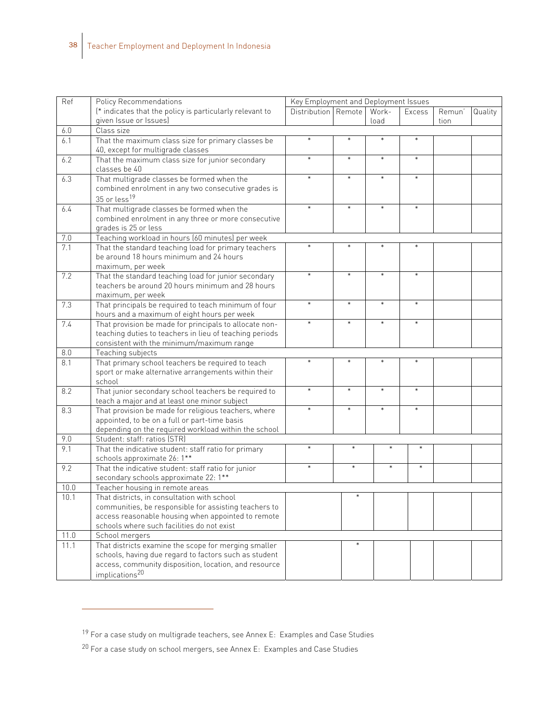| Ref  | <b>Policy Recommendations</b>                                  | Key Employment and Deployment Issues |        |        |        |        |         |
|------|----------------------------------------------------------------|--------------------------------------|--------|--------|--------|--------|---------|
|      | (* indicates that the policy is particularly relevant to       | Distribution Remote                  |        | Work-  | Excess | Remun' | Quality |
|      | given Issue or Issues)                                         |                                      |        | load   |        | tion   |         |
| 6.0  | Class size                                                     |                                      |        |        |        |        |         |
| 6.1  | That the maximum class size for primary classes be             | $\ast$                               | $\ast$ |        | $\ast$ |        |         |
|      | 40, except for multigrade classes                              |                                      |        |        |        |        |         |
| 6.2  | That the maximum class size for junior secondary               | $\ast$                               | $\ast$ | $\ast$ | $\ast$ |        |         |
|      | classes be 40                                                  |                                      |        |        |        |        |         |
| 6.3  | That multigrade classes be formed when the                     | $\ast$                               | $\ast$ | $\ast$ | $\ast$ |        |         |
|      | combined enrolment in any two consecutive grades is            |                                      |        |        |        |        |         |
|      | 35 or less <sup>19</sup>                                       |                                      |        |        |        |        |         |
| 6.4  | That multigrade classes be formed when the                     | $\ast$                               | $\ast$ | $\ast$ | $\ast$ |        |         |
|      | combined enrolment in any three or more consecutive            |                                      |        |        |        |        |         |
|      | grades is 25 or less                                           |                                      |        |        |        |        |         |
| 7.0  | Teaching workload in hours (60 minutes) per week               |                                      |        |        |        |        |         |
| 7.1  | That the standard teaching load for primary teachers           | $\ast$                               | $\ast$ | $\ast$ | $\ast$ |        |         |
|      | be around 18 hours minimum and 24 hours                        |                                      |        |        |        |        |         |
|      | maximum, per week                                              |                                      |        |        |        |        |         |
| 7.2  | That the standard teaching load for junior secondary           | $\ast$                               | $\ast$ | $\ast$ | $\ast$ |        |         |
|      | teachers be around 20 hours minimum and 28 hours               |                                      |        |        |        |        |         |
|      | maximum, per week                                              |                                      |        |        |        |        |         |
| 7.3  | That principals be required to teach minimum of four           | $\ast$                               | $\ast$ | $\ast$ | $\ast$ |        |         |
|      | hours and a maximum of eight hours per week                    |                                      |        |        |        |        |         |
| 7.4  | That provision be made for principals to allocate non-         | $\ast$                               | $\ast$ |        | $\ast$ |        |         |
|      | teaching duties to teachers in lieu of teaching periods        |                                      |        |        |        |        |         |
|      | consistent with the minimum/maximum range                      |                                      |        |        |        |        |         |
| 8.0  | Teaching subjects                                              | $\ast$                               | $\ast$ |        | $\ast$ |        |         |
| 8.1  | That primary school teachers be required to teach              |                                      |        |        |        |        |         |
|      | sport or make alternative arrangements within their            |                                      |        |        |        |        |         |
| 8.2  | school<br>That junior secondary school teachers be required to | $\ast$                               | $\ast$ | $\ast$ | $\ast$ |        |         |
|      | teach a major and at least one minor subject                   |                                      |        |        |        |        |         |
| 8.3  | That provision be made for religious teachers, where           | $\ast$                               | $\ast$ | $\ast$ | $\ast$ |        |         |
|      | appointed, to be on a full or part-time basis                  |                                      |        |        |        |        |         |
|      | depending on the required workload within the school           |                                      |        |        |        |        |         |
| 9.0  | Student: staff: ratios (STR)                                   |                                      |        |        |        |        |         |
| 9.1  | That the indicative student: staff ratio for primary           | $\ast$                               | $\ast$ | $\ast$ | $\ast$ |        |         |
|      | schools approximate 26: 1**                                    |                                      |        |        |        |        |         |
| 9.2  | That the indicative student: staff ratio for junior            | $\ast$                               | $\ast$ | $\ast$ | $\ast$ |        |         |
|      | secondary schools approximate 22: 1**                          |                                      |        |        |        |        |         |
| 10.0 | Teacher housing in remote areas                                |                                      |        |        |        |        |         |
| 10.1 | That districts, in consultation with school                    |                                      | $\ast$ |        |        |        |         |
|      | communities, be responsible for assisting teachers to          |                                      |        |        |        |        |         |
|      | access reasonable housing when appointed to remote             |                                      |        |        |        |        |         |
|      | schools where such facilities do not exist                     |                                      |        |        |        |        |         |
| 11.0 | School mergers                                                 |                                      |        |        |        |        |         |
| 11.1 | That districts examine the scope for merging smaller           |                                      | $\ast$ |        |        |        |         |
|      | schools, having due regard to factors such as student          |                                      |        |        |        |        |         |
|      | access, community disposition, location, and resource          |                                      |        |        |        |        |         |
|      | implications <sup>20</sup>                                     |                                      |        |        |        |        |         |

 $19$  For a case study on multigrade teachers, see Annex E: Examples and Case Studies

<sup>20</sup> For a case study on school mergers, see Annex E: Examples and Case Studies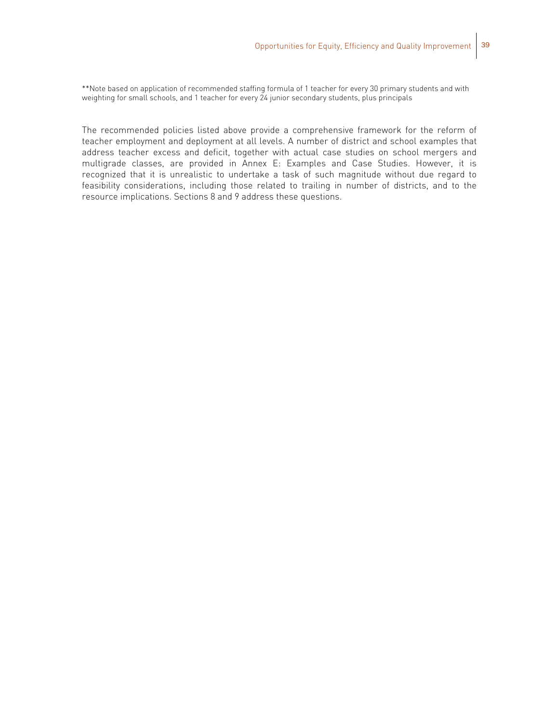\*\*Note based on application of recommended staffing formula of 1 teacher for every 30 primary students and with weighting for small schools, and 1 teacher for every 24 junior secondary students, plus principals

The recommended policies listed above provide a comprehensive framework for the reform of teacher employment and deployment at all levels. A number of district and school examples that address teacher excess and deficit, together with actual case studies on school mergers and multigrade classes, are provided in Annex E: Examples and Case Studies. However, it is recognized that it is unrealistic to undertake a task of such magnitude without due regard to feasibility considerations, including those related to trailing in number of districts, and to the resource implications. Sections 8 and 9 address these questions.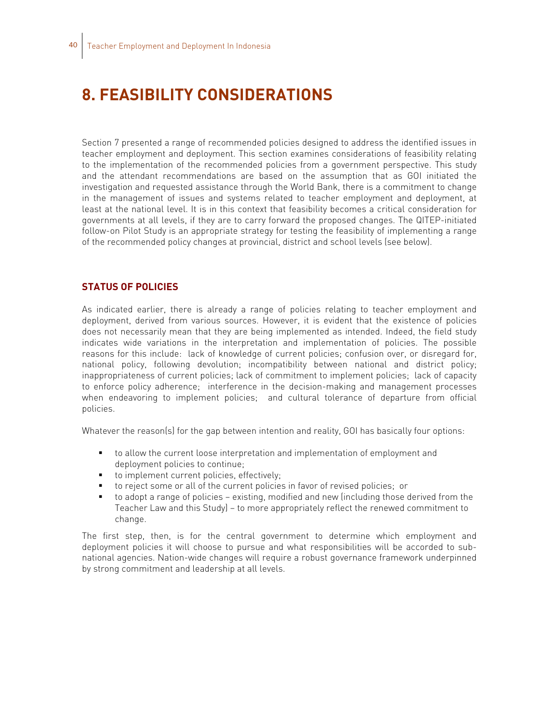## **8. FEASIBILITY CONSIDERATIONS**

Section 7 presented a range of recommended policies designed to address the identified issues in teacher employment and deployment. This section examines considerations of feasibility relating to the implementation of the recommended policies from a government perspective. This study and the attendant recommendations are based on the assumption that as GOI initiated the investigation and requested assistance through the World Bank, there is a commitment to change in the management of issues and systems related to teacher employment and deployment, at least at the national level. It is in this context that feasibility becomes a critical consideration for governments at all levels, if they are to carry forward the proposed changes. The QITEP-initiated follow-on Pilot Study is an appropriate strategy for testing the feasibility of implementing a range of the recommended policy changes at provincial, district and school levels (see below).

#### **STATUS OF POLICIES**

As indicated earlier, there is already a range of policies relating to teacher employment and deployment, derived from various sources. However, it is evident that the existence of policies does not necessarily mean that they are being implemented as intended. Indeed, the field study indicates wide variations in the interpretation and implementation of policies. The possible reasons for this include: lack of knowledge of current policies; confusion over, or disregard for, national policy, following devolution; incompatibility between national and district policy; inappropriateness of current policies; lack of commitment to implement policies; lack of capacity to enforce policy adherence; interference in the decision-making and management processes when endeavoring to implement policies; and cultural tolerance of departure from official policies.

Whatever the reason(s) for the gap between intention and reality, GOI has basically four options:

- to allow the current loose interpretation and implementation of employment and deployment policies to continue;
- to implement current policies, effectively;
- to reject some or all of the current policies in favor of revised policies; or
- to adopt a range of policies existing, modified and new (including those derived from the Teacher Law and this Study) – to more appropriately reflect the renewed commitment to change.

The first step, then, is for the central government to determine which employment and deployment policies it will choose to pursue and what responsibilities will be accorded to subnational agencies. Nation-wide changes will require a robust governance framework underpinned by strong commitment and leadership at all levels.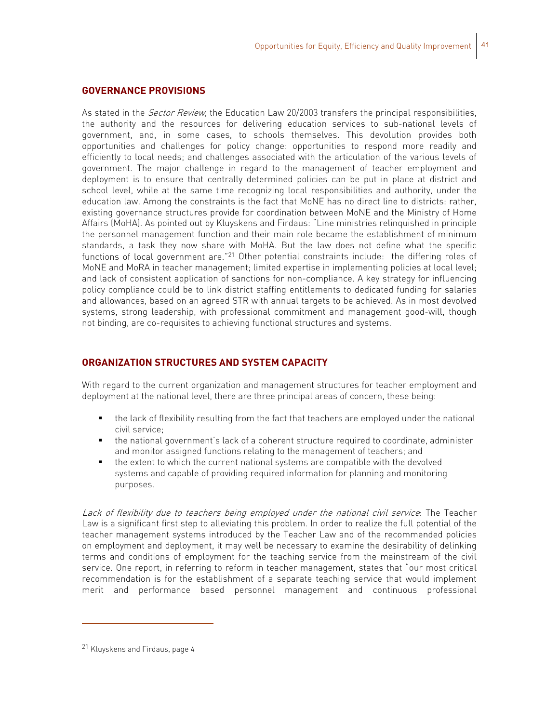### **GOVERNANCE PROVISIONS**

As stated in the *Sector Review*, the Education Law 20/2003 transfers the principal responsibilities, the authority and the resources for delivering education services to sub-national levels of government, and, in some cases, to schools themselves. This devolution provides both opportunities and challenges for policy change: opportunities to respond more readily and efficiently to local needs; and challenges associated with the articulation of the various levels of government. The major challenge in regard to the management of teacher employment and deployment is to ensure that centrally determined policies can be put in place at district and school level, while at the same time recognizing local responsibilities and authority, under the education law. Among the constraints is the fact that MoNE has no direct line to districts: rather, existing governance structures provide for coordination between MoNE and the Ministry of Home Affairs (MoHA). As pointed out by Kluyskens and Firdaus: "Line ministries relinquished in principle the personnel management function and their main role became the establishment of minimum standards, a task they now share with MoHA. But the law does not define what the specific functions of local government are."<sup>21</sup> Other potential constraints include: the differing roles of MoNE and MoRA in teacher management; limited expertise in implementing policies at local level; and lack of consistent application of sanctions for non-compliance. A key strategy for influencing policy compliance could be to link district staffing entitlements to dedicated funding for salaries and allowances, based on an agreed STR with annual targets to be achieved. As in most devolved systems, strong leadership, with professional commitment and management good-will, though not binding, are co-requisites to achieving functional structures and systems.

### **ORGANIZATION STRUCTURES AND SYSTEM CAPACITY**

With regard to the current organization and management structures for teacher employment and deployment at the national level, there are three principal areas of concern, these being:

- the lack of flexibility resulting from the fact that teachers are employed under the national civil service;
- the national government's lack of a coherent structure required to coordinate, administer and monitor assigned functions relating to the management of teachers; and
- the extent to which the current national systems are compatible with the devolved systems and capable of providing required information for planning and monitoring purposes.

Lack of flexibility due to teachers being employed under the national civil service: The Teacher Law is a significant first step to alleviating this problem. In order to realize the full potential of the teacher management systems introduced by the Teacher Law and of the recommended policies on employment and deployment, it may well be necessary to examine the desirability of delinking terms and conditions of employment for the teaching service from the mainstream of the civil service. One report, in referring to reform in teacher management, states that "our most critical recommendation is for the establishment of a separate teaching service that would implement merit and performance based personnel management and continuous professional

<sup>21</sup> Kluyskens and Firdaus, page 4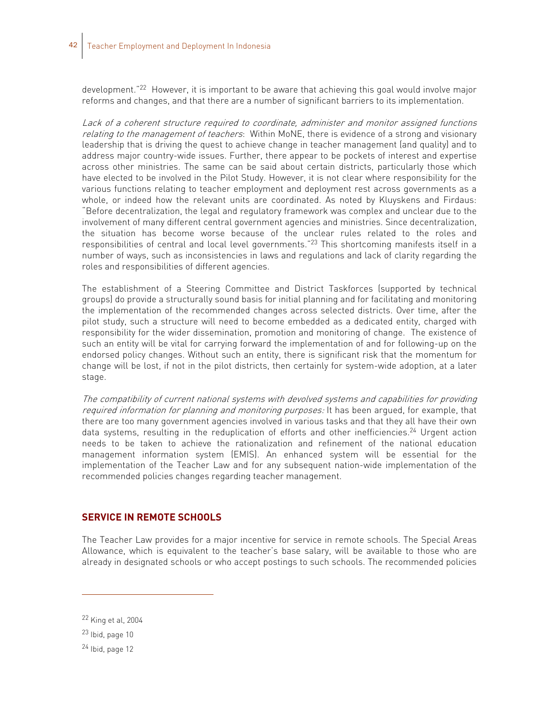development."22 However, it is important to be aware that achieving this goal would involve major reforms and changes, and that there are a number of significant barriers to its implementation.

Lack of a coherent structure required to coordinate, administer and monitor assigned functions relating to the management of teachers: Within MoNE, there is evidence of a strong and visionary leadership that is driving the quest to achieve change in teacher management (and quality) and to address major country-wide issues. Further, there appear to be pockets of interest and expertise across other ministries. The same can be said about certain districts, particularly those which have elected to be involved in the Pilot Study. However, it is not clear where responsibility for the various functions relating to teacher employment and deployment rest across governments as a whole, or indeed how the relevant units are coordinated. As noted by Kluyskens and Firdaus: "Before decentralization, the legal and regulatory framework was complex and unclear due to the involvement of many different central government agencies and ministries. Since decentralization, the situation has become worse because of the unclear rules related to the roles and responsibilities of central and local level governments."<sup>23</sup> This shortcoming manifests itself in a number of ways, such as inconsistencies in laws and regulations and lack of clarity regarding the roles and responsibilities of different agencies.

The establishment of a Steering Committee and District Taskforces (supported by technical groups) do provide a structurally sound basis for initial planning and for facilitating and monitoring the implementation of the recommended changes across selected districts. Over time, after the pilot study, such a structure will need to become embedded as a dedicated entity, charged with responsibility for the wider dissemination, promotion and monitoring of change. The existence of such an entity will be vital for carrying forward the implementation of and for following-up on the endorsed policy changes. Without such an entity, there is significant risk that the momentum for change will be lost, if not in the pilot districts, then certainly for system-wide adoption, at a later stage.

The compatibility of current national systems with devolved systems and capabilities for providing required information for planning and monitoring purposes: It has been arqued, for example, that there are too many government agencies involved in various tasks and that they all have their own data systems, resulting in the reduplication of efforts and other inefficiencies.<sup>24</sup> Urgent action needs to be taken to achieve the rationalization and refinement of the national education management information system (EMIS). An enhanced system will be essential for the implementation of the Teacher Law and for any subsequent nation-wide implementation of the recommended policies changes regarding teacher management.

#### **SERVICE IN REMOTE SCHOOLS**

The Teacher Law provides for a major incentive for service in remote schools. The Special Areas Allowance, which is equivalent to the teacher's base salary, will be available to those who are already in designated schools or who accept postings to such schools. The recommended policies

<sup>22</sup> King et al, 2004

<sup>23</sup> Ibid, page 10

<sup>24</sup> Ibid, page 12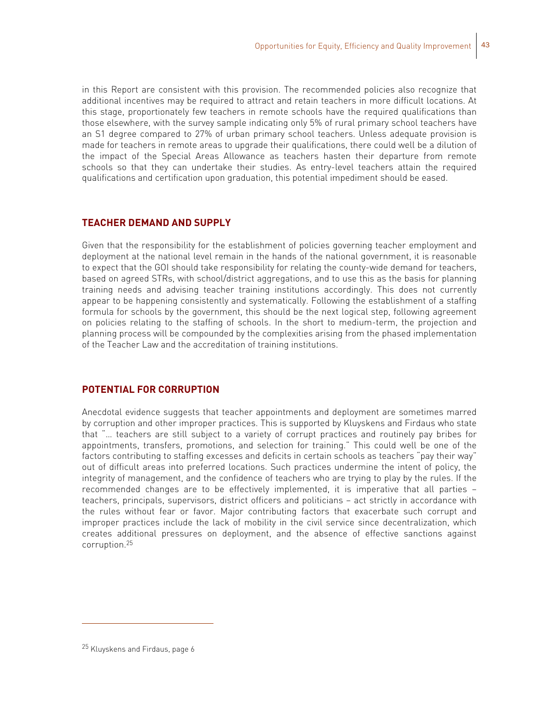in this Report are consistent with this provision. The recommended policies also recognize that additional incentives may be required to attract and retain teachers in more difficult locations. At this stage, proportionately few teachers in remote schools have the required qualifications than those elsewhere, with the survey sample indicating only 5% of rural primary school teachers have an S1 degree compared to 27% of urban primary school teachers. Unless adequate provision is made for teachers in remote areas to upgrade their qualifications, there could well be a dilution of the impact of the Special Areas Allowance as teachers hasten their departure from remote schools so that they can undertake their studies. As entry-level teachers attain the required qualifications and certification upon graduation, this potential impediment should be eased.

#### **TEACHER DEMAND AND SUPPLY**

Given that the responsibility for the establishment of policies governing teacher employment and deployment at the national level remain in the hands of the national government, it is reasonable to expect that the GOI should take responsibility for relating the county-wide demand for teachers, based on agreed STRs, with school/district aggregations, and to use this as the basis for planning training needs and advising teacher training institutions accordingly. This does not currently appear to be happening consistently and systematically. Following the establishment of a staffing formula for schools by the government, this should be the next logical step, following agreement on policies relating to the staffing of schools. In the short to medium-term, the projection and planning process will be compounded by the complexities arising from the phased implementation of the Teacher Law and the accreditation of training institutions.

#### **POTENTIAL FOR CORRUPTION**

Anecdotal evidence suggests that teacher appointments and deployment are sometimes marred by corruption and other improper practices. This is supported by Kluyskens and Firdaus who state that "… teachers are still subject to a variety of corrupt practices and routinely pay bribes for appointments, transfers, promotions, and selection for training." This could well be one of the factors contributing to staffing excesses and deficits in certain schools as teachers "pay their way" out of difficult areas into preferred locations. Such practices undermine the intent of policy, the integrity of management, and the confidence of teachers who are trying to play by the rules. If the recommended changes are to be effectively implemented, it is imperative that all parties – teachers, principals, supervisors, district officers and politicians – act strictly in accordance with the rules without fear or favor. Major contributing factors that exacerbate such corrupt and improper practices include the lack of mobility in the civil service since decentralization, which creates additional pressures on deployment, and the absence of effective sanctions against corruption.25

<sup>25</sup> Kluyskens and Firdaus, page 6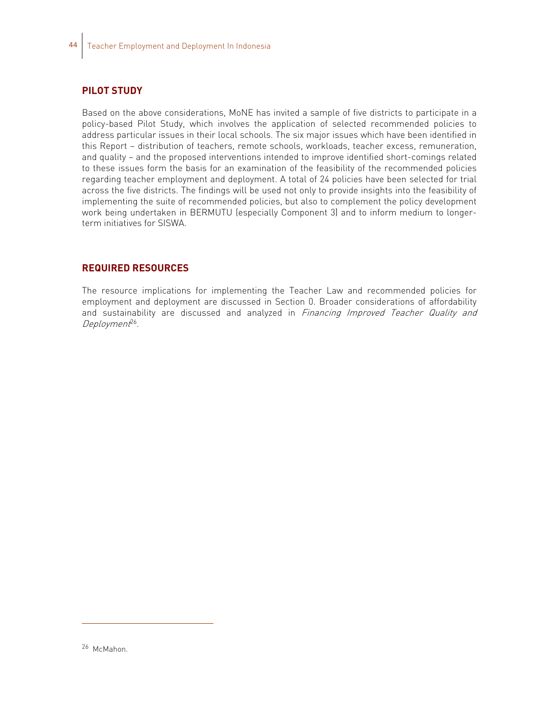## **PILOT STUDY**

Based on the above considerations, MoNE has invited a sample of five districts to participate in a policy-based Pilot Study, which involves the application of selected recommended policies to address particular issues in their local schools. The six major issues which have been identified in this Report – distribution of teachers, remote schools, workloads, teacher excess, remuneration, and quality – and the proposed interventions intended to improve identified short-comings related to these issues form the basis for an examination of the feasibility of the recommended policies regarding teacher employment and deployment. A total of 24 policies have been selected for trial across the five districts. The findings will be used not only to provide insights into the feasibility of implementing the suite of recommended policies, but also to complement the policy development work being undertaken in BERMUTU (especially Component 3) and to inform medium to longerterm initiatives for SISWA.

## **REQUIRED RESOURCES**

The resource implications for implementing the Teacher Law and recommended policies for employment and deployment are discussed in Section 0. Broader considerations of affordability and sustainability are discussed and analyzed in Financing Improved Teacher Quality and Deployment<sup>26</sup>.

<sup>26</sup> McMahon.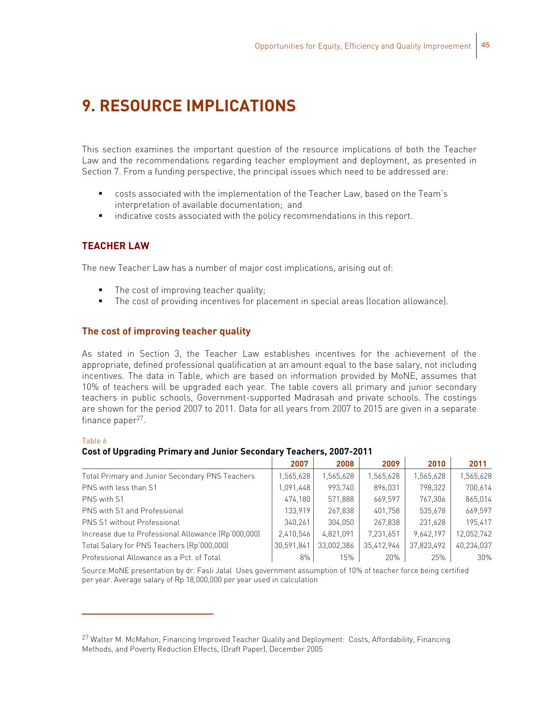## **9. RESOURCE IMPLICATIONS**

This section examines the important question of the resource implications of both the Teacher Law and the recommendations regarding teacher employment and deployment, as presented in Section 7. From a funding perspective, the principal issues which need to be addressed are:

- costs associated with the implementation of the Teacher Law, based on the Team's interpretation of available documentation; and
- **Indicative costs associated with the policy recommendations in this report.**

## **TEACHER LAW**

The new Teacher Law has a number of major cost implications, arising out of:

- The cost of improving teacher quality;
- The cost of providing incentives for placement in special areas (location allowance).

### **The cost of improving teacher quality**

As stated in Section 3, the Teacher Law establishes incentives for the achievement of the appropriate, defined professional qualification at an amount equal to the base salary, not including incentives. The data in Table, which are based on information provided by MoNE, assumes that 10% of teachers will be upgraded each year. The table covers all primary and junior secondary teachers in public schools, Government-supported Madrasah and private schools. The costings are shown for the period 2007 to 2011. Data for all years from 2007 to 2015 are given in a separate finance paper $27$ .

#### Table 6

#### **Cost of Upgrading Primary and Junior Secondary Teachers, 2007-2011**

|                                                     | 2007       | 2008       | 2009       | 2010       | 2011       |
|-----------------------------------------------------|------------|------------|------------|------------|------------|
| Total Primary and Junior Secondary PNS Teachers     | 1,565,628  | 1,565,628  | 1,565,628  | 1,565,628  | 1,565,628  |
| PNS with less than S1                               | 1,091,448  | 993,740    | 896,031    | 798,322    | 700,614    |
| PNS with S1                                         | 474.180    | 571,888    | 669,597    | 767,306    | 865,014    |
| PNS with S1 and Professional                        | 133.919    | 267,838    | 401,758    | 535,678    | 669,597    |
| <b>PNS S1 without Professional</b>                  | 340.261    | 304.050    | 267,838    | 231.628    | 195.417    |
| Increase due to Professional Allowance (Rp'000,000) | 2,410,546  | 4,821,091  | 7,231,651  | 9,642,197  | 12,052,742 |
| Total Salary for PNS Teachers (Rp'000,000)          | 30,591,841 | 33,002,386 | 35,412,946 | 37,823,492 | 40,234,037 |
| Professional Allowance as a Pct. of Total           | 8%         | 15%        | 20%        | 25%        | $30\%$     |

Source:MoNE presentation by dr. Fasli Jalal Uses government assumption of 10% of teacher force being certified per year. Average salary of Rp 18,000,000 per year used in calculation

<sup>27</sup> Walter M. McMahon, Financing Improved Teacher Quality and Deployment: Costs, Affordability, Financing Methods, and Poverty Reduction Effects, (Draft Paper), December 2005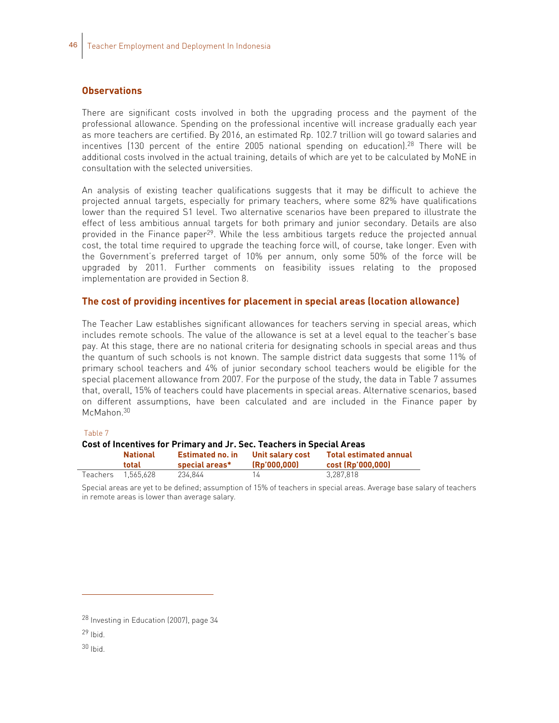### **Observations**

There are significant costs involved in both the upgrading process and the payment of the professional allowance. Spending on the professional incentive will increase gradually each year as more teachers are certified. By 2016, an estimated Rp. 102.7 trillion will go toward salaries and incentives (130 percent of the entire 2005 national spending on education).<sup>28</sup> There will be additional costs involved in the actual training, details of which are yet to be calculated by MoNE in consultation with the selected universities.

An analysis of existing teacher qualifications suggests that it may be difficult to achieve the projected annual targets, especially for primary teachers, where some 82% have qualifications lower than the required S1 level. Two alternative scenarios have been prepared to illustrate the effect of less ambitious annual targets for both primary and junior secondary. Details are also provided in the Finance paper<sup>29</sup>. While the less ambitious targets reduce the projected annual cost, the total time required to upgrade the teaching force will, of course, take longer. Even with the Government's preferred target of 10% per annum, only some 50% of the force will be upgraded by 2011. Further comments on feasibility issues relating to the proposed implementation are provided in Section 8.

#### **The cost of providing incentives for placement in special areas (location allowance)**

The Teacher Law establishes significant allowances for teachers serving in special areas, which includes remote schools. The value of the allowance is set at a level equal to the teacher's base pay. At this stage, there are no national criteria for designating schools in special areas and thus the quantum of such schools is not known. The sample district data suggests that some 11% of primary school teachers and 4% of junior secondary school teachers would be eligible for the special placement allowance from 2007. For the purpose of the study, the data in Table 7 assumes that, overall, 15% of teachers could have placements in special areas. Alternative scenarios, based on different assumptions, have been calculated and are included in the Finance paper by McMahon.<sup>30</sup>

#### Table 7

#### **Cost of Incentives for Primary and Jr. Sec. Teachers in Special Areas**

| <b>National</b>    | <b>Estimated no. in</b> | Unit salary cost | Total estimated annual |
|--------------------|-------------------------|------------------|------------------------|
| total              | special areas*          | (Rp'000,000)     | cost (Rp'000,000)      |
| Teachers 1.565.628 | 234.844                 | 14               |                        |

Special areas are yet to be defined; assumption of 15% of teachers in special areas. Average base salary of teachers in remote areas is lower than average salary.

 $30$  Ibid.

<sup>28</sup> Investing in Education (2007), page 34

 $29$  Ibid.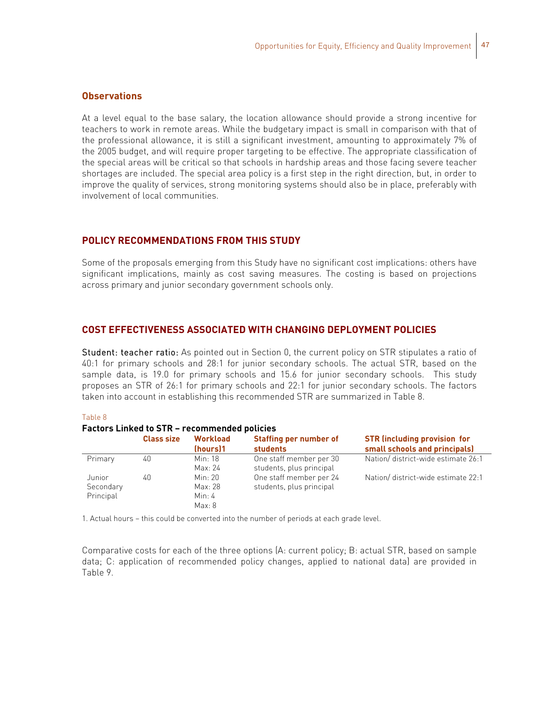#### **Observations**

At a level equal to the base salary, the location allowance should provide a strong incentive for teachers to work in remote areas. While the budgetary impact is small in comparison with that of the professional allowance, it is still a significant investment, amounting to approximately 7% of the 2005 budget, and will require proper targeting to be effective. The appropriate classification of the special areas will be critical so that schools in hardship areas and those facing severe teacher shortages are included. The special area policy is a first step in the right direction, but, in order to improve the quality of services, strong monitoring systems should also be in place, preferably with involvement of local communities.

#### **POLICY RECOMMENDATIONS FROM THIS STUDY**

Some of the proposals emerging from this Study have no significant cost implications: others have significant implications, mainly as cost saving measures. The costing is based on projections across primary and junior secondary government schools only.

#### **COST EFFECTIVENESS ASSOCIATED WITH CHANGING DEPLOYMENT POLICIES**

Student: teacher ratio: As pointed out in Section 0, the current policy on STR stipulates a ratio of 40:1 for primary schools and 28:1 for junior secondary schools. The actual STR, based on the sample data, is 19.0 for primary schools and 15.6 for junior secondary schools. This study proposes an STR of 26:1 for primary schools and 22:1 for junior secondary schools. The factors taken into account in establishing this recommended STR are summarized in Table 8.

#### Table 8

|                                  | <b>Class size</b> | Workload<br>(hours)1                   | <b>Staffing per number of</b><br><b>students</b>    | <b>STR (including provision for</b><br>small schools and principals) |
|----------------------------------|-------------------|----------------------------------------|-----------------------------------------------------|----------------------------------------------------------------------|
| Primary                          | 40                | Min: 18<br>Max: 24                     | One staff member per 30<br>students, plus principal | Nation/ district-wide estimate 26:1                                  |
| Junior<br>Secondary<br>Principal | 40                | Min: 20<br>Max: 28<br>Min: 4<br>Max: 8 | One staff member per 24<br>students, plus principal | Nation/ district-wide estimate 22:1                                  |

### **Factors Linked to STR – recommended policies**

1. Actual hours – this could be converted into the number of periods at each grade level.

Comparative costs for each of the three options (A: current policy; B: actual STR, based on sample data; C: application of recommended policy changes, applied to national data) are provided in Table 9.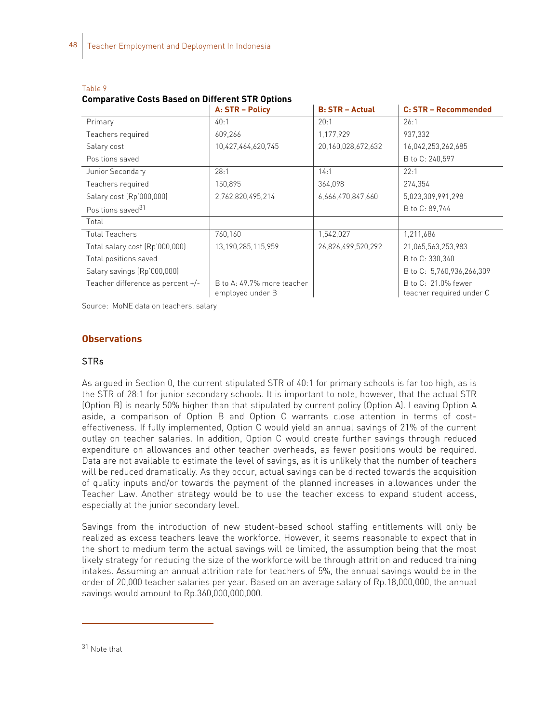|                                   | A: STR - Policy                                | <b>B: STR - Actual</b> | C: STR - Recommended                            |
|-----------------------------------|------------------------------------------------|------------------------|-------------------------------------------------|
| Primary                           | 40:1                                           | 20:1                   | 26:1                                            |
| Teachers required                 | 609,266                                        | 1,177,929              | 937,332                                         |
| Salary cost                       | 10,427,464,620,745                             | 20,160,028,672,632     | 16,042,253,262,685                              |
| Positions saved                   |                                                |                        | B to C: 240,597                                 |
| Junior Secondary                  | 28:1                                           | 14:1                   | 22:1                                            |
| Teachers required                 | 150,895                                        | 364,098                | 274,354                                         |
| Salary cost (Rp'000,000)          | 2,762,820,495,214                              | 6,666,470,847,660      | 5,023,309,991,298                               |
| Positions saved <sup>31</sup>     |                                                |                        | B to C: 89,744                                  |
| Total                             |                                                |                        |                                                 |
| <b>Total Teachers</b>             | 760,160                                        | 1,542,027              | 1,211,686                                       |
| Total salary cost (Rp'000,000)    | 13,190,285,115,959                             | 26,826,499,520,292     | 21,065,563,253,983                              |
| Total positions saved             |                                                |                        | B to C: 330,340                                 |
| Salary savings (Rp'000,000)       |                                                |                        | B to C: 5,760,936,266,309                       |
| Teacher difference as percent +/- | B to A: 49.7% more teacher<br>employed under B |                        | B to C: 21.0% fewer<br>teacher required under C |

#### Table 9

#### **Comparative Costs Based on Different STR Options**

Source: MoNE data on teachers, salary

#### **Observations**

#### **STRs**

As argued in Section 0, the current stipulated STR of 40:1 for primary schools is far too high, as is the STR of 28:1 for junior secondary schools. It is important to note, however, that the actual STR (Option B) is nearly 50% higher than that stipulated by current policy (Option A). Leaving Option A aside, a comparison of Option B and Option C warrants close attention in terms of costeffectiveness. If fully implemented, Option C would yield an annual savings of 21% of the current outlay on teacher salaries. In addition, Option C would create further savings through reduced expenditure on allowances and other teacher overheads, as fewer positions would be required. Data are not available to estimate the level of savings, as it is unlikely that the number of teachers will be reduced dramatically. As they occur, actual savings can be directed towards the acquisition of quality inputs and/or towards the payment of the planned increases in allowances under the Teacher Law. Another strategy would be to use the teacher excess to expand student access, especially at the junior secondary level.

Savings from the introduction of new student-based school staffing entitlements will only be realized as excess teachers leave the workforce. However, it seems reasonable to expect that in the short to medium term the actual savings will be limited, the assumption being that the most likely strategy for reducing the size of the workforce will be through attrition and reduced training intakes. Assuming an annual attrition rate for teachers of 5%, the annual savings would be in the order of 20,000 teacher salaries per year. Based on an average salary of Rp.18,000,000, the annual savings would amount to Rp.360,000,000,000.

31 Note that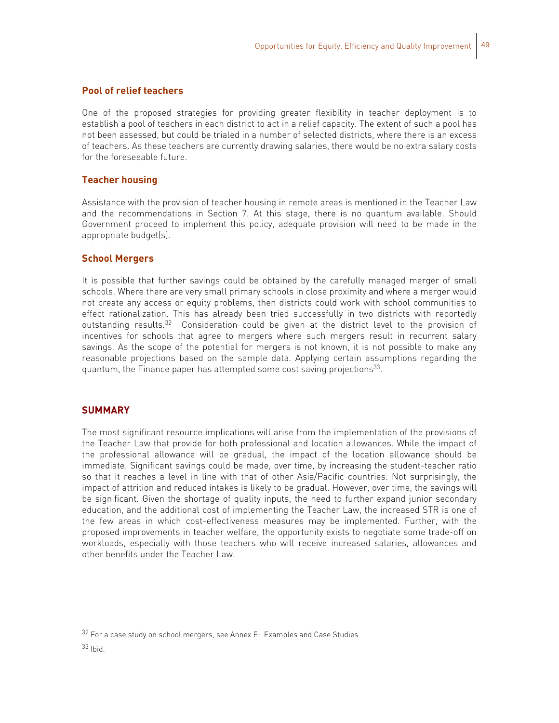### **Pool of relief teachers**

One of the proposed strategies for providing greater flexibility in teacher deployment is to establish a pool of teachers in each district to act in a relief capacity. The extent of such a pool has not been assessed, but could be trialed in a number of selected districts, where there is an excess of teachers. As these teachers are currently drawing salaries, there would be no extra salary costs for the foreseeable future.

#### **Teacher housing**

Assistance with the provision of teacher housing in remote areas is mentioned in the Teacher Law and the recommendations in Section 7. At this stage, there is no quantum available. Should Government proceed to implement this policy, adequate provision will need to be made in the appropriate budget(s).

#### **School Mergers**

It is possible that further savings could be obtained by the carefully managed merger of small schools. Where there are very small primary schools in close proximity and where a merger would not create any access or equity problems, then districts could work with school communities to effect rationalization. This has already been tried successfully in two districts with reportedly outstanding results.32 Consideration could be given at the district level to the provision of incentives for schools that agree to mergers where such mergers result in recurrent salary savings. As the scope of the potential for mergers is not known, it is not possible to make any reasonable projections based on the sample data. Applying certain assumptions regarding the quantum, the Finance paper has attempted some cost saving projections<sup>33</sup>.

#### **SUMMARY**

The most significant resource implications will arise from the implementation of the provisions of the Teacher Law that provide for both professional and location allowances. While the impact of the professional allowance will be gradual, the impact of the location allowance should be immediate. Significant savings could be made, over time, by increasing the student-teacher ratio so that it reaches a level in line with that of other Asia/Pacific countries. Not surprisingly, the impact of attrition and reduced intakes is likely to be gradual. However, over time, the savings will be significant. Given the shortage of quality inputs, the need to further expand junior secondary education, and the additional cost of implementing the Teacher Law, the increased STR is one of the few areas in which cost-effectiveness measures may be implemented. Further, with the proposed improvements in teacher welfare, the opportunity exists to negotiate some trade-off on workloads, especially with those teachers who will receive increased salaries, allowances and other benefits under the Teacher Law.

<sup>32</sup> For a case study on school mergers, see Annex E: Examples and Case Studies

 $33$  Ibid.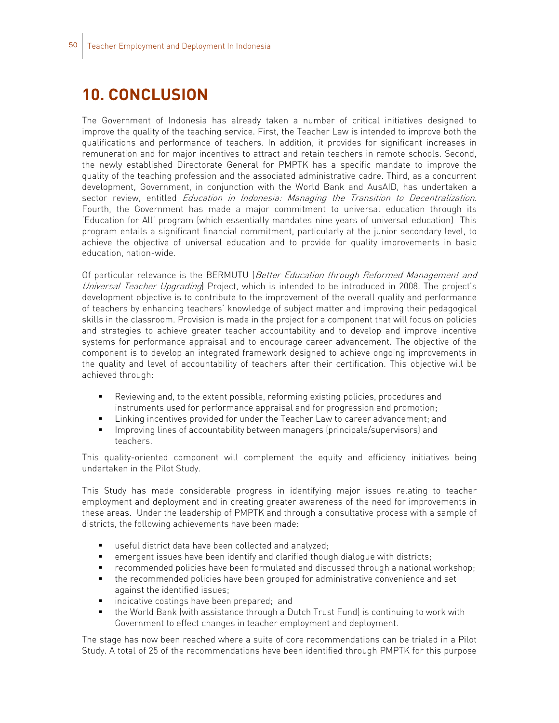## **10. CONCLUSION**

The Government of Indonesia has already taken a number of critical initiatives designed to improve the quality of the teaching service. First, the Teacher Law is intended to improve both the qualifications and performance of teachers. In addition, it provides for significant increases in remuneration and for major incentives to attract and retain teachers in remote schools. Second, the newly established Directorate General for PMPTK has a specific mandate to improve the quality of the teaching profession and the associated administrative cadre. Third, as a concurrent development, Government, in conjunction with the World Bank and AusAID, has undertaken a sector review, entitled Education in Indonesia: Managing the Transition to Decentralization. Fourth, the Government has made a major commitment to universal education through its 'Education for All' program (which essentially mandates nine years of universal education) This program entails a significant financial commitment, particularly at the junior secondary level, to achieve the objective of universal education and to provide for quality improvements in basic education, nation-wide.

Of particular relevance is the BERMUTU (Better Education through Reformed Management and Universal Teacher Upgrading) Project, which is intended to be introduced in 2008. The project's development objective is to contribute to the improvement of the overall quality and performance of teachers by enhancing teachers' knowledge of subject matter and improving their pedagogical skills in the classroom. Provision is made in the project for a component that will focus on policies and strategies to achieve greater teacher accountability and to develop and improve incentive systems for performance appraisal and to encourage career advancement. The objective of the component is to develop an integrated framework designed to achieve ongoing improvements in the quality and level of accountability of teachers after their certification. This objective will be achieved through:

- Reviewing and, to the extent possible, reforming existing policies, procedures and instruments used for performance appraisal and for progression and promotion;
- Linking incentives provided for under the Teacher Law to career advancement; and
- **IMPROVING 19 IMPROVIOUS CONCIDENT** 10 IMPROVING 1 IMPROVING 1 IMPROVING 1 IMPROVING 1 IMPROVING 1 IMPROVING 1 IMPROVING 1 IMPROVING 1 IMPROVING 1 IMPROVING 1 IMPROVING 1 IMPROVING 1 IMPROVING 1 IMPROVING 1 IMPROVING 1 IMP teachers.

This quality-oriented component will complement the equity and efficiency initiatives being undertaken in the Pilot Study.

This Study has made considerable progress in identifying major issues relating to teacher employment and deployment and in creating greater awareness of the need for improvements in these areas. Under the leadership of PMPTK and through a consultative process with a sample of districts, the following achievements have been made:

- useful district data have been collected and analyzed;
- emergent issues have been identify and clarified though dialogue with districts;
- recommended policies have been formulated and discussed through a national workshop;
- the recommended policies have been grouped for administrative convenience and set against the identified issues;
- **I** indicative costings have been prepared; and
- **•** the World Bank (with assistance through a Dutch Trust Fund) is continuing to work with Government to effect changes in teacher employment and deployment.

The stage has now been reached where a suite of core recommendations can be trialed in a Pilot Study. A total of 25 of the recommendations have been identified through PMPTK for this purpose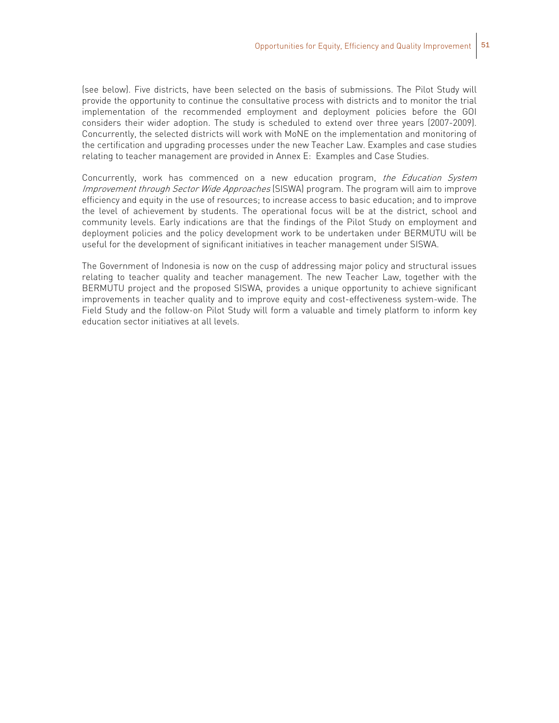(see below). Five districts, have been selected on the basis of submissions. The Pilot Study will provide the opportunity to continue the consultative process with districts and to monitor the trial implementation of the recommended employment and deployment policies before the GOI considers their wider adoption. The study is scheduled to extend over three years (2007-2009). Concurrently, the selected districts will work with MoNE on the implementation and monitoring of the certification and upgrading processes under the new Teacher Law. Examples and case studies relating to teacher management are provided in Annex E: Examples and Case Studies.

Concurrently, work has commenced on a new education program, the Education System Improvement through Sector Wide Approaches (SISWA) program. The program will aim to improve efficiency and equity in the use of resources; to increase access to basic education; and to improve the level of achievement by students. The operational focus will be at the district, school and community levels. Early indications are that the findings of the Pilot Study on employment and deployment policies and the policy development work to be undertaken under BERMUTU will be useful for the development of significant initiatives in teacher management under SISWA.

The Government of Indonesia is now on the cusp of addressing major policy and structural issues relating to teacher quality and teacher management. The new Teacher Law, together with the BERMUTU project and the proposed SISWA, provides a unique opportunity to achieve significant improvements in teacher quality and to improve equity and cost-effectiveness system-wide. The Field Study and the follow-on Pilot Study will form a valuable and timely platform to inform key education sector initiatives at all levels.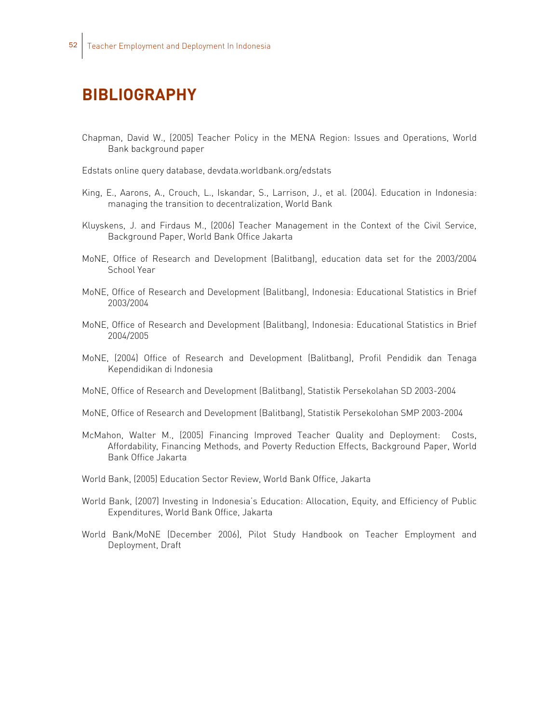## **BIBLIOGRAPHY**

Chapman, David W., (2005) Teacher Policy in the MENA Region: Issues and Operations, World Bank background paper

Edstats online query database, devdata.worldbank.org/edstats

- King, E., Aarons, A., Crouch, L., Iskandar, S., Larrison, J., et al. (2004). Education in Indonesia: managing the transition to decentralization, World Bank
- Kluyskens, J. and Firdaus M., (2006) Teacher Management in the Context of the Civil Service, Background Paper, World Bank Office Jakarta
- MoNE, Office of Research and Development (Balitbang), education data set for the 2003/2004 School Year
- MoNE, Office of Research and Development (Balitbang), Indonesia: Educational Statistics in Brief 2003/2004
- MoNE, Office of Research and Development (Balitbang), Indonesia: Educational Statistics in Brief 2004/2005
- MoNE, (2004) Office of Research and Development (Balitbang), Profil Pendidik dan Tenaga Kependidikan di Indonesia
- MoNE, Office of Research and Development (Balitbang), Statistik Persekolahan SD 2003-2004
- MoNE, Office of Research and Development (Balitbang), Statistik Persekolohan SMP 2003-2004
- McMahon, Walter M., (2005) Financing Improved Teacher Quality and Deployment: Costs, Affordability, Financing Methods, and Poverty Reduction Effects, Background Paper, World Bank Office Jakarta
- World Bank, (2005) Education Sector Review, World Bank Office, Jakarta
- World Bank, (2007) Investing in Indonesia's Education: Allocation, Equity, and Efficiency of Public Expenditures, World Bank Office, Jakarta
- World Bank/MoNE (December 2006), Pilot Study Handbook on Teacher Employment and Deployment, Draft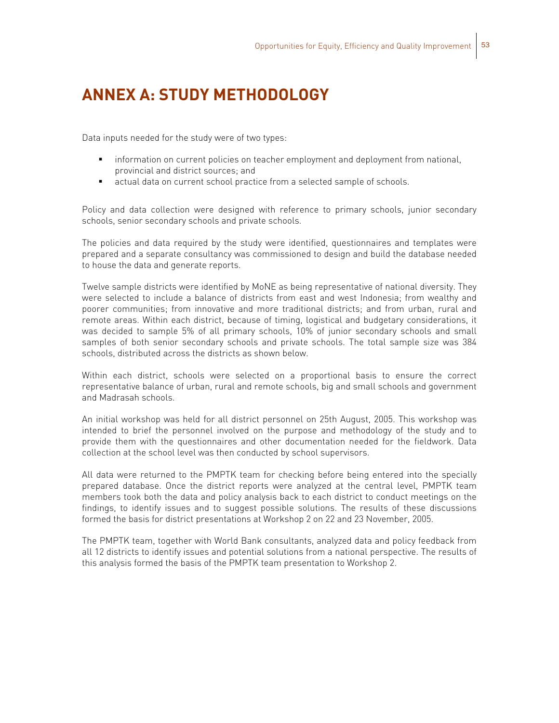## **ANNEX A: STUDY METHODOLOGY**

Data inputs needed for the study were of two types:

- information on current policies on teacher employment and deployment from national, provincial and district sources; and
- actual data on current school practice from a selected sample of schools.

Policy and data collection were designed with reference to primary schools, junior secondary schools, senior secondary schools and private schools.

The policies and data required by the study were identified, questionnaires and templates were prepared and a separate consultancy was commissioned to design and build the database needed to house the data and generate reports.

Twelve sample districts were identified by MoNE as being representative of national diversity. They were selected to include a balance of districts from east and west Indonesia; from wealthy and poorer communities; from innovative and more traditional districts; and from urban, rural and remote areas. Within each district, because of timing, logistical and budgetary considerations, it was decided to sample 5% of all primary schools, 10% of junior secondary schools and small samples of both senior secondary schools and private schools. The total sample size was 384 schools, distributed across the districts as shown below.

Within each district, schools were selected on a proportional basis to ensure the correct representative balance of urban, rural and remote schools, big and small schools and government and Madrasah schools.

An initial workshop was held for all district personnel on 25th August, 2005. This workshop was intended to brief the personnel involved on the purpose and methodology of the study and to provide them with the questionnaires and other documentation needed for the fieldwork. Data collection at the school level was then conducted by school supervisors.

All data were returned to the PMPTK team for checking before being entered into the specially prepared database. Once the district reports were analyzed at the central level, PMPTK team members took both the data and policy analysis back to each district to conduct meetings on the findings, to identify issues and to suggest possible solutions. The results of these discussions formed the basis for district presentations at Workshop 2 on 22 and 23 November, 2005.

The PMPTK team, together with World Bank consultants, analyzed data and policy feedback from all 12 districts to identify issues and potential solutions from a national perspective. The results of this analysis formed the basis of the PMPTK team presentation to Workshop 2.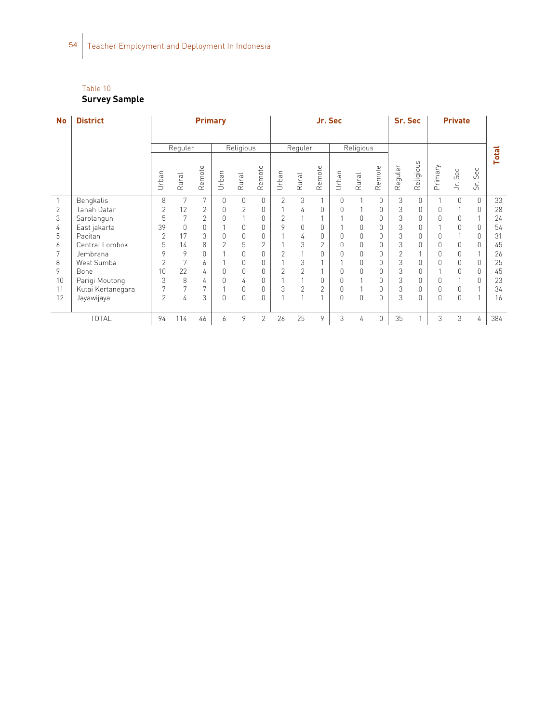#### Table 10 **Survey Sample**

| <b>No</b>    | <b>District</b>    | <b>Primary</b> |                |                |               |                |                |                |                |                | Jr. Sec  |                |        |                | Sr. Sec     |           | <b>Private</b> |                                |              |
|--------------|--------------------|----------------|----------------|----------------|---------------|----------------|----------------|----------------|----------------|----------------|----------|----------------|--------|----------------|-------------|-----------|----------------|--------------------------------|--------------|
|              |                    |                | Reguler        |                |               | Religious      |                |                | Reguler        |                |          | Religious      |        |                |             |           |                |                                |              |
|              |                    | Urban          | Rural          | Remote         | Urban         | Rural          | Remote         | Urban          | Rural          | Remote         | Urban    | Rural          | Remote | Reguler        | Religious   | Primary   | Sec<br>$\leq$  | $_{\odot}^{\rm C}$<br>Ū<br>ŠΓ. | <b>Total</b> |
|              | Bengkalis          | 8              | 7              | 7              | $\Omega$      | $\Omega$       | $\Omega$       | $\overline{2}$ | 3              | $\mathbf{1}$   | $\Omega$ |                | 0      | 3              | $\Omega$    |           | $\Omega$       | $\Omega$                       | 33           |
| $\mathbf{2}$ | <b>Tanah Datar</b> | $\overline{2}$ | 12             | 2              | 0             | $\overline{2}$ | 0              |                | 4              | $\Omega$       | $\Omega$ |                | 0      | 3              | $\Omega$    | U         |                | 0                              | 28           |
| 3            | Sarolangun         | 5              | $\overline{7}$ | $\overline{2}$ | $\cap$        |                | 0              | $\overline{2}$ |                |                |          | $\Omega$       | 0      | 3              | $\Omega$    | $\bigcap$ | $\Omega$       | $\mathbf{1}$                   | 24           |
| 4            | East jakarta       | 39             | $\bigcap$      | 0              |               | 0              | $\overline{0}$ | 9              | 0              | $\Omega$       |          | $\overline{0}$ | 0      | 3              | $\Omega$    |           | $\Omega$       | 0                              | 54           |
| 5            | Pacitan            | $\overline{2}$ | 17             | 3              | 0             | U              | 0              |                | 4              | $\Omega$       | $\cap$   | $\Omega$       | 0      | 3              | $\cap$      | $\bigcap$ |                | 0                              | 31           |
| 6            | Central Lombok     | 5              | 14             | 8              | $\mathcal{P}$ | 5              | $\overline{2}$ |                | 3              | 2              | $\cap$   | $\overline{0}$ | 0      | 3              | $\Omega$    | $\cap$    | $\Omega$       | 0                              | 45           |
|              | Jembrana           | 9              | 9              | 0              |               |                | $\Omega$       | $\overline{2}$ |                | $\Omega$       | $\cap$   | $\overline{0}$ | 0      | $\overline{2}$ |             |           |                | 1                              | 26           |
| 8            | West Sumba         | $\overline{2}$ | 7              | 6              |               |                | 0              |                | 3              | $\overline{ }$ |          | $\Omega$       | 0      | 3              | 0           |           | 0              | 0                              | 25           |
| 9            | Bone               | 10             | 22             | 4              | 0             | 0              | 0              | $\overline{2}$ | $\overline{2}$ | 1              | $\Omega$ | $\overline{0}$ | 0      | 3              | 0           |           |                | 0                              | 45           |
| 10           | Parigi Moutong     | 3              | 8              | 4              | $\Omega$      | 4              | 0              |                |                | $\mathbf 0$    | $\Omega$ |                | 0      | 3              | $\mathbf 0$ |           |                | 0                              | 23           |
| 11           | Kutai Kertanegara  | 7              | 7              | $\mathbf{r}$   |               | 0              | $\overline{0}$ | 3              | $\overline{2}$ | $\overline{2}$ | $\Omega$ |                | 0      | 3              | 0           | $\Omega$  | 0              | $\mathbf{1}$                   | 34           |
| 12           | Jayawijaya         | $\overline{2}$ | 4              | 3              | $\Omega$      | $\Omega$       | $\Omega$       |                |                | 1              | $\Omega$ | $\Omega$       | U      | 3              | $\cap$      | $\Omega$  | $\Omega$       | 1                              | 16           |
|              | <b>TOTAL</b>       | 94             | 114            | 46             | 6             | 9              | $\mathfrak{D}$ | 26             | 25             | 9              | 3        | 4              | 0      | 35             |             | 3         | 3              | 4                              | 384          |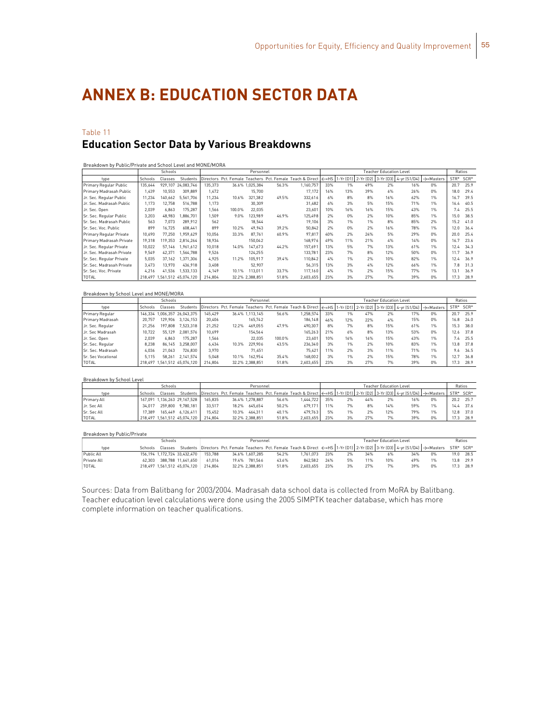## **ANNEX B: EDUCATION SECTOR DATA**

## Table 11 **Education Sector Data by Various Breakdowns**

Breakdown by Public/Private and School Level and MONE/MORA

|                             |         | Schools |                     | Personnel |        |                 |       |                                                           |                  | Teacher Education Level |           |              |              |                        |      | Ratios |
|-----------------------------|---------|---------|---------------------|-----------|--------|-----------------|-------|-----------------------------------------------------------|------------------|-------------------------|-----------|--------------|--------------|------------------------|------|--------|
| type                        | Schools | Classes | Students            |           |        |                 |       | Directors Pct, Female Teachers Pct, Female Teach & Direct | $\leftarrow$ =HS | 1-Yr (D1)               | 2-Yr (D2) | $ 3-Yr$ (D3) | 4-yr (S1/D4) | $\rightarrow$ =Masters | STR* | SCR*   |
| Primary Regular Public      | 135.644 | 929.107 | 24.083.746          | 135.373   |        | 36.6% 1.025.384 | 56.3% | 1.160.757                                                 | 33%              | 1%                      | 49%       | 2%           | 16%          | $0\%$                  | 20.7 | 25.9   |
| Primary Madrasah Public     | 1,439   | 10.553  | 309.889             | 1.472     |        | 15.700          |       | 17.172                                                    | 16%              | 13%                     | 39%       | 6%           | 26%          | 0%                     | 18.0 | 29.4   |
| Jr. Sec. Regular Public     | 11.234  | 140.662 | 5,561,706           | 11.234    | 10.6%  | 321.382         | 49.5% | 332.616                                                   | 6%               | 8%                      | 8%        | 16%          | 62%          | 1%                     | 16.7 | 39.5   |
| Jr. Sec. Madrasah Public    | 1.173   | 12.758  | 516.788             | 1.173     |        | 30.309          |       | 31.482                                                    | 6%               | 3%                      | 5%        | 15%          | 71%          | 1%                     | 16.4 | 40.5   |
| Jr. Sec. Open               | 2.039   | 6.863   | 175.287             | 1.566     | 100.0% | 22.035          |       | 23.601                                                    | 10%              | 16%                     | 16%       | 15%          | 43%          | 1%                     | 7.4  | 25.5   |
| Sr. Sec. Regular Public     | 3,203   | 48.983  | 1,886,701           | 1.509     | 9.0%   | 123.989         | 46.9% | 125.498                                                   | 2%               | 0%                      | 2%        | 10%          | 85%          | 1%                     | 15.0 | 38.5   |
| l Sr. Sec. Madrasah Public  | 563     | 7.073   | 289.912             | 562       |        | 18,544          |       | 19.106                                                    | 3%               | 1%                      | 1%        | 8%           | 85%          | 2%                     | 15.2 | 41.0   |
| l Sr. Sec. Voc. Public      | 899     | 16.725  | 608.441             | 899       | 10.2%  | 49.943          | 39.2% | 50.842                                                    | 2%               | 0%                      | 2%        | 16%          | 78%          | 1%                     | 12.0 | 36.4   |
| Primary Regular Private     | 10.690  | 77,250  | .959,629            | 10.056    | 33.3%  | 87.761          | 60.9% | 97.817                                                    | 40%              | 2%                      | 24%       | 5%           | 29%          | 0%                     | 20.0 | 25.4   |
| Primary Madrasah Private    | 19.318  | 19.353  | 2.814.264           | 18.934    |        | 150.042         |       | 168.976                                                   | 49%              | 11%                     | 21%       | 4%           | 14%          | 0%                     | 16.7 | 23.6   |
| Jr. Sec. Regular Private    | 10.022  | 57.146  | 1.961.612           | 10.018    | 14.0%  | 147.673         | 44.2% | 157.691                                                   | 13%              | 5%                      | 7%        | 13%          | 61%          | 1%                     | 12.4 | 34.3   |
| Jr. Sec. Madrasah Private   | 9.549   | 42.371  | 1.564.788           | 9.526     |        | 124.255         |       | 133.781                                                   | 23%              | 7%                      | 8%        | 12%          | 50%          | 0%                     | 11.7 | 36.9   |
| Sr. Sec. Regular Private    | 5.035   | 37.162  | 1,371,306           | 4.925     | 11.2%  | 105.917         | 39.4% | 110.842                                                   | 4%               | 1%                      | 2%        | 10%          | 82%          | 1%                     | 12.4 | 36.9   |
| l Sr. Sec. Madrasah Private | 3.473   | 13.970  | 436.918             | 3.408     |        | 52.907          |       | 56.315                                                    | 13%              | 3%                      | 4%        | 12%          | 66%          | 1%                     | 7.8  | 31.3   |
| Sr. Sec. Voc. Private       | 4,216   | 41.536  | 1,533,133           | 4.149     | 10.1%  | 113.011         | 33.7% | 117.160                                                   | 4%               | 1%                      | 2%        | 15%          | <b>77%</b>   | 1%                     | 13.1 | 36.9   |
| TOTAL                       | 218.497 |         | ,561,512 45,074,120 | 214,804   |        | 32.2% 2,388,851 | 51.8% | 2,603,655                                                 | 23%              | 3%                      | 27%       | 7%           | 39%          | 0%                     | 17.3 | 28.9   |

| Breakdown by School Level and MONE/MORA |         |         |                     |         |       |                 |        |                                                                  |                                |           |     |     |                                                      |    |           |        |
|-----------------------------------------|---------|---------|---------------------|---------|-------|-----------------|--------|------------------------------------------------------------------|--------------------------------|-----------|-----|-----|------------------------------------------------------|----|-----------|--------|
|                                         |         | Schools |                     |         |       | Personnel       |        |                                                                  | <b>Teacher Education Level</b> |           |     |     |                                                      |    |           | Ratios |
| type                                    | Schools | Classes | Students            |         |       |                 |        | Directors Pct. Female Teachers Pct. Female Teach & Direct   ←=HS |                                |           |     |     | 1-Yr (D1) 2-Yr (D2) 3-Yr (D3) 4-yr (S1/D4) →=Masters |    | STR* SCR* |        |
| Primary Regular                         | 146.334 |         | 006,357 26,043,375  | 145.429 |       | 36.4% 1.113.145 | 56.6%  | .258.574                                                         | 33%                            | <b>1%</b> | 47% | 2%  | 17%                                                  | 0% | 20.7      | 25.9   |
| l Primary Madrasah                      | 20.757  | 129.906 | 3.124.153           | 20.406  |       | 165.742         |        | 186,148                                                          | 46%                            | 12%       | 22% | 4%  | 15%                                                  | 0% | 16.8      | 24.0   |
| Jr. Sec. Regular                        | 21.256  | 197.808 | 7.523.318           | 21.252  | 12.2% | 469.055         | 47.9%  | 490.307                                                          | 8%                             | 7%        | 8%  | 15% | 61%                                                  | 1% | 15.3      | 38.0   |
| Jr. Sec Madrasah                        | 10.722  | 55.129  | 2.081.576           | 10.699  |       | 154.564         |        | 165.263                                                          | 21%                            | 6%        | 8%  | 13% | 53%                                                  | 0% | 12.6      | 37.8   |
| Jr. Sec. Open                           | 2.039   | 6.863   | 175.287             | 1.566   |       | 22.035          | 100.0% | 23.601                                                           | 10%                            | 16%       | 16% | 15% | 43%                                                  | 1% | 7.4       | 25.5   |
| Sr. Sec. Regular                        | 8.238   | 86.145  | 3.258.007           | 6.434   | 10.3% | 229,906         | 43.5%  | 236.340                                                          | 3%                             | <b>1%</b> | 2%  | 10% | 83%                                                  | 1% | 13.8      | 37.8   |
| Sr. Sec. Madrasah                       | 4.036   | 21.043  | 726.830             | 3.970   |       | 71.451          |        | 75.421                                                           | 11%                            | 2%        | 3%  | 11% | 71%                                                  | 1% | 9.6       | 34.5   |
| Sr. Sec Vocational                      | 5.115   | 58.261  | 2.141.574           | 5.048   | 10.1% | 162.954         | 35.4%  | 168.002                                                          | 3%                             | <b>1%</b> | 2%  | 15% | 78%                                                  | 1% | 12.7      | 36.8   |
| <b>TOTAL</b>                            | 218.497 |         | .561.512 45.074.120 | 214.804 |       | 32.2% 2.388.851 | 51.8%  | 2.603.655                                                        | 23%                            | 3%        | 27% | 7%  | 39%                                                  | 0% | 17.3      | 28.9   |

| Breakdown by School Level |         |         |                              |         |                 |       |                                                                                                                               |     |    |     |                                |     |    |           |           |
|---------------------------|---------|---------|------------------------------|---------|-----------------|-------|-------------------------------------------------------------------------------------------------------------------------------|-----|----|-----|--------------------------------|-----|----|-----------|-----------|
|                           |         | Schools |                              |         | Personnel       |       |                                                                                                                               |     |    |     | <b>Teacher Education Level</b> |     |    |           | Ratios    |
| type                      | Schools | Classes |                              |         |                 |       | Students Directors Pct. Female Teachers Pct. Female Teach & Direct (<=HS 1-Yr (D1) 2-Yr (D2) 3-Yr (D3) 4-yr (S1/D4) → Masters |     |    |     |                                |     |    | STR* SCR* |           |
| Primary All               |         |         | 167.091 1.136.263 29.167.528 | 165.835 | 36.4% 1.278.887 | 56.6% | 1.444.722                                                                                                                     | 35% | 2% | 44% | 2%                             | 16% | 0% |           | 20.2 25.7 |
| Jr. Sec All               | 34.017  |         | 259.800 9.780.181            | 33.517  | 18.2% 645.654   | 50.2% | 679.171                                                                                                                       | 11% | 7% | 8%  | 14%                            | 59% | 1% | 14.4      | 37.6      |
| Sr. Sec All               | 17.389  | 165.449 | 6.126.411                    | 15.452  | 10.3% 464.311   | 40.1% | 479.763                                                                                                                       | .5% | 1% | 2%  | 12%                            | 79% | 1% | 12.8      | 37.0      |
| <b>TOTAL</b>              |         |         | 218.497 1.561.512 45.074.120 | 214.804 | 32.2% 2.388.851 | 51.8% | 2.603.655                                                                                                                     | 23% | 3% | 27% | 7%                             | 39% | 0% | 17.3      | 28.9      |

Breakdown by Public/Private

| Di eakdown by Public/Private |         |         |                              |         |                 |       |                                                                                                                                                               |     |    |        |     |     |       |           |      |
|------------------------------|---------|---------|------------------------------|---------|-----------------|-------|---------------------------------------------------------------------------------------------------------------------------------------------------------------|-----|----|--------|-----|-----|-------|-----------|------|
|                              |         | Schools |                              |         | Personnel       |       |                                                                                                                                                               |     |    | Ratios |     |     |       |           |      |
| type                         | Schools |         |                              |         |                 |       | Classes Students Directors Pct. Female Teachers Pct. Female Teach & Direct $\leftarrow$ =HS 1-Yr (D1) 2-Yr (D2) 3-Yr (D3) 4-yr (S1/D4) $\rightarrow$ =Masters |     |    |        |     |     |       | STR* SCR* |      |
| Public All                   |         |         | 156.194 1.172.724 33.432.470 | 153.788 | 34.6% 1.607.285 | 54.2% | 1.761.073                                                                                                                                                     | 23% | 2% | 34%    | 6%  | 34% | $0\%$ | 19.0      | 28.5 |
| Private All                  | 62.303  |         | 388.788 11.641.650           | 61.016  | 19.4% 781.566   | 43.6% | 842.582                                                                                                                                                       | 24% | 5% | 11%    | 10% | 49% | 1%    | 13.8      | 29.9 |
| <b>TOTAL</b>                 |         |         | 218,497 1,561,512 45,074,120 | 214.804 | 32.2% 2.388.851 | 51.8% | 2.603.655                                                                                                                                                     | 23% | 3% | 27%    | 7%  | 39% | 0%    | 17.3      | 28.9 |

Sources: Data from Balitbang for 2003/2004. Madrasah data school data is collected from MoRA by Balitbang. Teacher education level calculations were done using the 2005 SIMPTK teacher database, which has more complete information on teacher qualifications.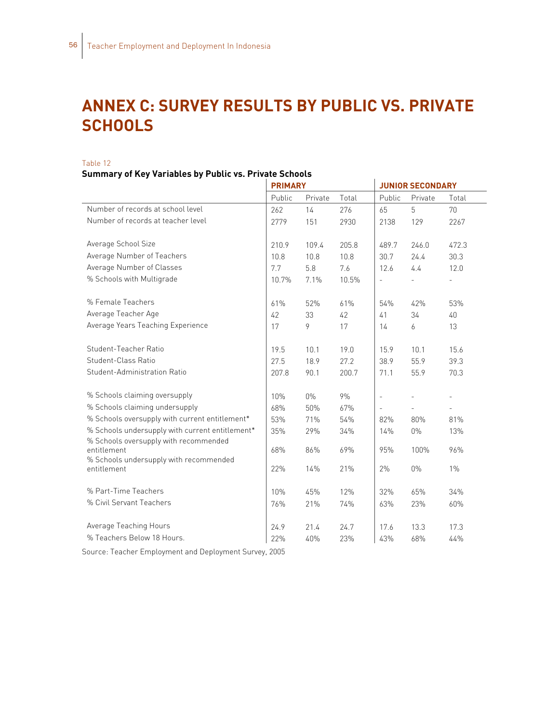# **ANNEX C: SURVEY RESULTS BY PUBLIC VS. PRIVATE SCHOOLS**

#### Table 12

## **Summary of Key Variables by Public vs. Private Schools**

|                                                      | <b>PRIMARY</b> |         |       | <b>JUNIOR SECONDARY</b>  |                          |                          |  |  |
|------------------------------------------------------|----------------|---------|-------|--------------------------|--------------------------|--------------------------|--|--|
|                                                      | Public         | Private | Total | Public                   | Private                  | Total                    |  |  |
| Number of records at school level                    | 262            | 14      | 276   | 65                       | 5                        | 70                       |  |  |
| Number of records at teacher level                   | 2779           | 151     | 2930  | 2138                     | 129                      | 2267                     |  |  |
|                                                      |                |         |       |                          |                          |                          |  |  |
| Average School Size                                  | 210.9          | 109.4   | 205.8 | 489.7                    | 246.0                    | 472.3                    |  |  |
| Average Number of Teachers                           | 10.8           | 10.8    | 10.8  | 30.7                     | 24.4                     | 30.3                     |  |  |
| Average Number of Classes                            | 7.7            | 5.8     | 7.6   | 12.6                     | 4.4                      | 12.0                     |  |  |
| % Schools with Multigrade                            | 10.7%          | 7.1%    | 10.5% |                          |                          |                          |  |  |
|                                                      |                |         |       |                          |                          |                          |  |  |
| % Female Teachers                                    | 61%            | 52%     | 61%   | 54%                      | 42%                      | 53%                      |  |  |
| Average Teacher Age                                  | 42             | 33      | 42    | 41                       | 34                       | 40                       |  |  |
| Average Years Teaching Experience                    | 17             | 9       | 17    | 14                       | 6                        | 13                       |  |  |
|                                                      |                |         |       |                          |                          |                          |  |  |
| Student-Teacher Ratio                                | 19.5           | 10.1    | 19.0  | 15.9                     | 10.1                     | 15.6                     |  |  |
| Student-Class Ratio                                  | 27.5           | 18.9    | 27.2  | 38.9                     | 55.9                     | 39.3                     |  |  |
| Student-Administration Ratio                         | 207.8          | 90.1    | 200.7 | 71.1                     | 55.9                     | 70.3                     |  |  |
|                                                      |                |         |       |                          |                          |                          |  |  |
| % Schools claiming oversupply                        | 10%            | $0\%$   | 9%    | $\sim$                   |                          |                          |  |  |
| % Schools claiming undersupply                       | 68%            | 50%     | 67%   | $\overline{\phantom{a}}$ | $\overline{\phantom{a}}$ | $\overline{\phantom{0}}$ |  |  |
| % Schools oversupply with current entitlement*       | 53%            | 71%     | 54%   | 82%                      | 80%                      | 81%                      |  |  |
| % Schools undersupply with current entitlement*      | 35%            | 29%     | 34%   | 14%                      | $0\%$                    | 13%                      |  |  |
| % Schools oversupply with recommended<br>entitlement | 68%            | 86%     | 69%   | 95%                      | 100%                     | 96%                      |  |  |
| % Schools undersupply with recommended               |                |         |       |                          |                          |                          |  |  |
| entitlement                                          | 22%            | 14%     | 21%   | 2%                       | $0\%$                    | $1\%$                    |  |  |
|                                                      |                |         |       |                          |                          |                          |  |  |
| % Part-Time Teachers                                 | 10%            | 45%     | 12%   | 32%                      | 65%                      | 34%                      |  |  |
| % Civil Servant Teachers                             | 76%            | 21%     | 74%   | 63%                      | 23%                      | 60%                      |  |  |
|                                                      |                |         |       |                          |                          |                          |  |  |
| Average Teaching Hours                               | 24.9           | 21.4    | 24.7  | 17.6                     | 13.3                     | 17.3                     |  |  |
| % Teachers Below 18 Hours.                           | 22%            | 40%     | 23%   | 43%                      | 68%                      | 44%                      |  |  |
|                                                      |                |         |       |                          |                          |                          |  |  |

Source: Teacher Employment and Deployment Survey, 2005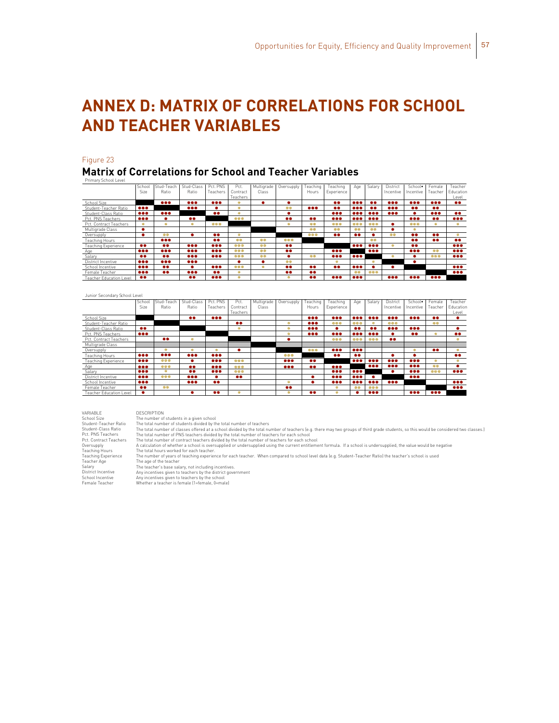## **ANNEX D: MATRIX OF CORRELATIONS FOR SCHOOL AND TEACHER VARIABLES**

#### Figure 23

## **Matrix of Correlations for School and Teacher Variables**

| Primary School Level           |        |            |            |          |          |            |            |          |            |     |        |           |           |         |           |
|--------------------------------|--------|------------|------------|----------|----------|------------|------------|----------|------------|-----|--------|-----------|-----------|---------|-----------|
|                                | School | Stud-Teach | Stud-Class | Pct. PNS | Pct.     | Multigrade | Oversupply | Teaching | Teaching   | Age | Salary | District  | School•   | Female  | Teacher   |
|                                | Size   | Ratio      | Ratio      | Teachers | Contract | Class      |            | Hours    | Experience |     |        | Incentive | Incentive | Teacher | Education |
|                                |        |            |            |          | Teachers |            |            |          |            |     |        |           |           |         | Level     |
| School Size                    |        | 春春春        | ***        | ***      | *        |            | ۰          |          | 書書         | 書書書 | **     | 書書書       | ***       | ***     | **        |
| Student-Teacher Ratio          | ***    |            | ***        | ۰        | *        |            | **         | ***      | **         | *** |        | ***       | **        | **      |           |
| Student-Class Ratio            | ***    | ***        |            | **       | *        |            | ÷          |          | ***        | *** | ***    | ***       | ٠         | ***     | **        |
| Pct. PNS Teachers              | ***    | ٠          | **         |          | ***      |            | **         | **       | ***        | *** | ***    |           | ***       | **      | ***       |
| Pct. Contract Teachers         | *      | *          | 柴          | ***      |          |            | 杂          | **       | ***        | *** | ***    | ۰         | ***       | 柴       | *         |
| Multigrade Class               | ۰      |            |            |          |          |            |            | **       | **         | **  | **     | ۰         | *         |         |           |
| Oversupply                     | ۰      | **         | ٠          | **       | *        |            |            | ***      | 88         | **  |        | **        | **        | **      | *         |
| Teaching Hours                 |        | ***        |            | **       | **       | **         | ***        |          |            |     | **     |           | 春春        | **      | **        |
| Teaching Experience            | 春春     | **         | ***        | ***      | ***      | **         |            |          |            | 書書書 | 書書書    | *         | 事業        |         | ***       |
| Age                            | ***    | ***        | ***        | ***      | ***      | **         | **         |          | ***        |     | ***    |           | ***       | **      | ***       |
| Salary                         | **     | **         | ***        | ***      | ***      | **         | ۰          | **       | ***        | *** |        | ₩         | ۰         | ***     | ***       |
| District Incentive             | ***    | ***        | ***        |          | ۰        |            | **         |          | ₩          |     | 柴      |           |           |         |           |
| School Incentive               | ***    | **         | ۰          | ***      | ***      | 桊          | **         |          | **         | *** |        |           |           |         | ***       |
| Female Teacher                 | 春春香    |            | ***        | **       | *        |            |            | 春春       |            | **  | ***    |           |           |         | ***       |
| <b>Teacher Education Level</b> | **     |            | **         | ***      | *        |            | 鈭          | **       | ***        | *** |        | ***       | ***       | ***     |           |

#### Junior Secondary School Level

|                                | School | Stud-Teach | Stud-Class | Pct. PNS | Pct.     | Multigrade | Oversupply | Teaching | Teaching   | Age | Salary | District  | School.   | Female  | Teacher   |
|--------------------------------|--------|------------|------------|----------|----------|------------|------------|----------|------------|-----|--------|-----------|-----------|---------|-----------|
|                                | Size   | Ratio      | Ratio      | Teachers | Contract | Class      |            | Hours    | Experience |     |        | Incentive | Incentive | Teacher | Education |
|                                |        |            |            |          | Teachers |            |            |          |            |     |        |           |           |         | Level     |
| School Size                    |        |            | **         | ***      |          |            |            | ***      | ***        | *** | ***    | ***       | ***       | **      |           |
| Student-Teacher Ratio          |        |            |            |          | **       |            | *          | ***      | ***        | *** | 米      | ***       |           | **      |           |
| Student-Class Ratio            |        |            |            |          | *        |            | *          | ***      | ٠          |     |        | ***       | ***       |         |           |
| Pct. PNS Teachers              | ***    |            |            |          |          |            | ₩          | ***      | ***        | --  | ***    |           | **        | 麥       | **        |
| Pct. Contract Teachers         |        | **         | 柴          |          |          |            | ۰          |          | ***        | *** | ***    | **        |           |         | *         |
| Multigrade Class               |        |            |            |          |          |            |            |          |            |     |        |           |           |         |           |
| Oversupply                     |        | *          | 柴          | *        | ٠        |            |            | ***      | ***        | *** |        |           | *         | -       | *         |
| Teaching Hours                 | ***    | ***        | ***        | ***      |          |            | ***        |          | 春春         | **  |        |           | ٠         |         | **        |
| Teaching Experience            | ***    | ***        | ۰          | ***      | ***      |            | ***        | **       |            | *** | ***    | ***       | ***       | 盎       | *         |
| Age                            | ***    | ***        | **         | ***      | ***      |            | ***        | **       | ***        |     | ***    | ***       | ***       | **      |           |
| Salary                         | ***    | *          | **         | ***      | ***      |            |            |          | ***        | *** |        | ٠         | ***       | ***     | ***       |
| District Incentive             | ***    | ***        | ***        | ۰        | **       |            |            |          | ***        | *** | ۰      |           | ***       |         |           |
| School Incentive               | ***    |            | ***        | **       |          |            | *          |          | ***        | *** | ***    | ***       |           |         | ***       |
| Female Teacher                 | **     | **         |            |          |          |            | **         |          | 麥          | **  | ***    |           |           |         | ***       |
| <b>Teacher Education Level</b> | ۰      |            |            | **       | *        |            | 鉴          | **       | ₩          | ٠   | ***    |           | ***       | ***     |           |

VARIABLE<br>School Size Fire umber of students in a given school<br>Student-Teacher Ratio Fire umber of clusters divided by the total number of teachers<br>Student-Teacher Ratio Fire total number of classes offered at a school divi Tect. Contract reachers in the total number of ochtract teachers avoided by the total number of teaching experience for each teacher. When compared to school level data (e.g. Student-Teaching Hours Teaching Hours The total Teacher Age The age of the teacher<br>Salary The teacher's base salary, not including incentives.<br>District Incentive Any incentives given to teachers by the district government<br>School Incentive Any incentives given to teacher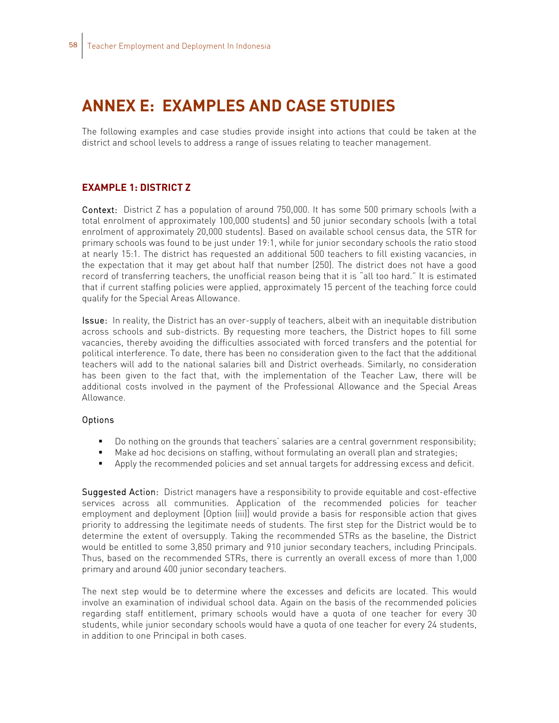## **ANNEX E: EXAMPLES AND CASE STUDIES**

The following examples and case studies provide insight into actions that could be taken at the district and school levels to address a range of issues relating to teacher management.

## **EXAMPLE 1: DISTRICT Z**

Context: District Z has a population of around 750,000. It has some 500 primary schools (with a total enrolment of approximately 100,000 students) and 50 junior secondary schools (with a total enrolment of approximately 20,000 students). Based on available school census data, the STR for primary schools was found to be just under 19:1, while for junior secondary schools the ratio stood at nearly 15:1. The district has requested an additional 500 teachers to fill existing vacancies, in the expectation that it may get about half that number (250). The district does not have a good record of transferring teachers, the unofficial reason being that it is "all too hard." It is estimated that if current staffing policies were applied, approximately 15 percent of the teaching force could qualify for the Special Areas Allowance.

Issue: In reality, the District has an over-supply of teachers, albeit with an inequitable distribution across schools and sub-districts. By requesting more teachers, the District hopes to fill some vacancies, thereby avoiding the difficulties associated with forced transfers and the potential for political interference. To date, there has been no consideration given to the fact that the additional teachers will add to the national salaries bill and District overheads. Similarly, no consideration has been given to the fact that, with the implementation of the Teacher Law, there will be additional costs involved in the payment of the Professional Allowance and the Special Areas Allowance.

#### Options

- Do nothing on the grounds that teachers' salaries are a central government responsibility;
- **Make ad hoc decisions on staffing, without formulating an overall plan and strategies;**
- **Apply the recommended policies and set annual targets for addressing excess and deficit.**

Suggested Action: District managers have a responsibility to provide equitable and cost-effective services across all communities. Application of the recommended policies for teacher employment and deployment [Option (iii)] would provide a basis for responsible action that gives priority to addressing the legitimate needs of students. The first step for the District would be to determine the extent of oversupply. Taking the recommended STRs as the baseline, the District would be entitled to some 3,850 primary and 910 junior secondary teachers, including Principals. Thus, based on the recommended STRs, there is currently an overall excess of more than 1,000 primary and around 400 junior secondary teachers.

The next step would be to determine where the excesses and deficits are located. This would involve an examination of individual school data. Again on the basis of the recommended policies regarding staff entitlement, primary schools would have a quota of one teacher for every 30 students, while junior secondary schools would have a quota of one teacher for every 24 students, in addition to one Principal in both cases.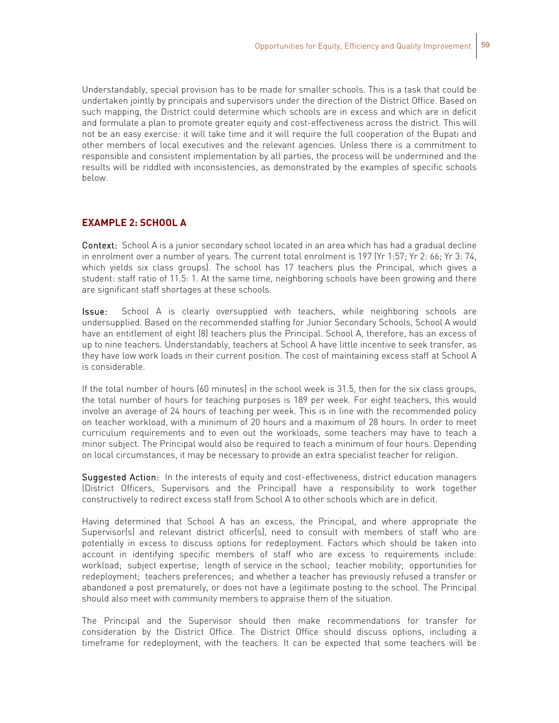Understandably, special provision has to be made for smaller schools. This is a task that could be undertaken jointly by principals and supervisors under the direction of the District Office. Based on such mapping, the District could determine which schools are in excess and which are in deficit and formulate a plan to promote greater equity and cost-effectiveness across the district. This will not be an easy exercise: it will take time and it will require the full cooperation of the Bupati and other members of local executives and the relevant agencies. Unless there is a commitment to responsible and consistent implementation by all parties, the process will be undermined and the results will be riddled with inconsistencies, as demonstrated by the examples of specific schools below.

## **EXAMPLE 2: SCHOOL A**

Context: School A is a junior secondary school located in an area which has had a gradual decline in enrolment over a number of years. The current total enrolment is 197 (Yr 1:57; Yr 2: 66; Yr 3: 74, which yields six class groups). The school has 17 teachers plus the Principal, which gives a student: staff ratio of 11.5: 1. At the same time, neighboring schools have been growing and there are significant staff shortages at these schools.

**Issue:** School A is clearly oversupplied with teachers, while neighboring schools are undersupplied. Based on the recommended staffing for Junior Secondary Schools, School A would have an entitlement of eight (8) teachers plus the Principal. School A, therefore, has an excess of up to nine teachers. Understandably, teachers at School A have little incentive to seek transfer, as they have low work loads in their current position. The cost of maintaining excess staff at School A is considerable.

If the total number of hours (60 minutes) in the school week is 31.5, then for the six class groups, the total number of hours for teaching purposes is 189 per week. For eight teachers, this would involve an average of 24 hours of teaching per week. This is in line with the recommended policy on teacher workload, with a minimum of 20 hours and a maximum of 28 hours. In order to meet curriculum requirements and to even out the workloads, some teachers may have to teach a minor subject. The Principal would also be required to teach a minimum of four hours. Depending on local circumstances, it may be necessary to provide an extra specialist teacher for religion.

Suggested Action: In the interests of equity and cost-effectiveness, district education managers (District Officers, Supervisors and the Principal) have a responsibility to work together constructively to redirect excess staff from School A to other schools which are in deficit.

Having determined that School A has an excess, the Principal, and where appropriate the Supervisor(s) and relevant district officer(s), need to consult with members of staff who are potentially in excess to discuss options for redeployment. Factors which should be taken into account in identifying specific members of staff who are excess to requirements include: workload; subject expertise; length of service in the school; teacher mobility; opportunities for redeployment; teachers preferences; and whether a teacher has previously refused a transfer or abandoned a post prematurely, or does not have a legitimate posting to the school. The Principal should also meet with community members to appraise them of the situation.

The Principal and the Supervisor should then make recommendations for transfer for consideration by the District Office. The District Office should discuss options, including a timeframe for redeployment, with the teachers. It can be expected that some teachers will be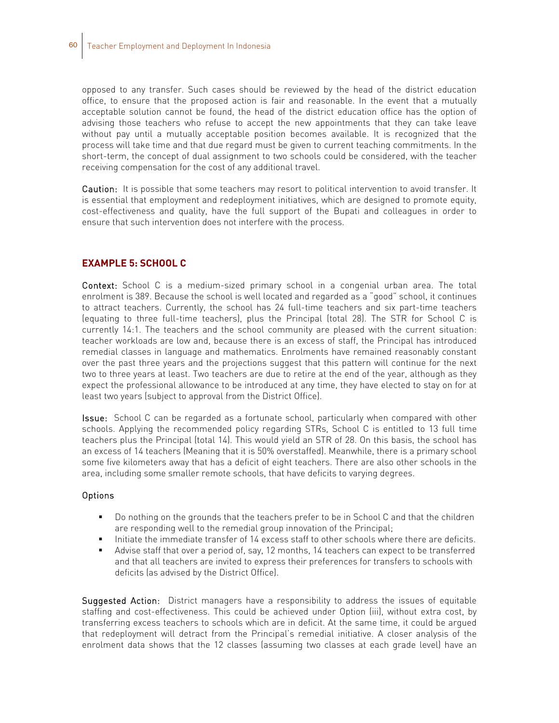opposed to any transfer. Such cases should be reviewed by the head of the district education office, to ensure that the proposed action is fair and reasonable. In the event that a mutually acceptable solution cannot be found, the head of the district education office has the option of advising those teachers who refuse to accept the new appointments that they can take leave without pay until a mutually acceptable position becomes available. It is recognized that the process will take time and that due regard must be given to current teaching commitments. In the short-term, the concept of dual assignment to two schools could be considered, with the teacher receiving compensation for the cost of any additional travel.

Caution: It is possible that some teachers may resort to political intervention to avoid transfer. It is essential that employment and redeployment initiatives, which are designed to promote equity, cost-effectiveness and quality, have the full support of the Bupati and colleagues in order to ensure that such intervention does not interfere with the process.

#### **EXAMPLE 5: SCHOOL C**

Context: School C is a medium-sized primary school in a congenial urban area. The total enrolment is 389. Because the school is well located and regarded as a "good" school, it continues to attract teachers. Currently, the school has 24 full-time teachers and six part-time teachers (equating to three full-time teachers), plus the Principal (total 28). The STR for School C is currently 14:1. The teachers and the school community are pleased with the current situation: teacher workloads are low and, because there is an excess of staff, the Principal has introduced remedial classes in language and mathematics. Enrolments have remained reasonably constant over the past three years and the projections suggest that this pattern will continue for the next two to three years at least. Two teachers are due to retire at the end of the year, although as they expect the professional allowance to be introduced at any time, they have elected to stay on for at least two years (subject to approval from the District Office).

**Issue:** School C can be regarded as a fortunate school, particularly when compared with other schools. Applying the recommended policy regarding STRs, School C is entitled to 13 full time teachers plus the Principal (total 14). This would yield an STR of 28. On this basis, the school has an excess of 14 teachers (Meaning that it is 50% overstaffed). Meanwhile, there is a primary school some five kilometers away that has a deficit of eight teachers. There are also other schools in the area, including some smaller remote schools, that have deficits to varying degrees.

#### Options

- **Do nothing on the grounds that the teachers prefer to be in School C and that the children** are responding well to the remedial group innovation of the Principal;
- $\blacksquare$  Initiate the immediate transfer of 14 excess staff to other schools where there are deficits.
- Advise staff that over a period of, say, 12 months, 14 teachers can expect to be transferred and that all teachers are invited to express their preferences for transfers to schools with deficits (as advised by the District Office).

Suggested Action: District managers have a responsibility to address the issues of equitable staffing and cost-effectiveness. This could be achieved under Option (iii), without extra cost, by transferring excess teachers to schools which are in deficit. At the same time, it could be argued that redeployment will detract from the Principal's remedial initiative. A closer analysis of the enrolment data shows that the 12 classes (assuming two classes at each grade level) have an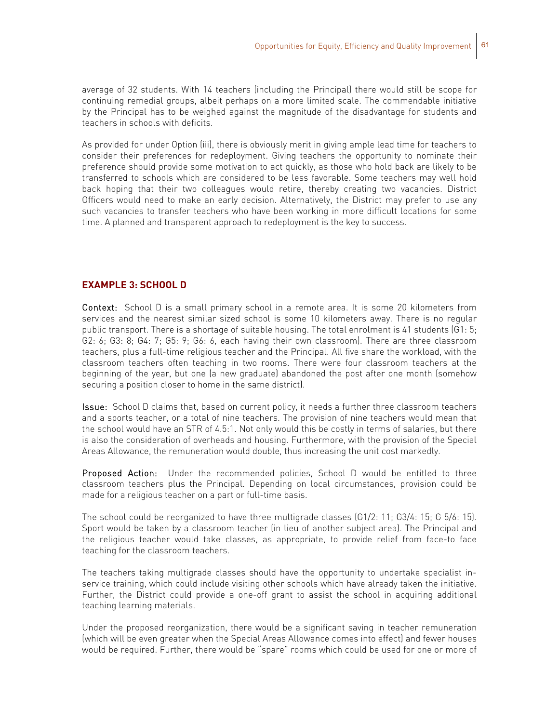average of 32 students. With 14 teachers (including the Principal) there would still be scope for continuing remedial groups, albeit perhaps on a more limited scale. The commendable initiative by the Principal has to be weighed against the magnitude of the disadvantage for students and teachers in schools with deficits.

As provided for under Option (iii), there is obviously merit in giving ample lead time for teachers to consider their preferences for redeployment. Giving teachers the opportunity to nominate their preference should provide some motivation to act quickly, as those who hold back are likely to be transferred to schools which are considered to be less favorable. Some teachers may well hold back hoping that their two colleagues would retire, thereby creating two vacancies. District Officers would need to make an early decision. Alternatively, the District may prefer to use any such vacancies to transfer teachers who have been working in more difficult locations for some time. A planned and transparent approach to redeployment is the key to success.

#### **EXAMPLE 3: SCHOOL D**

Context: School D is a small primary school in a remote area. It is some 20 kilometers from services and the nearest similar sized school is some 10 kilometers away. There is no regular public transport. There is a shortage of suitable housing. The total enrolment is 41 students (G1: 5; G2: 6; G3: 8; G4: 7; G5: 9; G6: 6, each having their own classroom). There are three classroom teachers, plus a full-time religious teacher and the Principal. All five share the workload, with the classroom teachers often teaching in two rooms. There were four classroom teachers at the beginning of the year, but one (a new graduate) abandoned the post after one month (somehow securing a position closer to home in the same district).

Issue: School D claims that, based on current policy, it needs a further three classroom teachers and a sports teacher, or a total of nine teachers. The provision of nine teachers would mean that the school would have an STR of 4.5:1. Not only would this be costly in terms of salaries, but there is also the consideration of overheads and housing. Furthermore, with the provision of the Special Areas Allowance, the remuneration would double, thus increasing the unit cost markedly.

Proposed Action: Under the recommended policies, School D would be entitled to three classroom teachers plus the Principal. Depending on local circumstances, provision could be made for a religious teacher on a part or full-time basis.

The school could be reorganized to have three multigrade classes (G1/2: 11; G3/4: 15; G 5/6: 15). Sport would be taken by a classroom teacher (in lieu of another subject area). The Principal and the religious teacher would take classes, as appropriate, to provide relief from face-to face teaching for the classroom teachers.

The teachers taking multigrade classes should have the opportunity to undertake specialist inservice training, which could include visiting other schools which have already taken the initiative. Further, the District could provide a one-off grant to assist the school in acquiring additional teaching learning materials.

Under the proposed reorganization, there would be a significant saving in teacher remuneration (which will be even greater when the Special Areas Allowance comes into effect) and fewer houses would be required. Further, there would be "spare" rooms which could be used for one or more of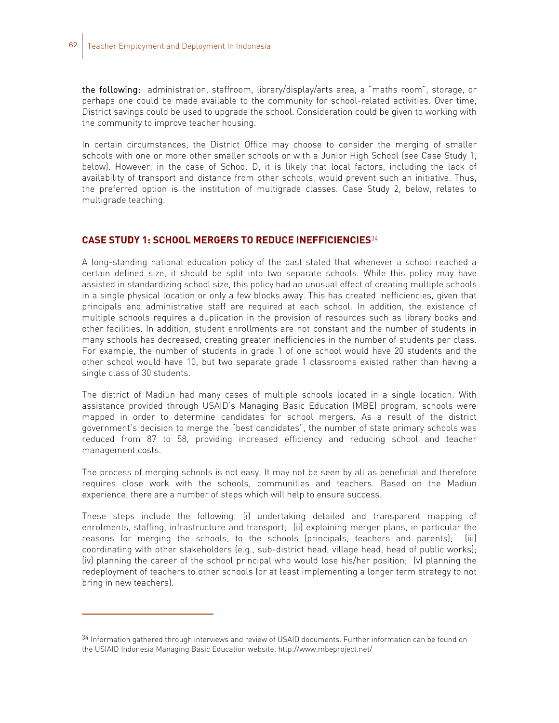the following: administration, staffroom, library/display/arts area, a "maths room", storage, or perhaps one could be made available to the community for school-related activities. Over time, District savings could be used to upgrade the school. Consideration could be given to working with the community to improve teacher housing.

In certain circumstances, the District Office may choose to consider the merging of smaller schools with one or more other smaller schools or with a Junior High School (see Case Study 1, below). However, in the case of School D, it is likely that local factors, including the lack of availability of transport and distance from other schools, would prevent such an initiative. Thus, the preferred option is the institution of multigrade classes. Case Study 2, below, relates to multigrade teaching.

#### **CASE STUDY 1: SCHOOL MERGERS TO REDUCE INEFFICIENCIES**<sup>34</sup>

A long-standing national education policy of the past stated that whenever a school reached a certain defined size, it should be split into two separate schools. While this policy may have assisted in standardizing school size, this policy had an unusual effect of creating multiple schools in a single physical location or only a few blocks away. This has created inefficiencies, given that principals and administrative staff are required at each school. In addition, the existence of multiple schools requires a duplication in the provision of resources such as library books and other facilities. In addition, student enrollments are not constant and the number of students in many schools has decreased, creating greater inefficiencies in the number of students per class. For example, the number of students in grade 1 of one school would have 20 students and the other school would have 10, but two separate grade 1 classrooms existed rather than having a single class of 30 students.

The district of Madiun had many cases of multiple schools located in a single location. With assistance provided through USAID's Managing Basic Education (MBE) program, schools were mapped in order to determine candidates for school mergers. As a result of the district government's decision to merge the "best candidates", the number of state primary schools was reduced from 87 to 58, providing increased efficiency and reducing school and teacher management costs.

The process of merging schools is not easy. It may not be seen by all as beneficial and therefore requires close work with the schools, communities and teachers. Based on the Madiun experience, there are a number of steps which will help to ensure success.

These steps include the following: (i) undertaking detailed and transparent mapping of enrolments, staffing, infrastructure and transport; (ii) explaining merger plans, in particular the reasons for merging the schools, to the schools (principals, teachers and parents); (iii) coordinating with other stakeholders (e.g., sub-district head, village head, head of public works); (iv) planning the career of the school principal who would lose his/her position; (v) planning the redeployment of teachers to other schools (or at least implementing a longer term strategy to not bring in new teachers).

<sup>34</sup> Information gathered through interviews and review of USAID documents. Further information can be found on the USIAID Indonesia Managing Basic Education website: http://www.mbeproject.net/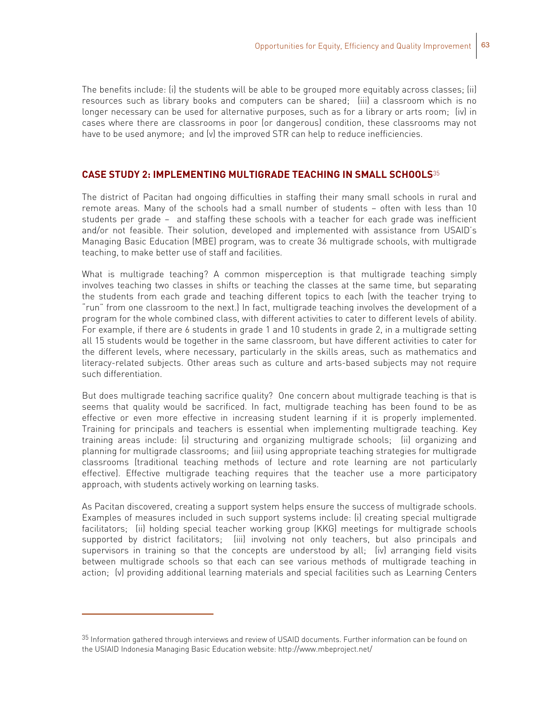The benefits include: (i) the students will be able to be grouped more equitably across classes; (ii) resources such as library books and computers can be shared; (iii) a classroom which is no longer necessary can be used for alternative purposes, such as for a library or arts room; (iv) in cases where there are classrooms in poor (or dangerous) condition, these classrooms may not have to be used anymore; and (v) the improved STR can help to reduce inefficiencies.

### **CASE STUDY 2: IMPLEMENTING MULTIGRADE TEACHING IN SMALL SCHOOLS**<sup>35</sup>

The district of Pacitan had ongoing difficulties in staffing their many small schools in rural and remote areas. Many of the schools had a small number of students – often with less than 10 students per grade – and staffing these schools with a teacher for each grade was inefficient and/or not feasible. Their solution, developed and implemented with assistance from USAID's Managing Basic Education (MBE) program, was to create 36 multigrade schools, with multigrade teaching, to make better use of staff and facilities.

What is multigrade teaching? A common misperception is that multigrade teaching simply involves teaching two classes in shifts or teaching the classes at the same time, but separating the students from each grade and teaching different topics to each (with the teacher trying to "run" from one classroom to the next.) In fact, multigrade teaching involves the development of a program for the whole combined class, with different activities to cater to different levels of ability. For example, if there are 6 students in grade 1 and 10 students in grade 2, in a multigrade setting all 15 students would be together in the same classroom, but have different activities to cater for the different levels, where necessary, particularly in the skills areas, such as mathematics and literacy-related subjects. Other areas such as culture and arts-based subjects may not require such differentiation.

But does multigrade teaching sacrifice quality? One concern about multigrade teaching is that is seems that quality would be sacrificed. In fact, multigrade teaching has been found to be as effective or even more effective in increasing student learning if it is properly implemented. Training for principals and teachers is essential when implementing multigrade teaching. Key training areas include: (i) structuring and organizing multigrade schools; (ii) organizing and planning for multigrade classrooms; and (iii) using appropriate teaching strategies for multigrade classrooms (traditional teaching methods of lecture and rote learning are not particularly effective). Effective multigrade teaching requires that the teacher use a more participatory approach, with students actively working on learning tasks.

As Pacitan discovered, creating a support system helps ensure the success of multigrade schools. Examples of measures included in such support systems include: (i) creating special multigrade facilitators; (ii) holding special teacher working group (KKG) meetings for multigrade schools supported by district facilitators; (iii) involving not only teachers, but also principals and supervisors in training so that the concepts are understood by all; (iv) arranging field visits between multigrade schools so that each can see various methods of multigrade teaching in action; (v) providing additional learning materials and special facilities such as Learning Centers

<sup>35</sup> Information gathered through interviews and review of USAID documents. Further information can be found on the USIAID Indonesia Managing Basic Education website: http://www.mbeproject.net/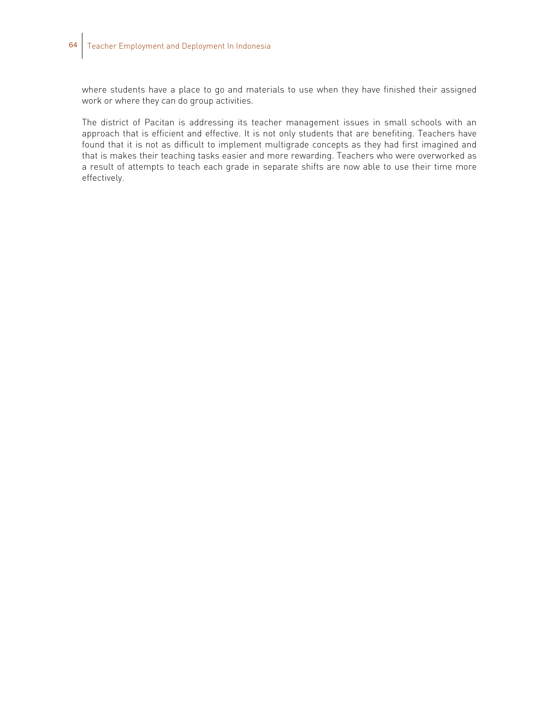where students have a place to go and materials to use when they have finished their assigned work or where they can do group activities.

The district of Pacitan is addressing its teacher management issues in small schools with an approach that is efficient and effective. It is not only students that are benefiting. Teachers have found that it is not as difficult to implement multigrade concepts as they had first imagined and that is makes their teaching tasks easier and more rewarding. Teachers who were overworked as a result of attempts to teach each grade in separate shifts are now able to use their time more effectively.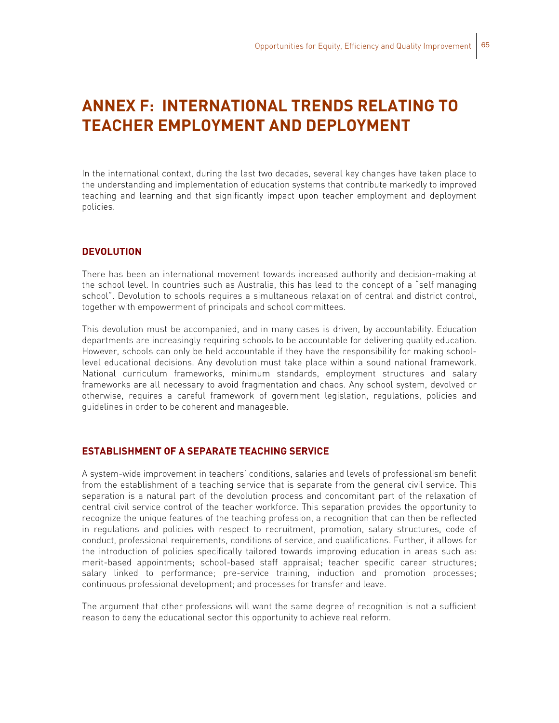## **ANNEX F: INTERNATIONAL TRENDS RELATING TO TEACHER EMPLOYMENT AND DEPLOYMENT**

In the international context, during the last two decades, several key changes have taken place to the understanding and implementation of education systems that contribute markedly to improved teaching and learning and that significantly impact upon teacher employment and deployment policies.

### **DEVOLUTION**

There has been an international movement towards increased authority and decision-making at the school level. In countries such as Australia, this has lead to the concept of a "self managing school". Devolution to schools requires a simultaneous relaxation of central and district control, together with empowerment of principals and school committees.

This devolution must be accompanied, and in many cases is driven, by accountability. Education departments are increasingly requiring schools to be accountable for delivering quality education. However, schools can only be held accountable if they have the responsibility for making schoollevel educational decisions. Any devolution must take place within a sound national framework. National curriculum frameworks, minimum standards, employment structures and salary frameworks are all necessary to avoid fragmentation and chaos. Any school system, devolved or otherwise, requires a careful framework of government legislation, regulations, policies and guidelines in order to be coherent and manageable.

### **ESTABLISHMENT OF A SEPARATE TEACHING SERVICE**

A system-wide improvement in teachers' conditions, salaries and levels of professionalism benefit from the establishment of a teaching service that is separate from the general civil service. This separation is a natural part of the devolution process and concomitant part of the relaxation of central civil service control of the teacher workforce. This separation provides the opportunity to recognize the unique features of the teaching profession, a recognition that can then be reflected in regulations and policies with respect to recruitment, promotion, salary structures, code of conduct, professional requirements, conditions of service, and qualifications. Further, it allows for the introduction of policies specifically tailored towards improving education in areas such as: merit-based appointments; school-based staff appraisal; teacher specific career structures; salary linked to performance; pre-service training, induction and promotion processes; continuous professional development; and processes for transfer and leave.

The argument that other professions will want the same degree of recognition is not a sufficient reason to deny the educational sector this opportunity to achieve real reform.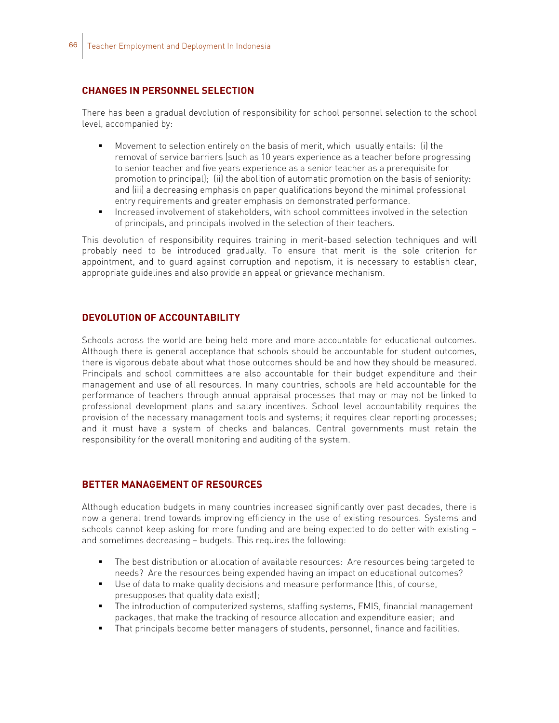### **CHANGES IN PERSONNEL SELECTION**

There has been a gradual devolution of responsibility for school personnel selection to the school level, accompanied by:

- Movement to selection entirely on the basis of merit, which usually entails: (i) the removal of service barriers (such as 10 years experience as a teacher before progressing to senior teacher and five years experience as a senior teacher as a prerequisite for promotion to principal); (ii) the abolition of automatic promotion on the basis of seniority: and (iii) a decreasing emphasis on paper qualifications beyond the minimal professional entry requirements and greater emphasis on demonstrated performance.
- Increased involvement of stakeholders, with school committees involved in the selection of principals, and principals involved in the selection of their teachers.

This devolution of responsibility requires training in merit-based selection techniques and will probably need to be introduced gradually. To ensure that merit is the sole criterion for appointment, and to guard against corruption and nepotism, it is necessary to establish clear, appropriate guidelines and also provide an appeal or grievance mechanism.

### **DEVOLUTION OF ACCOUNTABILITY**

Schools across the world are being held more and more accountable for educational outcomes. Although there is general acceptance that schools should be accountable for student outcomes, there is vigorous debate about what those outcomes should be and how they should be measured. Principals and school committees are also accountable for their budget expenditure and their management and use of all resources. In many countries, schools are held accountable for the performance of teachers through annual appraisal processes that may or may not be linked to professional development plans and salary incentives. School level accountability requires the provision of the necessary management tools and systems; it requires clear reporting processes; and it must have a system of checks and balances. Central governments must retain the responsibility for the overall monitoring and auditing of the system.

#### **BETTER MANAGEMENT OF RESOURCES**

Although education budgets in many countries increased significantly over past decades, there is now a general trend towards improving efficiency in the use of existing resources. Systems and schools cannot keep asking for more funding and are being expected to do better with existing – and sometimes decreasing – budgets. This requires the following:

- The best distribution or allocation of available resources: Are resources being targeted to needs? Are the resources being expended having an impact on educational outcomes?
- Use of data to make quality decisions and measure performance (this, of course, presupposes that quality data exist);
- The introduction of computerized systems, staffing systems, EMIS, financial management packages, that make the tracking of resource allocation and expenditure easier; and
- That principals become better managers of students, personnel, finance and facilities.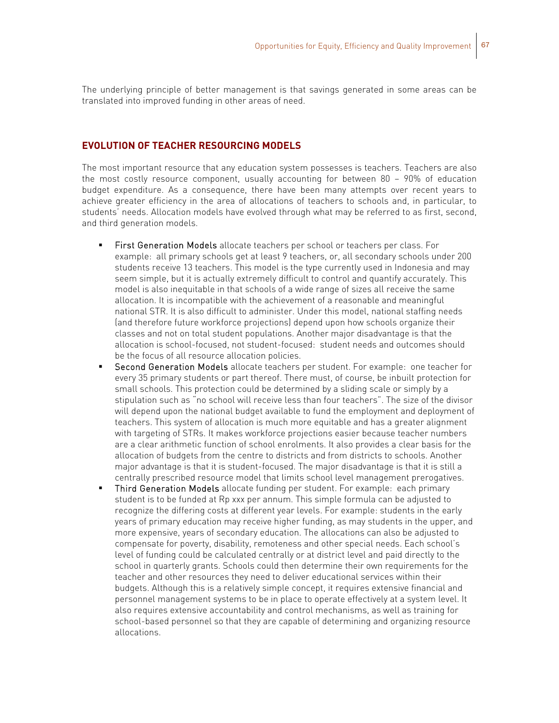The underlying principle of better management is that savings generated in some areas can be translated into improved funding in other areas of need.

### **EVOLUTION OF TEACHER RESOURCING MODELS**

The most important resource that any education system possesses is teachers. Teachers are also the most costly resource component, usually accounting for between 80 – 90% of education budget expenditure. As a consequence, there have been many attempts over recent years to achieve greater efficiency in the area of allocations of teachers to schools and, in particular, to students' needs. Allocation models have evolved through what may be referred to as first, second, and third generation models.

- **First Generation Models** allocate teachers per school or teachers per class. For example: all primary schools get at least 9 teachers, or, all secondary schools under 200 students receive 13 teachers. This model is the type currently used in Indonesia and may seem simple, but it is actually extremely difficult to control and quantify accurately. This model is also inequitable in that schools of a wide range of sizes all receive the same allocation. It is incompatible with the achievement of a reasonable and meaningful national STR. It is also difficult to administer. Under this model, national staffing needs (and therefore future workforce projections) depend upon how schools organize their classes and not on total student populations. Another major disadvantage is that the allocation is school-focused, not student-focused: student needs and outcomes should be the focus of all resource allocation policies.
- Second Generation Models allocate teachers per student. For example: one teacher for every 35 primary students or part thereof. There must, of course, be inbuilt protection for small schools. This protection could be determined by a sliding scale or simply by a stipulation such as "no school will receive less than four teachers". The size of the divisor will depend upon the national budget available to fund the employment and deployment of teachers. This system of allocation is much more equitable and has a greater alignment with targeting of STRs. It makes workforce projections easier because teacher numbers are a clear arithmetic function of school enrolments. It also provides a clear basis for the allocation of budgets from the centre to districts and from districts to schools. Another major advantage is that it is student-focused. The major disadvantage is that it is still a centrally prescribed resource model that limits school level management prerogatives.
- Third Generation Models allocate funding per student. For example: each primary student is to be funded at Rp xxx per annum. This simple formula can be adjusted to recognize the differing costs at different year levels. For example: students in the early years of primary education may receive higher funding, as may students in the upper, and more expensive, years of secondary education. The allocations can also be adjusted to compensate for poverty, disability, remoteness and other special needs. Each school's level of funding could be calculated centrally or at district level and paid directly to the school in quarterly grants. Schools could then determine their own requirements for the teacher and other resources they need to deliver educational services within their budgets. Although this is a relatively simple concept, it requires extensive financial and personnel management systems to be in place to operate effectively at a system level. It also requires extensive accountability and control mechanisms, as well as training for school-based personnel so that they are capable of determining and organizing resource allocations.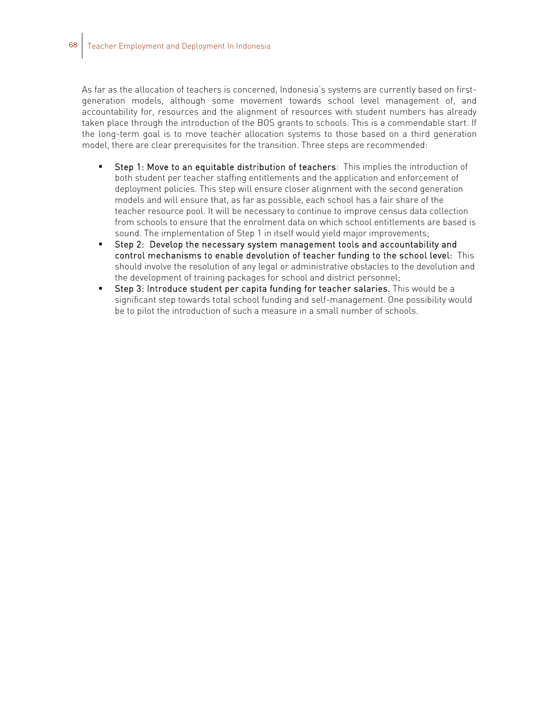As far as the allocation of teachers is concerned, Indonesia's systems are currently based on firstgeneration models, although some movement towards school level management of, and accountability for, resources and the alignment of resources with student numbers has already taken place through the introduction of the BOS grants to schools. This is a commendable start. If the long-term goal is to move teacher allocation systems to those based on a third generation model, there are clear prerequisites for the transition. Three steps are recommended:

- Step 1: Move to an equitable distribution of teachers: This implies the introduction of both student per teacher staffing entitlements and the application and enforcement of deployment policies. This step will ensure closer alignment with the second generation models and will ensure that, as far as possible, each school has a fair share of the teacher resource pool. It will be necessary to continue to improve census data collection from schools to ensure that the enrolment data on which school entitlements are based is sound. The implementation of Step 1 in itself would yield major improvements;
- Step 2: Develop the necessary system management tools and accountability and control mechanisms to enable devolution of teacher funding to the school level: This should involve the resolution of any legal or administrative obstacles to the devolution and the development of training packages for school and district personnel;
- Step 3: Introduce student per capita funding for teacher salaries. This would be a significant step towards total school funding and self-management. One possibility would be to pilot the introduction of such a measure in a small number of schools.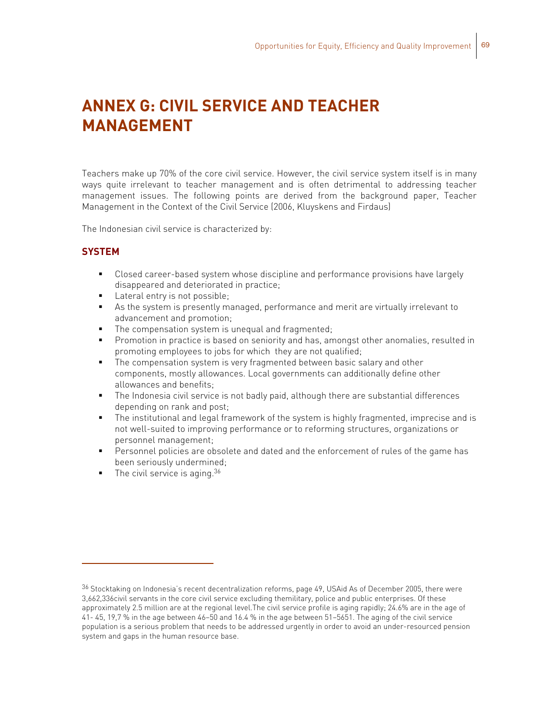# **ANNEX G: CIVIL SERVICE AND TEACHER MANAGEMENT**

Teachers make up 70% of the core civil service. However, the civil service system itself is in many ways quite irrelevant to teacher management and is often detrimental to addressing teacher management issues. The following points are derived from the background paper, Teacher Management in the Context of the Civil Service (2006, Kluyskens and Firdaus)

The Indonesian civil service is characterized by:

## **SYSTEM**

- Closed career-based system whose discipline and performance provisions have largely disappeared and deteriorated in practice;
- Lateral entry is not possible;
- As the system is presently managed, performance and merit are virtually irrelevant to advancement and promotion;
- The compensation system is unequal and fragmented;
- **Promotion in practice is based on seniority and has, amongst other anomalies, resulted in** promoting employees to jobs for which they are not qualified;
- The compensation system is very fragmented between basic salary and other components, mostly allowances. Local governments can additionally define other allowances and benefits;
- The Indonesia civil service is not badly paid, although there are substantial differences depending on rank and post;
- The institutional and legal framework of the system is highly fragmented, imprecise and is not well-suited to improving performance or to reforming structures, organizations or personnel management;
- Personnel policies are obsolete and dated and the enforcement of rules of the game has been seriously undermined;
- $\blacksquare$  The civil service is aging  $36$

 $^{36}$  Stocktaking on Indonesia's recent decentralization reforms, page 49, USAid As of December 2005, there were 3,662,336civil servants in the core civil service excluding themilitary, police and public enterprises. Of these approximately 2.5 million are at the regional level.The civil service profile is aging rapidly; 24.6% are in the age of 41- 45, 19,7 % in the age between 46–50 and 16.4 % in the age between 51–5651. The aging of the civil service population is a serious problem that needs to be addressed urgently in order to avoid an under-resourced pension system and gaps in the human resource base.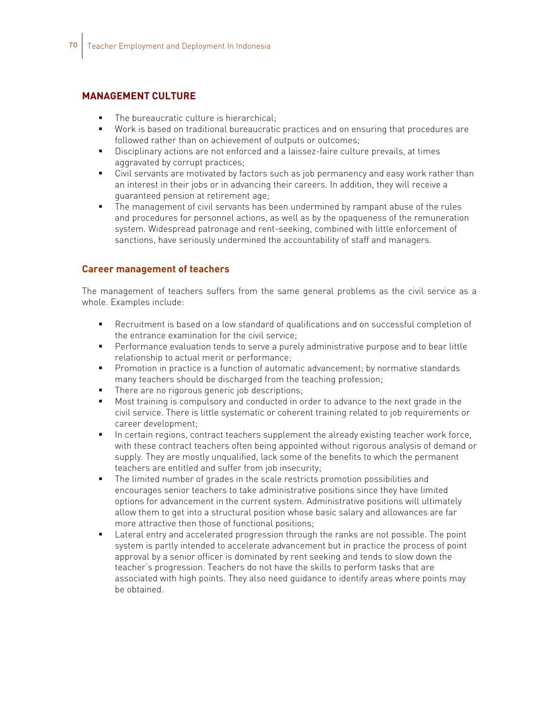## **MANAGEMENT CULTURE**

- $\blacksquare$  The bureaucratic culture is hierarchical:
- Work is based on traditional bureaucratic practices and on ensuring that procedures are followed rather than on achievement of outputs or outcomes;
- Disciplinary actions are not enforced and a laissez-faire culture prevails, at times aggravated by corrupt practices;
- Civil servants are motivated by factors such as job permanency and easy work rather than an interest in their jobs or in advancing their careers. In addition, they will receive a guaranteed pension at retirement age;
- **The management of civil servants has been undermined by rampant abuse of the rules** and procedures for personnel actions, as well as by the opaqueness of the remuneration system. Widespread patronage and rent-seeking, combined with little enforcement of sanctions, have seriously undermined the accountability of staff and managers.

#### **Career management of teachers**

The management of teachers suffers from the same general problems as the civil service as a whole. Examples include:

- Recruitment is based on a low standard of qualifications and on successful completion of the entrance examination for the civil service;
- Performance evaluation tends to serve a purely administrative purpose and to bear little relationship to actual merit or performance;
- **Promotion in practice is a function of automatic advancement; by normative standards** many teachers should be discharged from the teaching profession;
- There are no rigorous generic job descriptions;
- Most training is compulsory and conducted in order to advance to the next grade in the civil service. There is little systematic or coherent training related to job requirements or career development;
- **In certain regions, contract teachers supplement the already existing teacher work force,** with these contract teachers often being appointed without rigorous analysis of demand or supply. They are mostly unqualified, lack some of the benefits to which the permanent teachers are entitled and suffer from job insecurity;
- The limited number of grades in the scale restricts promotion possibilities and encourages senior teachers to take administrative positions since they have limited options for advancement in the current system. Administrative positions will ultimately allow them to get into a structural position whose basic salary and allowances are far more attractive then those of functional positions;
- **EXEC** Lateral entry and accelerated progression through the ranks are not possible. The point system is partly intended to accelerate advancement but in practice the process of point approval by a senior officer is dominated by rent seeking and tends to slow down the teacher's progression. Teachers do not have the skills to perform tasks that are associated with high points. They also need guidance to identify areas where points may be obtained.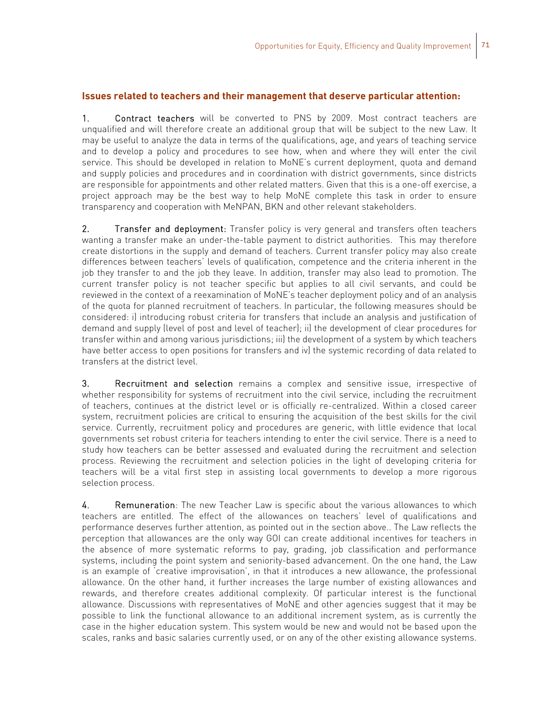#### **Issues related to teachers and their management that deserve particular attention:**

1. Contract teachers will be converted to PNS by 2009. Most contract teachers are unqualified and will therefore create an additional group that will be subject to the new Law. It may be useful to analyze the data in terms of the qualifications, age, and years of teaching service and to develop a policy and procedures to see how, when and where they will enter the civil service. This should be developed in relation to MoNE's current deployment, quota and demand and supply policies and procedures and in coordination with district governments, since districts are responsible for appointments and other related matters. Given that this is a one-off exercise, a project approach may be the best way to help MoNE complete this task in order to ensure transparency and cooperation with MeNPAN, BKN and other relevant stakeholders.

2. Transfer and deployment: Transfer policy is very general and transfers often teachers wanting a transfer make an under-the-table payment to district authorities. This may therefore create distortions in the supply and demand of teachers. Current transfer policy may also create differences between teachers' levels of qualification, competence and the criteria inherent in the job they transfer to and the job they leave. In addition, transfer may also lead to promotion. The current transfer policy is not teacher specific but applies to all civil servants, and could be reviewed in the context of a reexamination of MoNE's teacher deployment policy and of an analysis of the quota for planned recruitment of teachers. In particular, the following measures should be considered: i) introducing robust criteria for transfers that include an analysis and justification of demand and supply (level of post and level of teacher); ii) the development of clear procedures for transfer within and among various jurisdictions; iii) the development of a system by which teachers have better access to open positions for transfers and iv) the systemic recording of data related to transfers at the district level.

3. Recruitment and selection remains a complex and sensitive issue, irrespective of whether responsibility for systems of recruitment into the civil service, including the recruitment of teachers, continues at the district level or is officially re-centralized. Within a closed career system, recruitment policies are critical to ensuring the acquisition of the best skills for the civil service. Currently, recruitment policy and procedures are generic, with little evidence that local governments set robust criteria for teachers intending to enter the civil service. There is a need to study how teachers can be better assessed and evaluated during the recruitment and selection process. Reviewing the recruitment and selection policies in the light of developing criteria for teachers will be a vital first step in assisting local governments to develop a more rigorous selection process.

4. Remuneration: The new Teacher Law is specific about the various allowances to which teachers are entitled. The effect of the allowances on teachers' level of qualifications and performance deserves further attention, as pointed out in the section above.. The Law reflects the perception that allowances are the only way GOI can create additional incentives for teachers in the absence of more systematic reforms to pay, grading, job classification and performance systems, including the point system and seniority-based advancement. On the one hand, the Law is an example of 'creative improvisation', in that it introduces a new allowance, the professional allowance. On the other hand, it further increases the large number of existing allowances and rewards, and therefore creates additional complexity. Of particular interest is the functional allowance. Discussions with representatives of MoNE and other agencies suggest that it may be possible to link the functional allowance to an additional increment system, as is currently the case in the higher education system. This system would be new and would not be based upon the scales, ranks and basic salaries currently used, or on any of the other existing allowance systems.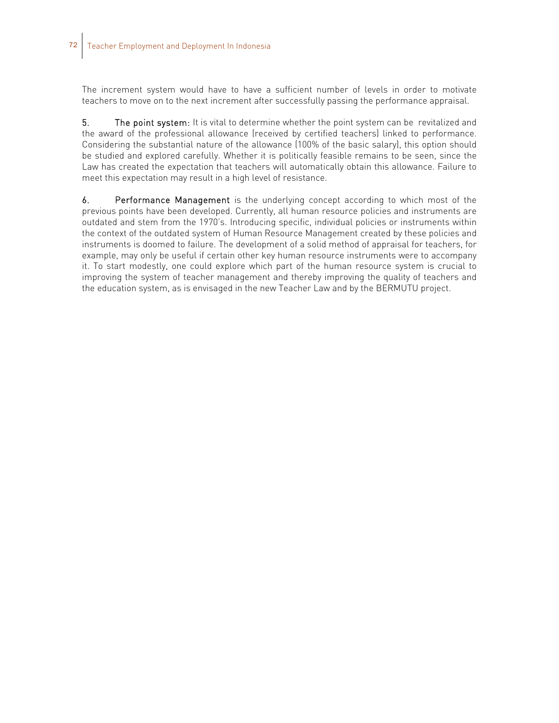The increment system would have to have a sufficient number of levels in order to motivate teachers to move on to the next increment after successfully passing the performance appraisal.

5. The point system: It is vital to determine whether the point system can be revitalized and the award of the professional allowance (received by certified teachers) linked to performance. Considering the substantial nature of the allowance (100% of the basic salary), this option should be studied and explored carefully. Whether it is politically feasible remains to be seen, since the Law has created the expectation that teachers will automatically obtain this allowance. Failure to meet this expectation may result in a high level of resistance.

6. Performance Management is the underlying concept according to which most of the previous points have been developed. Currently, all human resource policies and instruments are outdated and stem from the 1970's. Introducing specific, individual policies or instruments within the context of the outdated system of Human Resource Management created by these policies and instruments is doomed to failure. The development of a solid method of appraisal for teachers, for example, may only be useful if certain other key human resource instruments were to accompany it. To start modestly, one could explore which part of the human resource system is crucial to improving the system of teacher management and thereby improving the quality of teachers and the education system, as is envisaged in the new Teacher Law and by the BERMUTU project.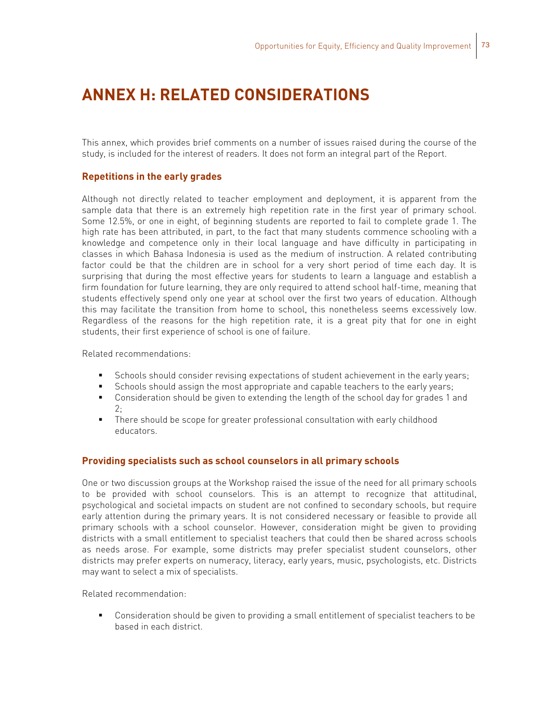## **ANNEX H: RELATED CONSIDERATIONS**

This annex, which provides brief comments on a number of issues raised during the course of the study, is included for the interest of readers. It does not form an integral part of the Report.

#### **Repetitions in the early grades**

Although not directly related to teacher employment and deployment, it is apparent from the sample data that there is an extremely high repetition rate in the first year of primary school. Some 12.5%, or one in eight, of beginning students are reported to fail to complete grade 1. The high rate has been attributed, in part, to the fact that many students commence schooling with a knowledge and competence only in their local language and have difficulty in participating in classes in which Bahasa Indonesia is used as the medium of instruction. A related contributing factor could be that the children are in school for a very short period of time each day. It is surprising that during the most effective years for students to learn a language and establish a firm foundation for future learning, they are only required to attend school half-time, meaning that students effectively spend only one year at school over the first two years of education. Although this may facilitate the transition from home to school, this nonetheless seems excessively low. Regardless of the reasons for the high repetition rate, it is a great pity that for one in eight students, their first experience of school is one of failure.

Related recommendations:

- Schools should consider revising expectations of student achievement in the early years;
- **Schools should assign the most appropriate and capable teachers to the early years;**
- Consideration should be given to extending the length of the school day for grades 1 and 2;
- There should be scope for greater professional consultation with early childhood educators.

#### **Providing specialists such as school counselors in all primary schools**

One or two discussion groups at the Workshop raised the issue of the need for all primary schools to be provided with school counselors. This is an attempt to recognize that attitudinal, psychological and societal impacts on student are not confined to secondary schools, but require early attention during the primary years. It is not considered necessary or feasible to provide all primary schools with a school counselor. However, consideration might be given to providing districts with a small entitlement to specialist teachers that could then be shared across schools as needs arose. For example, some districts may prefer specialist student counselors, other districts may prefer experts on numeracy, literacy, early years, music, psychologists, etc. Districts may want to select a mix of specialists.

Related recommendation:

 Consideration should be given to providing a small entitlement of specialist teachers to be based in each district.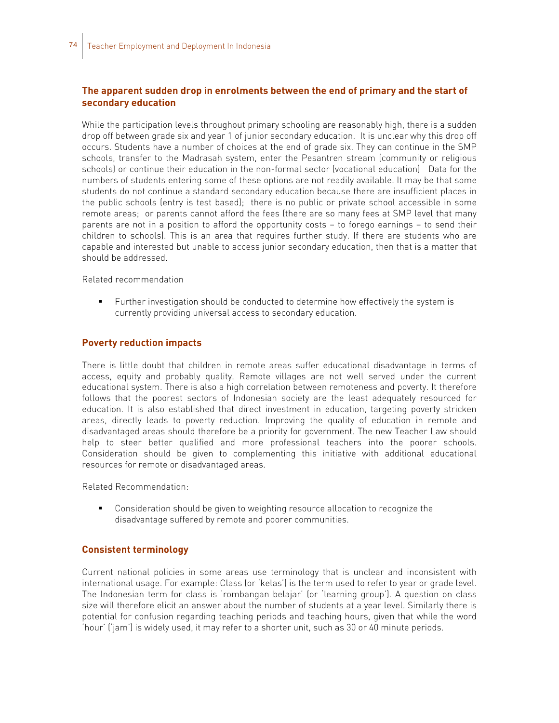## **The apparent sudden drop in enrolments between the end of primary and the start of secondary education**

While the participation levels throughout primary schooling are reasonably high, there is a sudden drop off between grade six and year 1 of junior secondary education. It is unclear why this drop off occurs. Students have a number of choices at the end of grade six. They can continue in the SMP schools, transfer to the Madrasah system, enter the Pesantren stream (community or religious schools) or continue their education in the non-formal sector (vocational education) Data for the numbers of students entering some of these options are not readily available. It may be that some students do not continue a standard secondary education because there are insufficient places in the public schools (entry is test based); there is no public or private school accessible in some remote areas; or parents cannot afford the fees (there are so many fees at SMP level that many parents are not in a position to afford the opportunity costs – to forego earnings – to send their children to schools). This is an area that requires further study. If there are students who are capable and interested but unable to access junior secondary education, then that is a matter that should be addressed.

Related recommendation

**Further investigation should be conducted to determine how effectively the system is** currently providing universal access to secondary education.

#### **Poverty reduction impacts**

There is little doubt that children in remote areas suffer educational disadvantage in terms of access, equity and probably quality. Remote villages are not well served under the current educational system. There is also a high correlation between remoteness and poverty. It therefore follows that the poorest sectors of Indonesian society are the least adequately resourced for education. It is also established that direct investment in education, targeting poverty stricken areas, directly leads to poverty reduction. Improving the quality of education in remote and disadvantaged areas should therefore be a priority for government. The new Teacher Law should help to steer better qualified and more professional teachers into the poorer schools. Consideration should be given to complementing this initiative with additional educational resources for remote or disadvantaged areas.

Related Recommendation:

 Consideration should be given to weighting resource allocation to recognize the disadvantage suffered by remote and poorer communities.

## **Consistent terminology**

Current national policies in some areas use terminology that is unclear and inconsistent with international usage. For example: Class (or 'kelas') is the term used to refer to year or grade level. The Indonesian term for class is 'rombangan belajar' (or 'learning group'). A question on class size will therefore elicit an answer about the number of students at a year level. Similarly there is potential for confusion regarding teaching periods and teaching hours, given that while the word 'hour' ('jam') is widely used, it may refer to a shorter unit, such as 30 or 40 minute periods.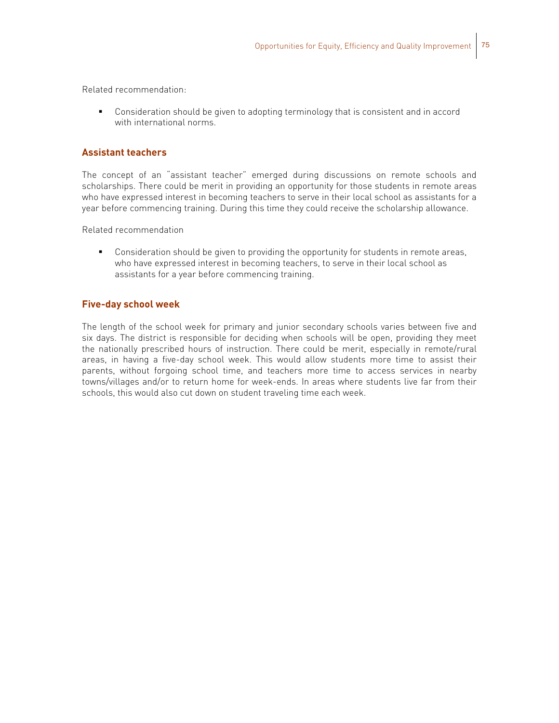Related recommendation:

 Consideration should be given to adopting terminology that is consistent and in accord with international norms.

#### **Assistant teachers**

The concept of an "assistant teacher" emerged during discussions on remote schools and scholarships. There could be merit in providing an opportunity for those students in remote areas who have expressed interest in becoming teachers to serve in their local school as assistants for a year before commencing training. During this time they could receive the scholarship allowance.

Related recommendation

**Consideration should be given to providing the opportunity for students in remote areas,** who have expressed interest in becoming teachers, to serve in their local school as assistants for a year before commencing training.

#### **Five-day school week**

The length of the school week for primary and junior secondary schools varies between five and six days. The district is responsible for deciding when schools will be open, providing they meet the nationally prescribed hours of instruction. There could be merit, especially in remote/rural areas, in having a five-day school week. This would allow students more time to assist their parents, without forgoing school time, and teachers more time to access services in nearby towns/villages and/or to return home for week-ends. In areas where students live far from their schools, this would also cut down on student traveling time each week.